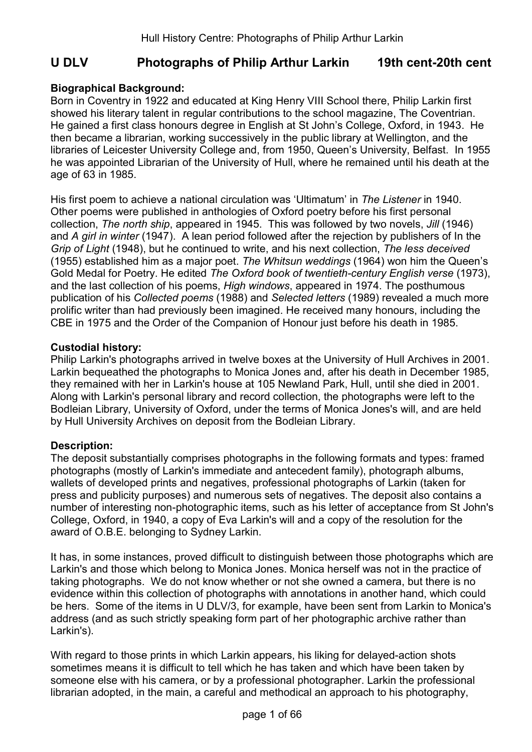# U DLV Photographs of Philip Arthur Larkin 19th cent-20th cent

# Biographical Background:

Born in Coventry in 1922 and educated at King Henry VIII School there, Philip Larkin first showed his literary talent in regular contributions to the school magazine, The Coventrian. He gained a first class honours degree in English at St John's College, Oxford, in 1943. He then became a librarian, working successively in the public library at Wellington, and the libraries of Leicester University College and, from 1950, Queen's University, Belfast. In 1955 he was appointed Librarian of the University of Hull, where he remained until his death at the age of 63 in 1985.

His first poem to achieve a national circulation was 'Ultimatum' in The Listener in 1940. Other poems were published in anthologies of Oxford poetry before his first personal collection, The north ship, appeared in 1945. This was followed by two novels, Jill (1946) and A girl in winter (1947). A lean period followed after the rejection by publishers of In the Grip of Light (1948), but he continued to write, and his next collection, The less deceived (1955) established him as a major poet. The Whitsun weddings (1964) won him the Queen's Gold Medal for Poetry. He edited The Oxford book of twentieth-century English verse (1973), and the last collection of his poems, High windows, appeared in 1974. The posthumous publication of his Collected poems (1988) and Selected letters (1989) revealed a much more prolific writer than had previously been imagined. He received many honours, including the CBE in 1975 and the Order of the Companion of Honour just before his death in 1985.

## Custodial history:

Philip Larkin's photographs arrived in twelve boxes at the University of Hull Archives in 2001. Larkin bequeathed the photographs to Monica Jones and, after his death in December 1985, they remained with her in Larkin's house at 105 Newland Park, Hull, until she died in 2001. Along with Larkin's personal library and record collection, the photographs were left to the Bodleian Library, University of Oxford, under the terms of Monica Jones's will, and are held by Hull University Archives on deposit from the Bodleian Library.

# Description:

The deposit substantially comprises photographs in the following formats and types: framed photographs (mostly of Larkin's immediate and antecedent family), photograph albums, wallets of developed prints and negatives, professional photographs of Larkin (taken for press and publicity purposes) and numerous sets of negatives. The deposit also contains a number of interesting non-photographic items, such as his letter of acceptance from St John's College, Oxford, in 1940, a copy of Eva Larkin's will and a copy of the resolution for the award of O.B.E. belonging to Sydney Larkin.

It has, in some instances, proved difficult to distinguish between those photographs which are Larkin's and those which belong to Monica Jones. Monica herself was not in the practice of taking photographs. We do not know whether or not she owned a camera, but there is no evidence within this collection of photographs with annotations in another hand, which could be hers. Some of the items in U DLV/3, for example, have been sent from Larkin to Monica's address (and as such strictly speaking form part of her photographic archive rather than Larkin's).

With regard to those prints in which Larkin appears, his liking for delayed-action shots sometimes means it is difficult to tell which he has taken and which have been taken by someone else with his camera, or by a professional photographer. Larkin the professional librarian adopted, in the main, a careful and methodical an approach to his photography,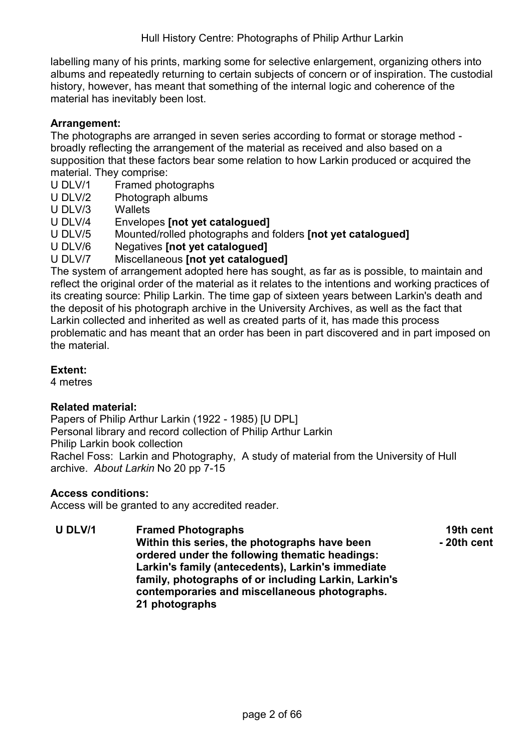labelling many of his prints, marking some for selective enlargement, organizing others into albums and repeatedly returning to certain subjects of concern or of inspiration. The custodial history, however, has meant that something of the internal logic and coherence of the material has inevitably been lost.

## Arrangement:

The photographs are arranged in seven series according to format or storage method broadly reflecting the arrangement of the material as received and also based on a supposition that these factors bear some relation to how Larkin produced or acquired the material. They comprise:

- U DLV/1 Framed photographs
- U DLV/2 Photograph albums
- U DLV/3 Wallets
- U DLV/4 Envelopes [not yet cataloqued]
- U DLV/5 Mounted/rolled photographs and folders [not yet catalogued]
- U DLV/6 Negatives [not yet cataloqued]

## U DLV/7 Miscellaneous Inot vet catalogued1

The system of arrangement adopted here has sought, as far as is possible, to maintain and reflect the original order of the material as it relates to the intentions and working practices of its creating source: Philip Larkin. The time gap of sixteen years between Larkin's death and the deposit of his photograph archive in the University Archives, as well as the fact that Larkin collected and inherited as well as created parts of it, has made this process problematic and has meant that an order has been in part discovered and in part imposed on the material.

#### Extent:

4 metres

#### Related material:

Papers of Philip Arthur Larkin (1922 - 1985) [U DPL] Personal library and record collection of Philip Arthur Larkin Philip Larkin book collection Rachel Foss: Larkin and Photography, A study of material from the University of Hull archive. About Larkin No 20 pp 7-15

#### Access conditions:

Access will be granted to any accredited reader.

U DLV/1 Framed Photographs Within this series, the photographs have been ordered under the following thematic headings: Larkin's family (antecedents), Larkin's immediate family, photographs of or including Larkin, Larkin's contemporaries and miscellaneous photographs. 21 photographs 19th cent - 20th cent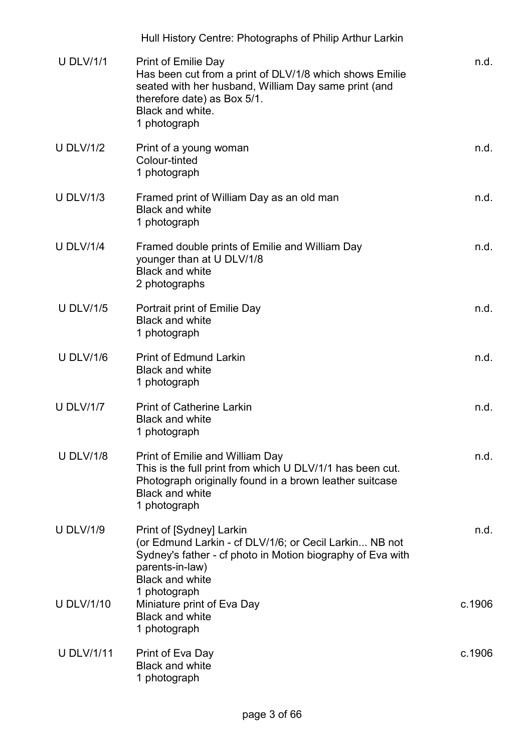|                   | Hull History Centre: Photographs of Philip Arthur Larkin                                                                                                                                                         |        |
|-------------------|------------------------------------------------------------------------------------------------------------------------------------------------------------------------------------------------------------------|--------|
| <b>U DLV/1/1</b>  | <b>Print of Emilie Day</b><br>Has been cut from a print of DLV/1/8 which shows Emilie<br>seated with her husband, William Day same print (and<br>therefore date) as Box 5/1.<br>Black and white.<br>1 photograph | n.d.   |
| <b>U DLV/1/2</b>  | Print of a young woman<br>Colour-tinted<br>1 photograph                                                                                                                                                          | n.d.   |
| <b>U DLV/1/3</b>  | Framed print of William Day as an old man<br><b>Black and white</b><br>1 photograph                                                                                                                              | n.d.   |
| <b>U DLV/1/4</b>  | Framed double prints of Emilie and William Day<br>younger than at U DLV/1/8<br><b>Black and white</b><br>2 photographs                                                                                           | n.d.   |
| <b>U DLV/1/5</b>  | Portrait print of Emilie Day<br><b>Black and white</b><br>1 photograph                                                                                                                                           | n.d.   |
| <b>U DLV/1/6</b>  | <b>Print of Edmund Larkin</b><br><b>Black and white</b><br>1 photograph                                                                                                                                          | n.d.   |
| <b>U DLV/1/7</b>  | <b>Print of Catherine Larkin</b><br><b>Black and white</b><br>1 photograph                                                                                                                                       | n.d.   |
| <b>U DLV/1/8</b>  | <b>Print of Emilie and William Day</b><br>This is the full print from which U DLV/1/1 has been cut.<br>Photograph originally found in a brown leather suitcase<br><b>Black and white</b><br>1 photograph         | n.d.   |
| <b>U DLV/1/9</b>  | Print of [Sydney] Larkin<br>(or Edmund Larkin - cf DLV/1/6; or Cecil Larkin NB not<br>Sydney's father - cf photo in Motion biography of Eva with<br>parents-in-law)<br><b>Black and white</b>                    | n.d.   |
| <b>U DLV/1/10</b> | 1 photograph<br>Miniature print of Eva Day<br><b>Black and white</b><br>1 photograph                                                                                                                             | c.1906 |
| <b>U DLV/1/11</b> | Print of Eva Day<br><b>Black and white</b><br>1 photograph                                                                                                                                                       | c.1906 |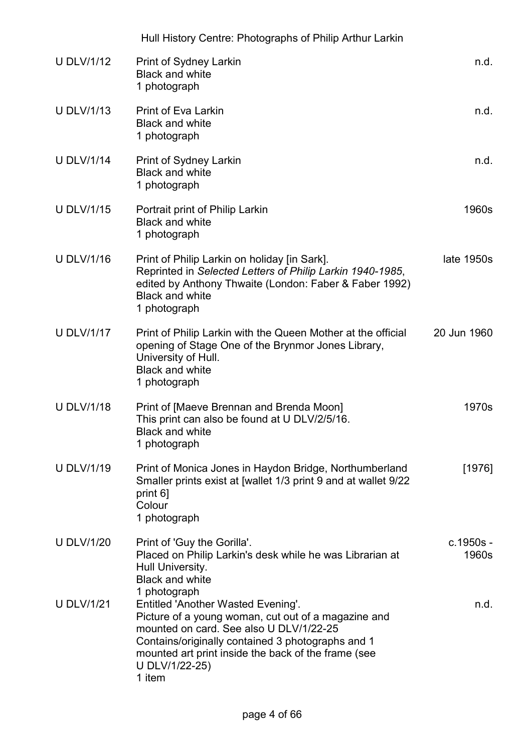|                   | Hull History Centre: Photographs of Philip Arthur Larkin                                                                                                                                                                                                                                            |                    |
|-------------------|-----------------------------------------------------------------------------------------------------------------------------------------------------------------------------------------------------------------------------------------------------------------------------------------------------|--------------------|
| <b>U DLV/1/12</b> | <b>Print of Sydney Larkin</b><br><b>Black and white</b><br>1 photograph                                                                                                                                                                                                                             | n.d.               |
| <b>U DLV/1/13</b> | <b>Print of Eva Larkin</b><br><b>Black and white</b><br>1 photograph                                                                                                                                                                                                                                | n.d.               |
| <b>U DLV/1/14</b> | Print of Sydney Larkin<br><b>Black and white</b><br>1 photograph                                                                                                                                                                                                                                    | n.d.               |
| <b>U DLV/1/15</b> | Portrait print of Philip Larkin<br><b>Black and white</b><br>1 photograph                                                                                                                                                                                                                           | 1960s              |
| <b>U DLV/1/16</b> | Print of Philip Larkin on holiday [in Sark].<br>Reprinted in Selected Letters of Philip Larkin 1940-1985,<br>edited by Anthony Thwaite (London: Faber & Faber 1992)<br><b>Black and white</b><br>1 photograph                                                                                       | late 1950s         |
| <b>U DLV/1/17</b> | Print of Philip Larkin with the Queen Mother at the official<br>opening of Stage One of the Brynmor Jones Library,<br>University of Hull.<br><b>Black and white</b><br>1 photograph                                                                                                                 | 20 Jun 1960        |
| <b>U DLV/1/18</b> | Print of [Maeve Brennan and Brenda Moon]<br>This print can also be found at U DLV/2/5/16.<br><b>Black and white</b><br>1 photograph                                                                                                                                                                 | 1970s              |
| U DLV/1/19        | Print of Monica Jones in Haydon Bridge, Northumberland<br>Smaller prints exist at [wallet 1/3 print 9 and at wallet 9/22<br>print 6]<br>Colour<br>1 photograph                                                                                                                                      | [1976]             |
| <b>U DLV/1/20</b> | Print of 'Guy the Gorilla'.<br>Placed on Philip Larkin's desk while he was Librarian at<br>Hull University.<br><b>Black and white</b>                                                                                                                                                               | c.1950s -<br>1960s |
| <b>U DLV/1/21</b> | 1 photograph<br><b>Entitled 'Another Wasted Evening'.</b><br>Picture of a young woman, cut out of a magazine and<br>mounted on card. See also U DLV/1/22-25<br>Contains/originally contained 3 photographs and 1<br>mounted art print inside the back of the frame (see<br>U DLV/1/22-25)<br>1 item | n.d.               |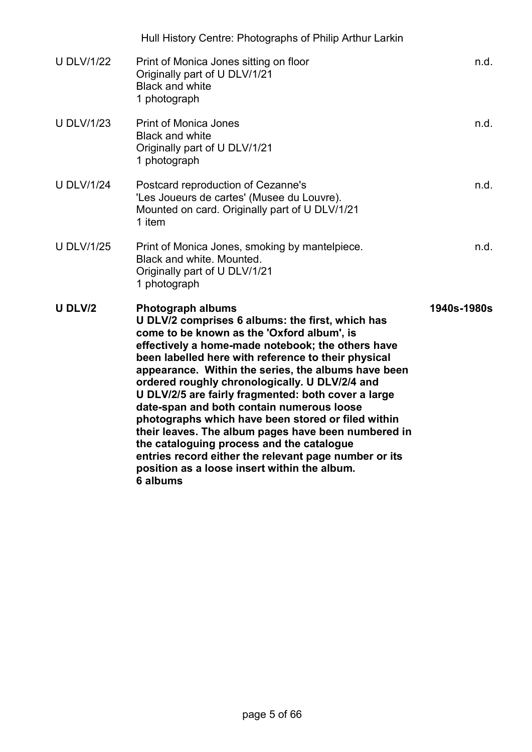|                   | Hull History Centre: Photographs of Philip Arthur Larkin                                                                                                                                                                                                                                                                                                                                                                                                                                                                                                                                                                                                                                                                           |             |
|-------------------|------------------------------------------------------------------------------------------------------------------------------------------------------------------------------------------------------------------------------------------------------------------------------------------------------------------------------------------------------------------------------------------------------------------------------------------------------------------------------------------------------------------------------------------------------------------------------------------------------------------------------------------------------------------------------------------------------------------------------------|-------------|
| <b>U DLV/1/22</b> | Print of Monica Jones sitting on floor<br>Originally part of U DLV/1/21<br><b>Black and white</b><br>1 photograph                                                                                                                                                                                                                                                                                                                                                                                                                                                                                                                                                                                                                  | n.d.        |
| <b>U DLV/1/23</b> | <b>Print of Monica Jones</b><br><b>Black and white</b><br>Originally part of U DLV/1/21<br>1 photograph                                                                                                                                                                                                                                                                                                                                                                                                                                                                                                                                                                                                                            | n.d.        |
| <b>U DLV/1/24</b> | Postcard reproduction of Cezanne's<br>'Les Joueurs de cartes' (Musee du Louvre).<br>Mounted on card. Originally part of U DLV/1/21<br>1 item                                                                                                                                                                                                                                                                                                                                                                                                                                                                                                                                                                                       | n.d.        |
| <b>U DLV/1/25</b> | Print of Monica Jones, smoking by mantelpiece.<br>Black and white. Mounted.<br>Originally part of U DLV/1/21<br>1 photograph                                                                                                                                                                                                                                                                                                                                                                                                                                                                                                                                                                                                       | n.d.        |
| U DLV/2           | <b>Photograph albums</b><br>U DLV/2 comprises 6 albums: the first, which has<br>come to be known as the 'Oxford album', is<br>effectively a home-made notebook; the others have<br>been labelled here with reference to their physical<br>appearance. Within the series, the albums have been<br>ordered roughly chronologically. U DLV/2/4 and<br>U DLV/2/5 are fairly fragmented: both cover a large<br>date-span and both contain numerous loose<br>photographs which have been stored or filed within<br>their leaves. The album pages have been numbered in<br>the cataloguing process and the catalogue<br>entries record either the relevant page number or its<br>position as a loose insert within the album.<br>6 albums | 1940s-1980s |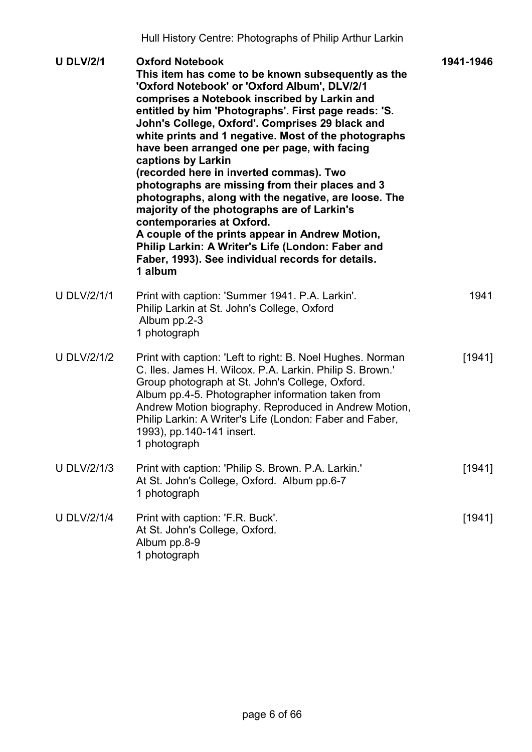| <b>U DLV/2/1</b>   | <b>Oxford Notebook</b><br>This item has come to be known subsequently as the<br>'Oxford Notebook' or 'Oxford Album', DLV/2/1<br>comprises a Notebook inscribed by Larkin and<br>entitled by him 'Photographs'. First page reads: 'S.<br>John's College, Oxford'. Comprises 29 black and<br>white prints and 1 negative. Most of the photographs<br>have been arranged one per page, with facing<br>captions by Larkin<br>(recorded here in inverted commas). Two<br>photographs are missing from their places and 3<br>photographs, along with the negative, are loose. The<br>majority of the photographs are of Larkin's<br>contemporaries at Oxford.<br>A couple of the prints appear in Andrew Motion,<br>Philip Larkin: A Writer's Life (London: Faber and<br>Faber, 1993). See individual records for details.<br>1 album | 1941-1946 |
|--------------------|---------------------------------------------------------------------------------------------------------------------------------------------------------------------------------------------------------------------------------------------------------------------------------------------------------------------------------------------------------------------------------------------------------------------------------------------------------------------------------------------------------------------------------------------------------------------------------------------------------------------------------------------------------------------------------------------------------------------------------------------------------------------------------------------------------------------------------|-----------|
| <b>U DLV/2/1/1</b> | Print with caption: 'Summer 1941. P.A. Larkin'.<br>Philip Larkin at St. John's College, Oxford<br>Album pp.2-3<br>1 photograph                                                                                                                                                                                                                                                                                                                                                                                                                                                                                                                                                                                                                                                                                                  | 1941      |
| <b>U DLV/2/1/2</b> | Print with caption: 'Left to right: B. Noel Hughes. Norman<br>C. Iles. James H. Wilcox. P.A. Larkin. Philip S. Brown.'<br>Group photograph at St. John's College, Oxford.<br>Album pp.4-5. Photographer information taken from<br>Andrew Motion biography. Reproduced in Andrew Motion,<br>Philip Larkin: A Writer's Life (London: Faber and Faber,<br>1993), pp. 140-141 insert.<br>1 photograph                                                                                                                                                                                                                                                                                                                                                                                                                               | [1941]    |
| <b>U DLV/2/1/3</b> | Print with caption: 'Philip S. Brown. P.A. Larkin.'<br>At St. John's College, Oxford. Album pp.6-7<br>1 photograph                                                                                                                                                                                                                                                                                                                                                                                                                                                                                                                                                                                                                                                                                                              | [1941]    |
| <b>U DLV/2/1/4</b> | Print with caption: 'F.R. Buck'.<br>At St. John's College, Oxford.<br>Album pp.8-9<br>1 photograph                                                                                                                                                                                                                                                                                                                                                                                                                                                                                                                                                                                                                                                                                                                              | [1941]    |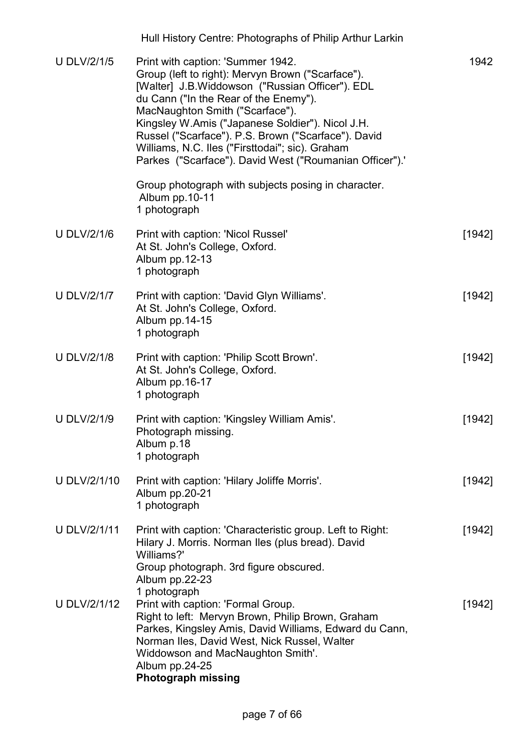|                     | Hull History Centre: Photographs of Philip Arthur Larkin                                                                                                                                                                                                                                                                                                                                                                                      |        |
|---------------------|-----------------------------------------------------------------------------------------------------------------------------------------------------------------------------------------------------------------------------------------------------------------------------------------------------------------------------------------------------------------------------------------------------------------------------------------------|--------|
| <b>U DLV/2/1/5</b>  | Print with caption: 'Summer 1942.<br>Group (left to right): Mervyn Brown ("Scarface").<br>[Walter] J.B.Widdowson ("Russian Officer"). EDL<br>du Cann ("In the Rear of the Enemy").<br>MacNaughton Smith ("Scarface").<br>Kingsley W.Amis ("Japanese Soldier"). Nicol J.H.<br>Russel ("Scarface"). P.S. Brown ("Scarface"). David<br>Williams, N.C. Iles ("Firsttodai"; sic). Graham<br>Parkes ("Scarface"). David West ("Roumanian Officer"). | 1942   |
|                     | Group photograph with subjects posing in character.<br>Album pp.10-11<br>1 photograph                                                                                                                                                                                                                                                                                                                                                         |        |
| <b>U DLV/2/1/6</b>  | Print with caption: 'Nicol Russel'<br>At St. John's College, Oxford.<br>Album pp.12-13<br>1 photograph                                                                                                                                                                                                                                                                                                                                        | [1942] |
| <b>U DLV/2/1/7</b>  | Print with caption: 'David Glyn Williams'.<br>At St. John's College, Oxford.<br>Album pp.14-15<br>1 photograph                                                                                                                                                                                                                                                                                                                                | [1942] |
| <b>U DLV/2/1/8</b>  | Print with caption: 'Philip Scott Brown'.<br>At St. John's College, Oxford.<br>Album pp.16-17<br>1 photograph                                                                                                                                                                                                                                                                                                                                 | [1942] |
| <b>U DLV/2/1/9</b>  | Print with caption: 'Kingsley William Amis'.<br>Photograph missing.<br>Album p.18<br>1 photograph                                                                                                                                                                                                                                                                                                                                             | [1942] |
| U DLV/2/1/10        | Print with caption: 'Hilary Joliffe Morris'.<br>Album pp.20-21<br>1 photograph                                                                                                                                                                                                                                                                                                                                                                | [1942] |
| <b>U DLV/2/1/11</b> | Print with caption: 'Characteristic group. Left to Right:<br>Hilary J. Morris. Norman Iles (plus bread). David<br>Williams?'<br>Group photograph. 3rd figure obscured.<br>Album pp.22-23                                                                                                                                                                                                                                                      | [1942] |
| U DLV/2/1/12        | 1 photograph<br>Print with caption: 'Formal Group.<br>Right to left: Mervyn Brown, Philip Brown, Graham<br>Parkes, Kingsley Amis, David Williams, Edward du Cann,<br>Norman Iles, David West, Nick Russel, Walter<br>Widdowson and MacNaughton Smith'.<br>Album pp.24-25<br><b>Photograph missing</b>                                                                                                                                         | [1942] |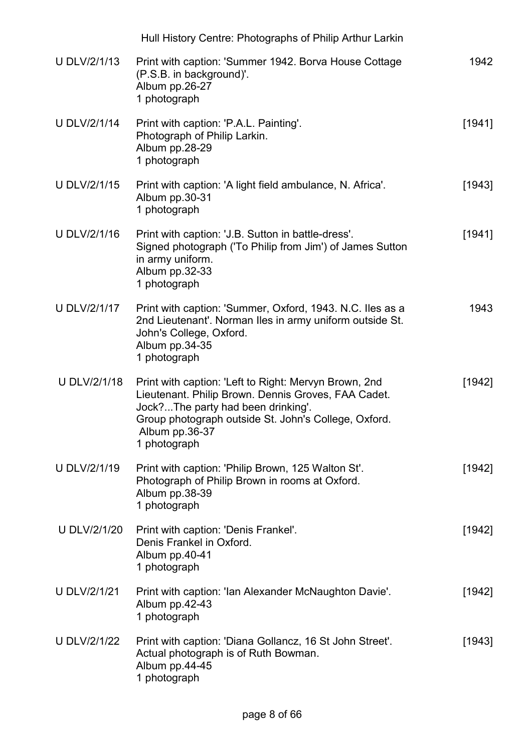|                     | Hull History Centre: Photographs of Philip Arthur Larkin                                                                                                                                                                                     |          |
|---------------------|----------------------------------------------------------------------------------------------------------------------------------------------------------------------------------------------------------------------------------------------|----------|
| <b>U DLV/2/1/13</b> | Print with caption: 'Summer 1942. Borva House Cottage<br>(P.S.B. in background)'.<br>Album pp.26-27<br>1 photograph                                                                                                                          | 1942     |
| <b>U DLV/2/1/14</b> | Print with caption: 'P.A.L. Painting'.<br>Photograph of Philip Larkin.<br>Album pp.28-29<br>1 photograph                                                                                                                                     | [1941]   |
| <b>U DLV/2/1/15</b> | Print with caption: 'A light field ambulance, N. Africa'.<br>Album pp.30-31<br>1 photograph                                                                                                                                                  | [1943]   |
| <b>U DLV/2/1/16</b> | Print with caption: 'J.B. Sutton in battle-dress'.<br>Signed photograph ('To Philip from Jim') of James Sutton<br>in army uniform.<br>Album pp.32-33<br>1 photograph                                                                         | [1941]   |
| <b>U DLV/2/1/17</b> | Print with caption: 'Summer, Oxford, 1943. N.C. Iles as a<br>2nd Lieutenant'. Norman Iles in army uniform outside St.<br>John's College, Oxford.<br>Album pp.34-35<br>1 photograph                                                           | 1943     |
| U DLV/2/1/18        | Print with caption: 'Left to Right: Mervyn Brown, 2nd<br>Lieutenant. Philip Brown. Dennis Groves, FAA Cadet.<br>Jock?The party had been drinking'.<br>Group photograph outside St. John's College, Oxford.<br>Album pp.36-37<br>1 photograph | [1942]   |
| U DLV/2/1/19        | Print with caption: 'Philip Brown, 125 Walton St'.<br>Photograph of Philip Brown in rooms at Oxford.<br>Album pp.38-39<br>1 photograph                                                                                                       | [1942]   |
| U DLV/2/1/20        | Print with caption: 'Denis Frankel'.<br>Denis Frankel in Oxford.<br>Album pp.40-41<br>1 photograph                                                                                                                                           | $[1942]$ |
| <b>U DLV/2/1/21</b> | Print with caption: 'Ian Alexander McNaughton Davie'.<br>Album pp.42-43<br>1 photograph                                                                                                                                                      | [1942]   |
| <b>U DLV/2/1/22</b> | Print with caption: 'Diana Gollancz, 16 St John Street'.<br>Actual photograph is of Ruth Bowman.<br>Album pp.44-45<br>1 photograph                                                                                                           | [1943]   |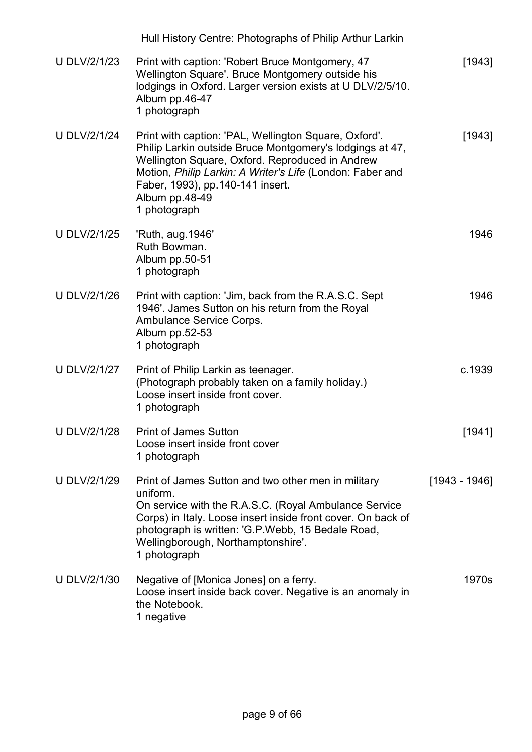|                     | Hull History Centre: Photographs of Philip Arthur Larkin                                                                                                                                                                                                                                                |               |
|---------------------|---------------------------------------------------------------------------------------------------------------------------------------------------------------------------------------------------------------------------------------------------------------------------------------------------------|---------------|
| <b>U DLV/2/1/23</b> | Print with caption: 'Robert Bruce Montgomery, 47<br>Wellington Square'. Bruce Montgomery outside his<br>lodgings in Oxford. Larger version exists at U DLV/2/5/10.<br>Album pp.46-47<br>1 photograph                                                                                                    | $[1943]$      |
| <b>U DLV/2/1/24</b> | Print with caption: 'PAL, Wellington Square, Oxford'.<br>Philip Larkin outside Bruce Montgomery's lodgings at 47,<br>Wellington Square, Oxford. Reproduced in Andrew<br>Motion, Philip Larkin: A Writer's Life (London: Faber and<br>Faber, 1993), pp.140-141 insert.<br>Album pp.48-49<br>1 photograph | [1943]        |
| <b>U DLV/2/1/25</b> | 'Ruth, aug. 1946'<br>Ruth Bowman.<br>Album pp.50-51<br>1 photograph                                                                                                                                                                                                                                     | 1946          |
| <b>U DLV/2/1/26</b> | Print with caption: 'Jim, back from the R.A.S.C. Sept<br>1946'. James Sutton on his return from the Royal<br>Ambulance Service Corps.<br>Album pp.52-53<br>1 photograph                                                                                                                                 | 1946          |
| <b>U DLV/2/1/27</b> | Print of Philip Larkin as teenager.<br>(Photograph probably taken on a family holiday.)<br>Loose insert inside front cover.<br>1 photograph                                                                                                                                                             | c.1939        |
| <b>U DLV/2/1/28</b> | <b>Print of James Sutton</b><br>Loose insert inside front cover<br>1 photograph                                                                                                                                                                                                                         | [1941]        |
| U DLV/2/1/29        | Print of James Sutton and two other men in military<br>uniform.<br>On service with the R.A.S.C. (Royal Ambulance Service<br>Corps) in Italy. Loose insert inside front cover. On back of<br>photograph is written: 'G.P.Webb, 15 Bedale Road,<br>Wellingborough, Northamptonshire'.<br>1 photograph     | [1943 - 1946] |
| U DLV/2/1/30        | Negative of [Monica Jones] on a ferry.<br>Loose insert inside back cover. Negative is an anomaly in<br>the Notebook.<br>1 negative                                                                                                                                                                      | 1970s         |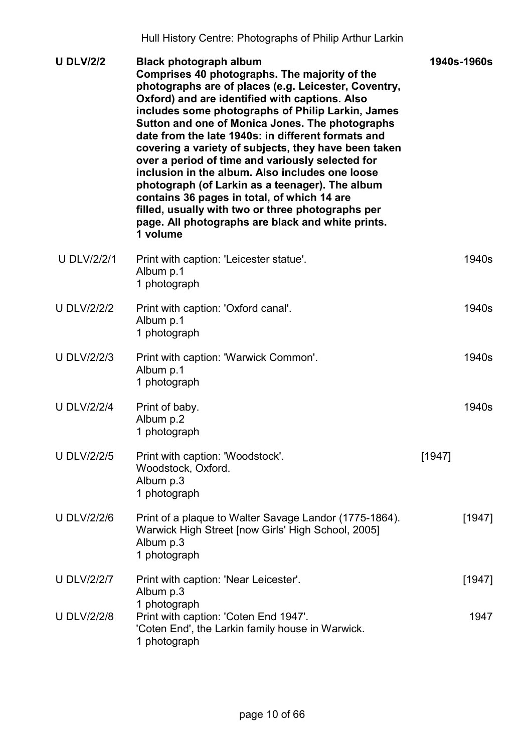| <b>U DLV/2/2</b>   | <b>Black photograph album</b><br>Comprises 40 photographs. The majority of the<br>photographs are of places (e.g. Leicester, Coventry,<br>Oxford) and are identified with captions. Also<br>includes some photographs of Philip Larkin, James<br>Sutton and one of Monica Jones. The photographs<br>date from the late 1940s; in different formats and<br>covering a variety of subjects, they have been taken<br>over a period of time and variously selected for<br>inclusion in the album. Also includes one loose<br>photograph (of Larkin as a teenager). The album<br>contains 36 pages in total, of which 14 are<br>filled, usually with two or three photographs per<br>page. All photographs are black and white prints.<br>1 volume |        | 1940s-1960s |
|--------------------|-----------------------------------------------------------------------------------------------------------------------------------------------------------------------------------------------------------------------------------------------------------------------------------------------------------------------------------------------------------------------------------------------------------------------------------------------------------------------------------------------------------------------------------------------------------------------------------------------------------------------------------------------------------------------------------------------------------------------------------------------|--------|-------------|
| <b>U DLV/2/2/1</b> | Print with caption: 'Leicester statue'.<br>Album p.1<br>1 photograph                                                                                                                                                                                                                                                                                                                                                                                                                                                                                                                                                                                                                                                                          |        | 1940s       |
| <b>U DLV/2/2/2</b> | Print with caption: 'Oxford canal'.<br>Album p.1<br>1 photograph                                                                                                                                                                                                                                                                                                                                                                                                                                                                                                                                                                                                                                                                              |        | 1940s       |
| <b>U DLV/2/2/3</b> | Print with caption: 'Warwick Common'.<br>Album p.1<br>1 photograph                                                                                                                                                                                                                                                                                                                                                                                                                                                                                                                                                                                                                                                                            |        | 1940s       |
| <b>U DLV/2/2/4</b> | Print of baby.<br>Album p.2<br>1 photograph                                                                                                                                                                                                                                                                                                                                                                                                                                                                                                                                                                                                                                                                                                   |        | 1940s       |
| <b>U DLV/2/2/5</b> | Print with caption: 'Woodstock'.<br>Woodstock, Oxford.<br>Album p.3<br>1 photograph                                                                                                                                                                                                                                                                                                                                                                                                                                                                                                                                                                                                                                                           | [1947] |             |
| <b>U DLV/2/2/6</b> | Print of a plaque to Walter Savage Landor (1775-1864).<br>Warwick High Street [now Girls' High School, 2005]<br>Album p.3<br>1 photograph                                                                                                                                                                                                                                                                                                                                                                                                                                                                                                                                                                                                     |        | [1947]      |
| <b>U DLV/2/2/7</b> | Print with caption: 'Near Leicester'.<br>Album p.3                                                                                                                                                                                                                                                                                                                                                                                                                                                                                                                                                                                                                                                                                            |        | [1947]      |
| <b>U DLV/2/2/8</b> | 1 photograph<br>Print with caption: 'Coten End 1947'.<br>'Coten End', the Larkin family house in Warwick.<br>1 photograph                                                                                                                                                                                                                                                                                                                                                                                                                                                                                                                                                                                                                     |        | 1947        |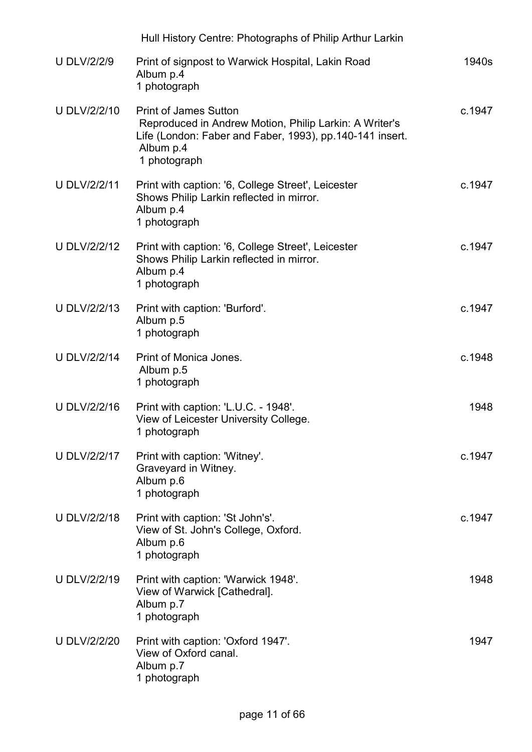|                     | Hull History Centre: Photographs of Philip Arthur Larkin                                                                                                                        |        |
|---------------------|---------------------------------------------------------------------------------------------------------------------------------------------------------------------------------|--------|
| <b>U DLV/2/2/9</b>  | Print of signpost to Warwick Hospital, Lakin Road<br>Album p.4<br>1 photograph                                                                                                  | 1940s  |
| <b>U DLV/2/2/10</b> | <b>Print of James Sutton</b><br>Reproduced in Andrew Motion, Philip Larkin: A Writer's<br>Life (London: Faber and Faber, 1993), pp.140-141 insert.<br>Album p.4<br>1 photograph | c.1947 |
| <b>U DLV/2/2/11</b> | Print with caption: '6, College Street', Leicester<br>Shows Philip Larkin reflected in mirror.<br>Album p.4<br>1 photograph                                                     | c.1947 |
| <b>U DLV/2/2/12</b> | Print with caption: '6, College Street', Leicester<br>Shows Philip Larkin reflected in mirror.<br>Album p.4<br>1 photograph                                                     | c.1947 |
| <b>U DLV/2/2/13</b> | Print with caption: 'Burford'.<br>Album p.5<br>1 photograph                                                                                                                     | c.1947 |
| <b>U DLV/2/2/14</b> | Print of Monica Jones.<br>Album p.5<br>1 photograph                                                                                                                             | c.1948 |
| <b>U DLV/2/2/16</b> | Print with caption: 'L.U.C. - 1948'.<br>View of Leicester University College.<br>1 photograph                                                                                   | 1948   |
| <b>U DLV/2/2/17</b> | Print with caption: 'Witney'.<br>Graveyard in Witney.<br>Album p.6<br>1 photograph                                                                                              | c.1947 |
| <b>U DLV/2/2/18</b> | Print with caption: 'St John's'.<br>View of St. John's College, Oxford.<br>Album p.6<br>1 photograph                                                                            | c.1947 |
| <b>U DLV/2/2/19</b> | Print with caption: 'Warwick 1948'.<br>View of Warwick [Cathedral].<br>Album p.7<br>1 photograph                                                                                | 1948   |
| <b>U DLV/2/2/20</b> | Print with caption: 'Oxford 1947'.<br>View of Oxford canal.<br>Album p.7<br>1 photograph                                                                                        | 1947   |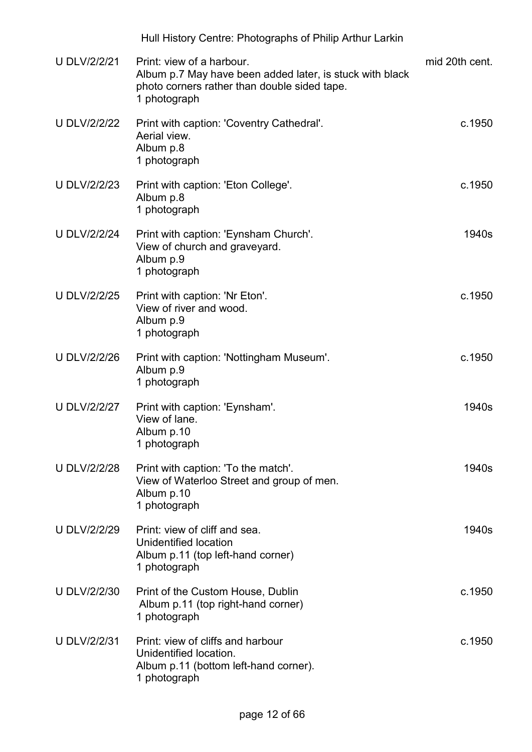|                     | Hull History Centre: Photographs of Philip Arthur Larkin                                                                                              |                |
|---------------------|-------------------------------------------------------------------------------------------------------------------------------------------------------|----------------|
| <b>U DLV/2/2/21</b> | Print: view of a harbour.<br>Album p.7 May have been added later, is stuck with black<br>photo corners rather than double sided tape.<br>1 photograph | mid 20th cent. |
| <b>U DLV/2/2/22</b> | Print with caption: 'Coventry Cathedral'.<br>Aerial view.<br>Album p.8<br>1 photograph                                                                | c.1950         |
| <b>U DLV/2/2/23</b> | Print with caption: 'Eton College'.<br>Album p.8<br>1 photograph                                                                                      | c.1950         |
| <b>U DLV/2/2/24</b> | Print with caption: 'Eynsham Church'.<br>View of church and graveyard.<br>Album p.9<br>1 photograph                                                   | 1940s          |
| <b>U DLV/2/2/25</b> | Print with caption: 'Nr Eton'.<br>View of river and wood.<br>Album p.9<br>1 photograph                                                                | c.1950         |
| <b>U DLV/2/2/26</b> | Print with caption: 'Nottingham Museum'.<br>Album p.9<br>1 photograph                                                                                 | c.1950         |
| <b>U DLV/2/2/27</b> | Print with caption: 'Eynsham'.<br>View of lane.<br>Album p.10<br>1 photograph                                                                         | 1940s          |
| <b>U DLV/2/2/28</b> | Print with caption: 'To the match'.<br>View of Waterloo Street and group of men.<br>Album p.10<br>1 photograph                                        | 1940s          |
| <b>U DLV/2/2/29</b> | Print: view of cliff and sea.<br>Unidentified location<br>Album p.11 (top left-hand corner)<br>1 photograph                                           | 1940s          |
| <b>U DLV/2/2/30</b> | Print of the Custom House, Dublin<br>Album p.11 (top right-hand corner)<br>1 photograph                                                               | c.1950         |
| <b>U DLV/2/2/31</b> | Print: view of cliffs and harbour<br>Unidentified location.<br>Album p.11 (bottom left-hand corner).<br>1 photograph                                  | c.1950         |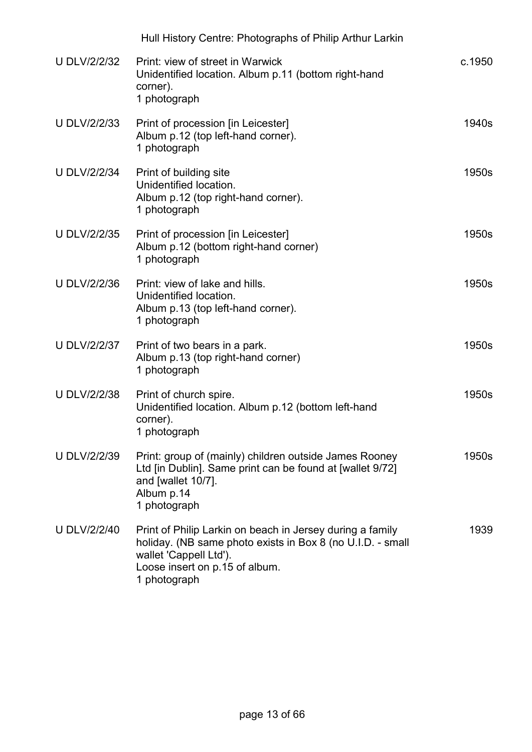|                     | Hull History Centre: Photographs of Philip Arthur Larkin                                                                                                                                            |        |
|---------------------|-----------------------------------------------------------------------------------------------------------------------------------------------------------------------------------------------------|--------|
| <b>U DLV/2/2/32</b> | Print: view of street in Warwick<br>Unidentified location. Album p.11 (bottom right-hand<br>corner).<br>1 photograph                                                                                | c.1950 |
| <b>U DLV/2/2/33</b> | Print of procession [in Leicester]<br>Album p.12 (top left-hand corner).<br>1 photograph                                                                                                            | 1940s  |
| <b>U DLV/2/2/34</b> | Print of building site<br>Unidentified location.<br>Album p.12 (top right-hand corner).<br>1 photograph                                                                                             | 1950s  |
| <b>U DLV/2/2/35</b> | Print of procession [in Leicester]<br>Album p.12 (bottom right-hand corner)<br>1 photograph                                                                                                         | 1950s  |
| <b>U DLV/2/2/36</b> | Print: view of lake and hills.<br>Unidentified location.<br>Album p.13 (top left-hand corner).<br>1 photograph                                                                                      | 1950s  |
| <b>U DLV/2/2/37</b> | Print of two bears in a park.<br>Album p.13 (top right-hand corner)<br>1 photograph                                                                                                                 | 1950s  |
| <b>U DLV/2/2/38</b> | Print of church spire.<br>Unidentified location. Album p.12 (bottom left-hand<br>corner).<br>1 photograph                                                                                           | 1950s  |
| <b>U DLV/2/2/39</b> | Print: group of (mainly) children outside James Rooney<br>Ltd [in Dublin]. Same print can be found at [wallet 9/72]<br>and [wallet 10/7].<br>Album p.14<br>1 photograph                             | 1950s  |
| <b>U DLV/2/2/40</b> | Print of Philip Larkin on beach in Jersey during a family<br>holiday. (NB same photo exists in Box 8 (no U.I.D. - small<br>wallet 'Cappell Ltd').<br>Loose insert on p.15 of album.<br>1 photograph | 1939   |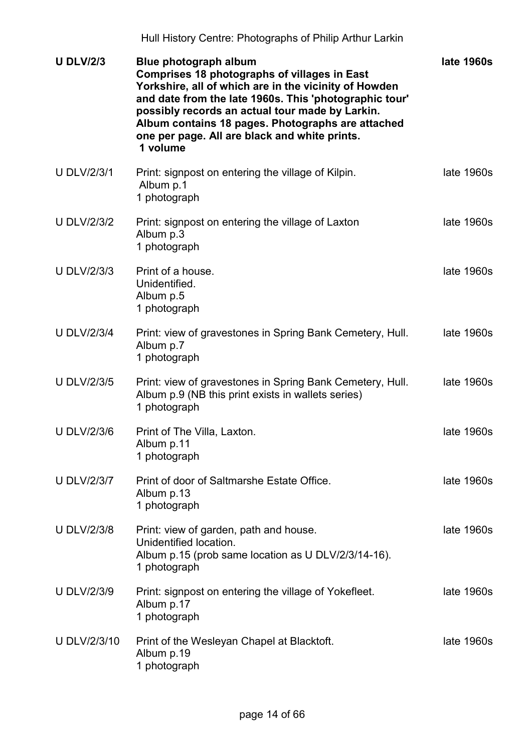| <b>U DLV/2/3</b>    | Blue photograph album<br>Comprises 18 photographs of villages in East<br>Yorkshire, all of which are in the vicinity of Howden<br>and date from the late 1960s. This 'photographic tour'<br>possibly records an actual tour made by Larkin.<br>Album contains 18 pages. Photographs are attached<br>one per page. All are black and white prints.<br>1 volume | late 1960s |
|---------------------|---------------------------------------------------------------------------------------------------------------------------------------------------------------------------------------------------------------------------------------------------------------------------------------------------------------------------------------------------------------|------------|
| <b>U DLV/2/3/1</b>  | Print: signpost on entering the village of Kilpin.<br>Album p.1<br>1 photograph                                                                                                                                                                                                                                                                               | late 1960s |
| <b>U DLV/2/3/2</b>  | Print: signpost on entering the village of Laxton<br>Album p.3<br>1 photograph                                                                                                                                                                                                                                                                                | late 1960s |
| <b>U DLV/2/3/3</b>  | Print of a house.<br>Unidentified.<br>Album p.5<br>1 photograph                                                                                                                                                                                                                                                                                               | late 1960s |
| <b>U DLV/2/3/4</b>  | Print: view of gravestones in Spring Bank Cemetery, Hull.<br>Album p.7<br>1 photograph                                                                                                                                                                                                                                                                        | late 1960s |
| <b>U DLV/2/3/5</b>  | Print: view of gravestones in Spring Bank Cemetery, Hull.<br>Album p.9 (NB this print exists in wallets series)<br>1 photograph                                                                                                                                                                                                                               | late 1960s |
| <b>U DLV/2/3/6</b>  | Print of The Villa, Laxton.<br>Album p.11<br>1 photograph                                                                                                                                                                                                                                                                                                     | late 1960s |
| <b>U DLV/2/3/7</b>  | Print of door of Saltmarshe Estate Office.<br>Album p.13<br>1 photograph                                                                                                                                                                                                                                                                                      | late 1960s |
| <b>U DLV/2/3/8</b>  | Print: view of garden, path and house.<br>Unidentified location.<br>Album p.15 (prob same location as U DLV/2/3/14-16).<br>1 photograph                                                                                                                                                                                                                       | late 1960s |
| <b>U DLV/2/3/9</b>  | Print: signpost on entering the village of Yokefleet.<br>Album p.17<br>1 photograph                                                                                                                                                                                                                                                                           | late 1960s |
| <b>U DLV/2/3/10</b> | Print of the Wesleyan Chapel at Blacktoft.<br>Album p.19<br>1 photograph                                                                                                                                                                                                                                                                                      | late 1960s |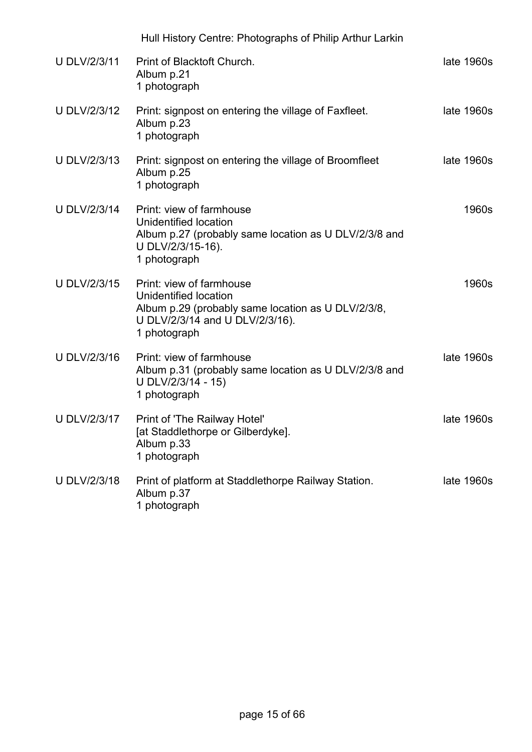|                     | Hull History Centre: Photographs of Philip Arthur Larkin                                                                                                   |            |
|---------------------|------------------------------------------------------------------------------------------------------------------------------------------------------------|------------|
| <b>U DLV/2/3/11</b> | Print of Blacktoft Church.<br>Album p.21<br>1 photograph                                                                                                   | late 1960s |
| <b>U DLV/2/3/12</b> | Print: signpost on entering the village of Faxfleet.<br>Album p.23<br>1 photograph                                                                         | late 1960s |
| <b>U DLV/2/3/13</b> | Print: signpost on entering the village of Broomfleet<br>Album p.25<br>1 photograph                                                                        | late 1960s |
| U DLV/2/3/14        | Print: view of farmhouse<br>Unidentified location<br>Album p.27 (probably same location as U DLV/2/3/8 and<br>U DLV/2/3/15-16).<br>1 photograph            | 1960s      |
| U DLV/2/3/15        | Print: view of farmhouse<br>Unidentified location<br>Album p.29 (probably same location as U DLV/2/3/8,<br>U DLV/2/3/14 and U DLV/2/3/16).<br>1 photograph | 1960s      |
| U DLV/2/3/16        | Print: view of farmhouse<br>Album p.31 (probably same location as U DLV/2/3/8 and<br>U DLV/2/3/14 - 15)<br>1 photograph                                    | late 1960s |
| <b>U DLV/2/3/17</b> | Print of 'The Railway Hotel'<br>[at Staddlethorpe or Gilberdyke].<br>Album p.33<br>1 photograph                                                            | late 1960s |
| <b>U DLV/2/3/18</b> | Print of platform at Staddlethorpe Railway Station.<br>Album p.37<br>1 photograph                                                                          | late 1960s |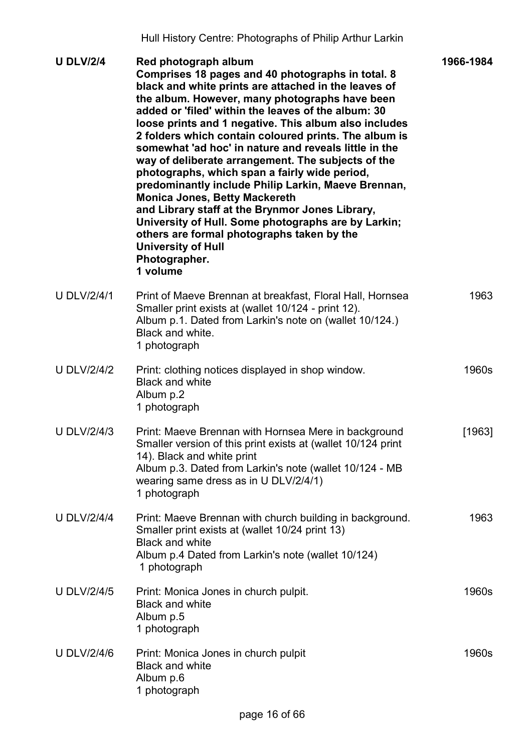| <b>U DLV/2/4</b>   | Red photograph album<br>Comprises 18 pages and 40 photographs in total. 8<br>black and white prints are attached in the leaves of<br>the album. However, many photographs have been<br>added or 'filed' within the leaves of the album: 30<br>loose prints and 1 negative. This album also includes<br>2 folders which contain coloured prints. The album is<br>somewhat 'ad hoc' in nature and reveals little in the<br>way of deliberate arrangement. The subjects of the<br>photographs, which span a fairly wide period,<br>predominantly include Philip Larkin, Maeve Brennan,<br><b>Monica Jones, Betty Mackereth</b><br>and Library staff at the Brynmor Jones Library,<br>University of Hull. Some photographs are by Larkin;<br>others are formal photographs taken by the<br><b>University of Hull</b><br>Photographer.<br>1 volume | 1966-1984 |
|--------------------|-----------------------------------------------------------------------------------------------------------------------------------------------------------------------------------------------------------------------------------------------------------------------------------------------------------------------------------------------------------------------------------------------------------------------------------------------------------------------------------------------------------------------------------------------------------------------------------------------------------------------------------------------------------------------------------------------------------------------------------------------------------------------------------------------------------------------------------------------|-----------|
| <b>U DLV/2/4/1</b> | Print of Maeve Brennan at breakfast, Floral Hall, Hornsea<br>Smaller print exists at (wallet 10/124 - print 12).<br>Album p.1. Dated from Larkin's note on (wallet 10/124.)<br>Black and white.<br>1 photograph                                                                                                                                                                                                                                                                                                                                                                                                                                                                                                                                                                                                                               | 1963      |
| <b>U DLV/2/4/2</b> | Print: clothing notices displayed in shop window.<br><b>Black and white</b><br>Album p.2<br>1 photograph                                                                                                                                                                                                                                                                                                                                                                                                                                                                                                                                                                                                                                                                                                                                      | 1960s     |
| <b>U DLV/2/4/3</b> | Print: Maeve Brennan with Hornsea Mere in background<br>Smaller version of this print exists at (wallet 10/124 print<br>14). Black and white print<br>Album p.3. Dated from Larkin's note (wallet 10/124 - MB<br>wearing same dress as in U DLV/2/4/1)<br>1 photograph                                                                                                                                                                                                                                                                                                                                                                                                                                                                                                                                                                        | [1963]    |
| <b>U DLV/2/4/4</b> | Print: Maeve Brennan with church building in background.<br>Smaller print exists at (wallet 10/24 print 13)<br><b>Black and white</b><br>Album p.4 Dated from Larkin's note (wallet 10/124)<br>1 photograph                                                                                                                                                                                                                                                                                                                                                                                                                                                                                                                                                                                                                                   | 1963      |
| <b>U DLV/2/4/5</b> | Print: Monica Jones in church pulpit.<br><b>Black and white</b><br>Album p.5<br>1 photograph                                                                                                                                                                                                                                                                                                                                                                                                                                                                                                                                                                                                                                                                                                                                                  | 1960s     |
| <b>U DLV/2/4/6</b> | Print: Monica Jones in church pulpit<br><b>Black and white</b><br>Album p.6<br>1 photograph                                                                                                                                                                                                                                                                                                                                                                                                                                                                                                                                                                                                                                                                                                                                                   | 1960s     |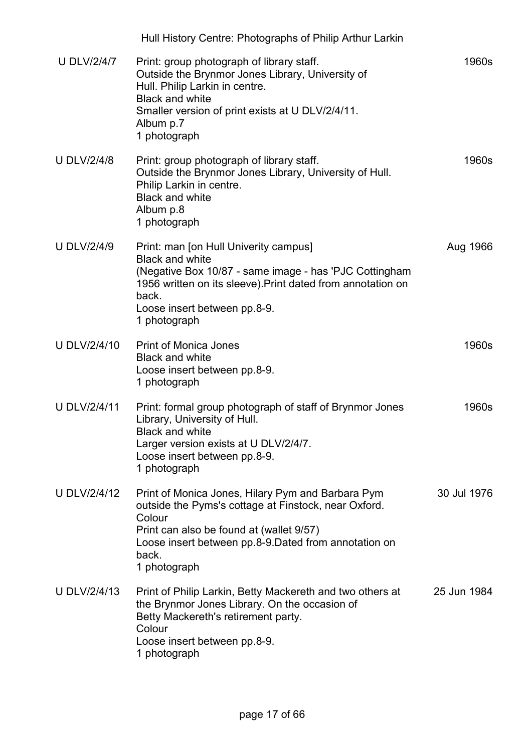|                     | Hull History Centre: Photographs of Philip Arthur Larkin                                                                                                                                                                                          |             |
|---------------------|---------------------------------------------------------------------------------------------------------------------------------------------------------------------------------------------------------------------------------------------------|-------------|
| <b>U DLV/2/4/7</b>  | Print: group photograph of library staff.<br>Outside the Brynmor Jones Library, University of<br>Hull. Philip Larkin in centre.<br><b>Black and white</b><br>Smaller version of print exists at U DLV/2/4/11.<br>Album p.7<br>1 photograph        | 1960s       |
| <b>U DLV/2/4/8</b>  | Print: group photograph of library staff.<br>Outside the Brynmor Jones Library, University of Hull.<br>Philip Larkin in centre.<br><b>Black and white</b><br>Album p.8<br>1 photograph                                                            | 1960s       |
| <b>U DLV/2/4/9</b>  | Print: man [on Hull Univerity campus]<br><b>Black and white</b><br>(Negative Box 10/87 - same image - has 'PJC Cottingham<br>1956 written on its sleeve). Print dated from annotation on<br>back.<br>Loose insert between pp.8-9.<br>1 photograph | Aug 1966    |
| <b>U DLV/2/4/10</b> | <b>Print of Monica Jones</b><br><b>Black and white</b><br>Loose insert between pp.8-9.<br>1 photograph                                                                                                                                            | 1960s       |
| <b>U DLV/2/4/11</b> | Print: formal group photograph of staff of Brynmor Jones<br>Library, University of Hull.<br><b>Black and white</b><br>Larger version exists at U DLV/2/4/7.<br>Loose insert between pp.8-9.<br>1 photograph                                       | 1960s       |
| <b>U DLV/2/4/12</b> | Print of Monica Jones, Hilary Pym and Barbara Pym<br>outside the Pyms's cottage at Finstock, near Oxford.<br>Colour<br>Print can also be found at (wallet 9/57)<br>Loose insert between pp.8-9. Dated from annotation on<br>back.<br>1 photograph | 30 Jul 1976 |
| <b>U DLV/2/4/13</b> | Print of Philip Larkin, Betty Mackereth and two others at<br>the Brynmor Jones Library. On the occasion of<br>Betty Mackereth's retirement party.<br>Colour<br>Loose insert between pp.8-9.<br>1 photograph                                       | 25 Jun 1984 |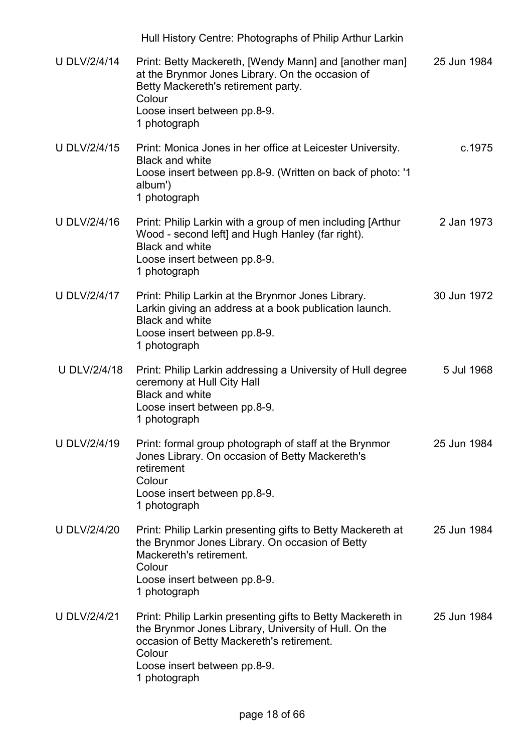|                     | Hull History Centre: Photographs of Philip Arthur Larkin                                                                                                                                                                    |             |
|---------------------|-----------------------------------------------------------------------------------------------------------------------------------------------------------------------------------------------------------------------------|-------------|
| <b>U DLV/2/4/14</b> | Print: Betty Mackereth, [Wendy Mann] and [another man]<br>at the Brynmor Jones Library. On the occasion of<br>Betty Mackereth's retirement party.<br>Colour<br>Loose insert between pp.8-9.<br>1 photograph                 | 25 Jun 1984 |
| <b>U DLV/2/4/15</b> | Print: Monica Jones in her office at Leicester University.<br><b>Black and white</b><br>Loose insert between pp.8-9. (Written on back of photo: '1<br>album')<br>1 photograph                                               | c.1975      |
| <b>U DLV/2/4/16</b> | Print: Philip Larkin with a group of men including [Arthur<br>Wood - second left] and Hugh Hanley (far right).<br><b>Black and white</b><br>Loose insert between pp.8-9.<br>1 photograph                                    | 2 Jan 1973  |
| <b>U DLV/2/4/17</b> | Print: Philip Larkin at the Brynmor Jones Library.<br>Larkin giving an address at a book publication launch.<br><b>Black and white</b><br>Loose insert between pp.8-9.<br>1 photograph                                      | 30 Jun 1972 |
| U DLV/2/4/18        | Print: Philip Larkin addressing a University of Hull degree<br>ceremony at Hull City Hall<br><b>Black and white</b><br>Loose insert between pp.8-9.<br>1 photograph                                                         | 5 Jul 1968  |
| <b>U DLV/2/4/19</b> | Print: formal group photograph of staff at the Brynmor<br>Jones Library. On occasion of Betty Mackereth's<br>retirement<br>Colour<br>Loose insert between pp.8-9.<br>1 photograph                                           | 25 Jun 1984 |
| <b>U DLV/2/4/20</b> | Print: Philip Larkin presenting gifts to Betty Mackereth at<br>the Brynmor Jones Library. On occasion of Betty<br>Mackereth's retirement.<br>Colour<br>Loose insert between pp.8-9.<br>1 photograph                         | 25 Jun 1984 |
| <b>U DLV/2/4/21</b> | Print: Philip Larkin presenting gifts to Betty Mackereth in<br>the Brynmor Jones Library, University of Hull. On the<br>occasion of Betty Mackereth's retirement.<br>Colour<br>Loose insert between pp.8-9.<br>1 photograph | 25 Jun 1984 |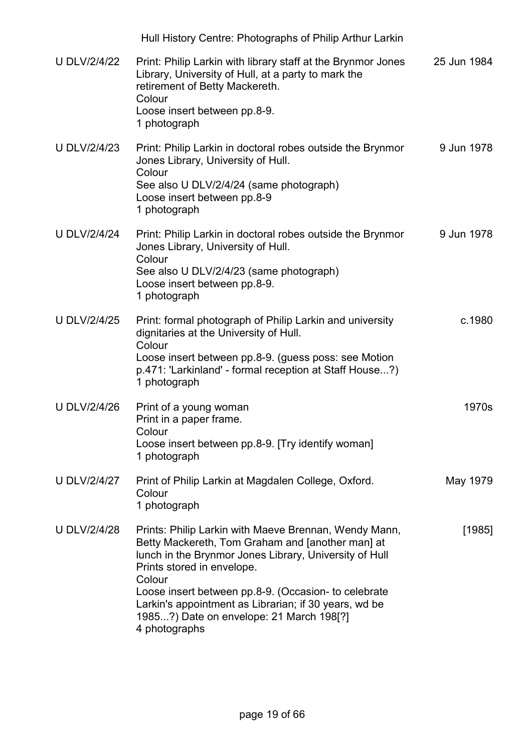|                     | Hull History Centre: Photographs of Philip Arthur Larkin                                                                                                                                                                                                                                                                                                                                  |             |
|---------------------|-------------------------------------------------------------------------------------------------------------------------------------------------------------------------------------------------------------------------------------------------------------------------------------------------------------------------------------------------------------------------------------------|-------------|
| <b>U DLV/2/4/22</b> | Print: Philip Larkin with library staff at the Brynmor Jones<br>Library, University of Hull, at a party to mark the<br>retirement of Betty Mackereth.<br>Colour<br>Loose insert between pp.8-9.<br>1 photograph                                                                                                                                                                           | 25 Jun 1984 |
| <b>U DLV/2/4/23</b> | Print: Philip Larkin in doctoral robes outside the Brynmor<br>Jones Library, University of Hull.<br>Colour<br>See also U DLV/2/4/24 (same photograph)<br>Loose insert between pp.8-9<br>1 photograph                                                                                                                                                                                      | 9 Jun 1978  |
| <b>U DLV/2/4/24</b> | Print: Philip Larkin in doctoral robes outside the Brynmor<br>Jones Library, University of Hull.<br>Colour<br>See also U DLV/2/4/23 (same photograph)<br>Loose insert between pp.8-9.<br>1 photograph                                                                                                                                                                                     | 9 Jun 1978  |
| <b>U DLV/2/4/25</b> | Print: formal photograph of Philip Larkin and university<br>dignitaries at the University of Hull.<br>Colour<br>Loose insert between pp.8-9. (guess poss: see Motion<br>p.471: 'Larkinland' - formal reception at Staff House?)<br>1 photograph                                                                                                                                           | c.1980      |
| <b>U DLV/2/4/26</b> | Print of a young woman<br>Print in a paper frame.<br>Colour<br>Loose insert between pp.8-9. [Try identify woman]<br>1 photograph                                                                                                                                                                                                                                                          | 1970s       |
| <b>U DLV/2/4/27</b> | Print of Philip Larkin at Magdalen College, Oxford.<br>Colour<br>1 photograph                                                                                                                                                                                                                                                                                                             | May 1979    |
| <b>U DLV/2/4/28</b> | Prints: Philip Larkin with Maeve Brennan, Wendy Mann,<br>Betty Mackereth, Tom Graham and [another man] at<br>lunch in the Brynmor Jones Library, University of Hull<br>Prints stored in envelope.<br>Colour<br>Loose insert between pp.8-9. (Occasion- to celebrate<br>Larkin's appointment as Librarian; if 30 years, wd be<br>1985?) Date on envelope: 21 March 198[?]<br>4 photographs | [1985]      |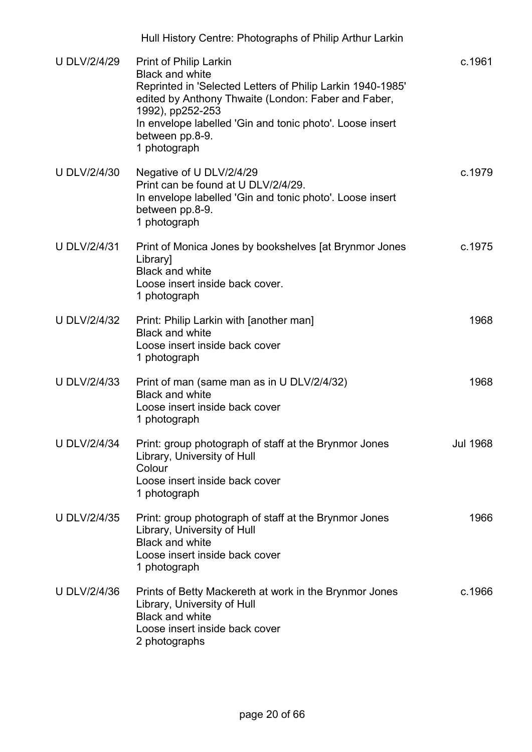| <b>U DLV/2/4/29</b> | <b>Print of Philip Larkin</b><br><b>Black and white</b><br>Reprinted in 'Selected Letters of Philip Larkin 1940-1985'<br>edited by Anthony Thwaite (London: Faber and Faber,<br>1992), pp252-253<br>In envelope labelled 'Gin and tonic photo'. Loose insert<br>between pp.8-9.<br>1 photograph | c.1961          |
|---------------------|-------------------------------------------------------------------------------------------------------------------------------------------------------------------------------------------------------------------------------------------------------------------------------------------------|-----------------|
| <b>U DLV/2/4/30</b> | Negative of U DLV/2/4/29<br>Print can be found at U DLV/2/4/29.<br>In envelope labelled 'Gin and tonic photo'. Loose insert<br>between pp.8-9.<br>1 photograph                                                                                                                                  | c.1979          |
| <b>U DLV/2/4/31</b> | Print of Monica Jones by bookshelves [at Brynmor Jones<br>Library]<br><b>Black and white</b><br>Loose insert inside back cover.<br>1 photograph                                                                                                                                                 | c.1975          |
| <b>U DLV/2/4/32</b> | Print: Philip Larkin with [another man]<br><b>Black and white</b><br>Loose insert inside back cover<br>1 photograph                                                                                                                                                                             | 1968            |
| <b>U DLV/2/4/33</b> | Print of man (same man as in U DLV/2/4/32)<br><b>Black and white</b><br>Loose insert inside back cover<br>1 photograph                                                                                                                                                                          | 1968            |
| <b>U DLV/2/4/34</b> | Print: group photograph of staff at the Brynmor Jones<br>Library, University of Hull<br>Colour<br>Loose insert inside back cover<br>1 photograph                                                                                                                                                | <b>Jul 1968</b> |
| <b>U DLV/2/4/35</b> | Print: group photograph of staff at the Brynmor Jones<br>Library, University of Hull<br><b>Black and white</b><br>Loose insert inside back cover<br>1 photograph                                                                                                                                | 1966            |
| <b>U DLV/2/4/36</b> | Prints of Betty Mackereth at work in the Brynmor Jones<br>Library, University of Hull<br><b>Black and white</b><br>Loose insert inside back cover<br>2 photographs                                                                                                                              | c.1966          |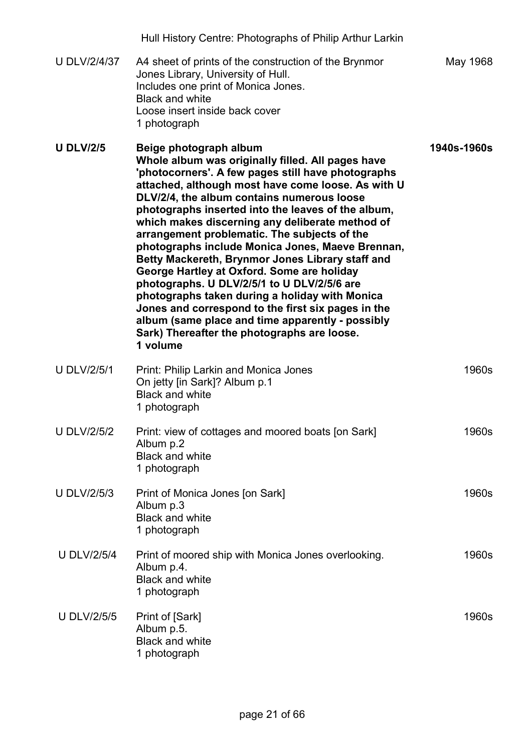|                     | Hull History Centre: Photographs of Philip Arthur Larkin                                                                                                                                                                                                                                                                                                                                                                                                                                                                                                                                                                                                                                                                                                                                                                   |             |
|---------------------|----------------------------------------------------------------------------------------------------------------------------------------------------------------------------------------------------------------------------------------------------------------------------------------------------------------------------------------------------------------------------------------------------------------------------------------------------------------------------------------------------------------------------------------------------------------------------------------------------------------------------------------------------------------------------------------------------------------------------------------------------------------------------------------------------------------------------|-------------|
| <b>U DLV/2/4/37</b> | A4 sheet of prints of the construction of the Brynmor<br>Jones Library, University of Hull.<br>Includes one print of Monica Jones.<br><b>Black and white</b><br>Loose insert inside back cover<br>1 photograph                                                                                                                                                                                                                                                                                                                                                                                                                                                                                                                                                                                                             | May 1968    |
| <b>U DLV/2/5</b>    | Beige photograph album<br>Whole album was originally filled. All pages have<br>'photocorners'. A few pages still have photographs<br>attached, although most have come loose. As with U<br>DLV/2/4, the album contains numerous loose<br>photographs inserted into the leaves of the album,<br>which makes discerning any deliberate method of<br>arrangement problematic. The subjects of the<br>photographs include Monica Jones, Maeve Brennan,<br>Betty Mackereth, Brynmor Jones Library staff and<br>George Hartley at Oxford. Some are holiday<br>photographs. U DLV/2/5/1 to U DLV/2/5/6 are<br>photographs taken during a holiday with Monica<br>Jones and correspond to the first six pages in the<br>album (same place and time apparently - possibly<br>Sark) Thereafter the photographs are loose.<br>1 volume | 1940s-1960s |
| <b>U DLV/2/5/1</b>  | Print: Philip Larkin and Monica Jones<br>On jetty [in Sark]? Album p.1<br><b>Black and white</b><br>1 photograph                                                                                                                                                                                                                                                                                                                                                                                                                                                                                                                                                                                                                                                                                                           | 1960s       |
| <b>U DLV/2/5/2</b>  | Print: view of cottages and moored boats [on Sark]<br>Album p.2<br><b>Black and white</b><br>1 photograph                                                                                                                                                                                                                                                                                                                                                                                                                                                                                                                                                                                                                                                                                                                  | 1960s       |
| <b>U DLV/2/5/3</b>  | Print of Monica Jones [on Sark]<br>Album p.3<br><b>Black and white</b><br>1 photograph                                                                                                                                                                                                                                                                                                                                                                                                                                                                                                                                                                                                                                                                                                                                     | 1960s       |
| <b>U DLV/2/5/4</b>  | Print of moored ship with Monica Jones overlooking.<br>Album p.4.<br><b>Black and white</b><br>1 photograph                                                                                                                                                                                                                                                                                                                                                                                                                                                                                                                                                                                                                                                                                                                | 1960s       |
| <b>U DLV/2/5/5</b>  | Print of [Sark]<br>Album p.5.<br><b>Black and white</b><br>1 photograph                                                                                                                                                                                                                                                                                                                                                                                                                                                                                                                                                                                                                                                                                                                                                    | 1960s       |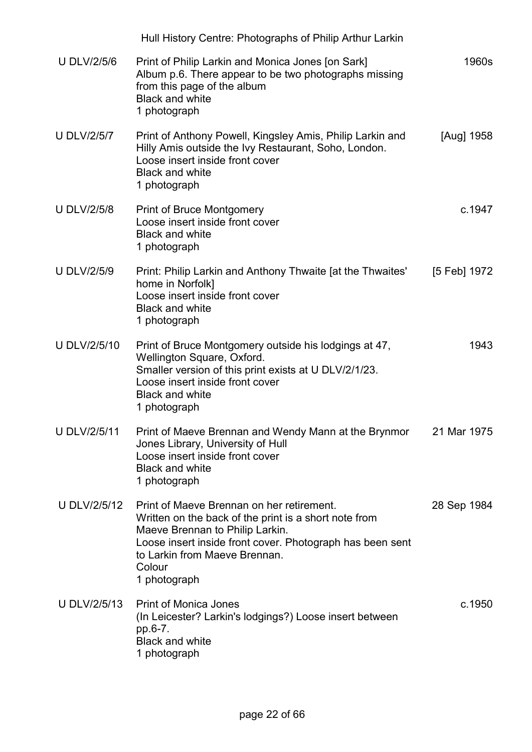|                     | Hull History Centre: Photographs of Philip Arthur Larkin                                                                                                                                                                                                      |              |
|---------------------|---------------------------------------------------------------------------------------------------------------------------------------------------------------------------------------------------------------------------------------------------------------|--------------|
| <b>U DLV/2/5/6</b>  | Print of Philip Larkin and Monica Jones [on Sark]<br>Album p.6. There appear to be two photographs missing<br>from this page of the album<br><b>Black and white</b><br>1 photograph                                                                           | 1960s        |
| <b>U DLV/2/5/7</b>  | Print of Anthony Powell, Kingsley Amis, Philip Larkin and<br>Hilly Amis outside the Ivy Restaurant, Soho, London.<br>Loose insert inside front cover<br><b>Black and white</b><br>1 photograph                                                                | [Aug] 1958   |
| <b>U DLV/2/5/8</b>  | <b>Print of Bruce Montgomery</b><br>Loose insert inside front cover<br><b>Black and white</b><br>1 photograph                                                                                                                                                 | c.1947       |
| <b>U DLV/2/5/9</b>  | Print: Philip Larkin and Anthony Thwaite [at the Thwaites'<br>home in Norfolk]<br>Loose insert inside front cover<br><b>Black and white</b><br>1 photograph                                                                                                   | [5 Feb] 1972 |
| <b>U DLV/2/5/10</b> | Print of Bruce Montgomery outside his lodgings at 47,<br>Wellington Square, Oxford.<br>Smaller version of this print exists at U DLV/2/1/23.<br>Loose insert inside front cover<br><b>Black and white</b><br>1 photograph                                     | 1943         |
| <b>U DLV/2/5/11</b> | Print of Maeve Brennan and Wendy Mann at the Brynmor<br>Jones Library, University of Hull<br>Loose insert inside front cover<br><b>Black and white</b><br>1 photograph                                                                                        | 21 Mar 1975  |
| U DLV/2/5/12        | Print of Maeve Brennan on her retirement.<br>Written on the back of the print is a short note from<br>Maeve Brennan to Philip Larkin.<br>Loose insert inside front cover. Photograph has been sent<br>to Larkin from Maeve Brennan.<br>Colour<br>1 photograph | 28 Sep 1984  |
| U DLV/2/5/13        | <b>Print of Monica Jones</b><br>(In Leicester? Larkin's lodgings?) Loose insert between<br>pp.6-7.<br><b>Black and white</b><br>1 photograph                                                                                                                  | c.1950       |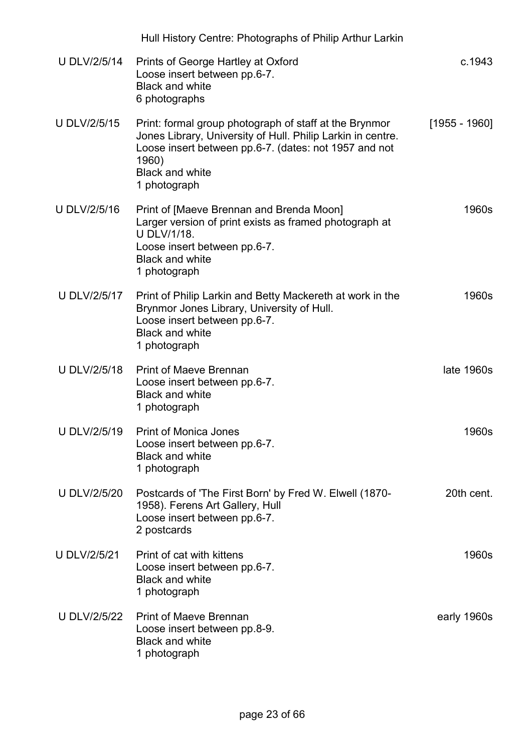|                     | Hull History Centre: Photographs of Philip Arthur Larkin                                                                                                                                                                          |                 |
|---------------------|-----------------------------------------------------------------------------------------------------------------------------------------------------------------------------------------------------------------------------------|-----------------|
| <b>U DLV/2/5/14</b> | Prints of George Hartley at Oxford<br>Loose insert between pp.6-7.<br><b>Black and white</b><br>6 photographs                                                                                                                     | c.1943          |
| U DLV/2/5/15        | Print: formal group photograph of staff at the Brynmor<br>Jones Library, University of Hull. Philip Larkin in centre.<br>Loose insert between pp.6-7. (dates: not 1957 and not<br>1960)<br><b>Black and white</b><br>1 photograph | $[1955 - 1960]$ |
| U DLV/2/5/16        | Print of [Maeve Brennan and Brenda Moon]<br>Larger version of print exists as framed photograph at<br><b>U DLV/1/18.</b><br>Loose insert between pp.6-7.<br><b>Black and white</b><br>1 photograph                                | 1960s           |
| U DLV/2/5/17        | Print of Philip Larkin and Betty Mackereth at work in the<br>Brynmor Jones Library, University of Hull.<br>Loose insert between pp.6-7.<br><b>Black and white</b><br>1 photograph                                                 | 1960s           |
| U DLV/2/5/18        | <b>Print of Maeve Brennan</b><br>Loose insert between pp.6-7.<br><b>Black and white</b><br>1 photograph                                                                                                                           | late 1960s      |
| <b>U DLV/2/5/19</b> | <b>Print of Monica Jones</b><br>Loose insert between pp.6-7.<br><b>Black and white</b><br>1 photograph                                                                                                                            | 1960s           |
| <b>U DLV/2/5/20</b> | Postcards of 'The First Born' by Fred W. Elwell (1870-<br>1958). Ferens Art Gallery, Hull<br>Loose insert between pp.6-7.<br>2 postcards                                                                                          | 20th cent.      |
| <b>U DLV/2/5/21</b> | Print of cat with kittens<br>Loose insert between pp.6-7.<br><b>Black and white</b><br>1 photograph                                                                                                                               | 1960s           |
| U DLV/2/5/22        | <b>Print of Maeve Brennan</b><br>Loose insert between pp.8-9.<br><b>Black and white</b><br>1 photograph                                                                                                                           | early 1960s     |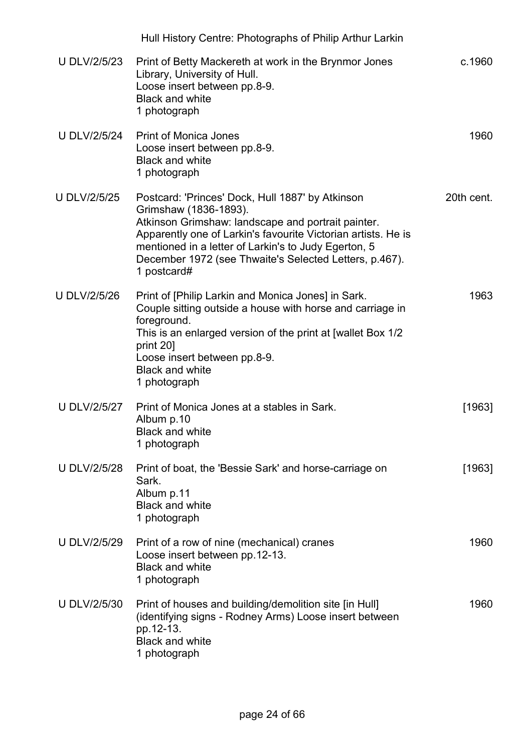|                     | Hull History Centre: Photographs of Philip Arthur Larkin                                                                                                                                                                                                                                                                          |            |
|---------------------|-----------------------------------------------------------------------------------------------------------------------------------------------------------------------------------------------------------------------------------------------------------------------------------------------------------------------------------|------------|
| <b>U DLV/2/5/23</b> | Print of Betty Mackereth at work in the Brynmor Jones<br>Library, University of Hull.<br>Loose insert between pp.8-9.<br><b>Black and white</b><br>1 photograph                                                                                                                                                                   | c.1960     |
| <b>U DLV/2/5/24</b> | <b>Print of Monica Jones</b><br>Loose insert between pp.8-9.<br><b>Black and white</b><br>1 photograph                                                                                                                                                                                                                            | 1960       |
| <b>U DLV/2/5/25</b> | Postcard: 'Princes' Dock, Hull 1887' by Atkinson<br>Grimshaw (1836-1893).<br>Atkinson Grimshaw: landscape and portrait painter.<br>Apparently one of Larkin's favourite Victorian artists. He is<br>mentioned in a letter of Larkin's to Judy Egerton, 5<br>December 1972 (see Thwaite's Selected Letters, p.467).<br>1 postcard# | 20th cent. |
| <b>U DLV/2/5/26</b> | Print of [Philip Larkin and Monica Jones] in Sark.<br>Couple sitting outside a house with horse and carriage in<br>foreground.<br>This is an enlarged version of the print at [wallet Box 1/2<br>print 20]<br>Loose insert between pp.8-9.<br><b>Black and white</b><br>1 photograph                                              | 1963       |
| <b>U DLV/2/5/27</b> | Print of Monica Jones at a stables in Sark.<br>Album p.10<br><b>Black and white</b><br>1 photograph                                                                                                                                                                                                                               | [1963]     |
| <b>U DLV/2/5/28</b> | Print of boat, the 'Bessie Sark' and horse-carriage on<br>Sark.<br>Album p.11<br><b>Black and white</b><br>1 photograph                                                                                                                                                                                                           | [1963]     |
| <b>U DLV/2/5/29</b> | Print of a row of nine (mechanical) cranes<br>Loose insert between pp.12-13.<br><b>Black and white</b><br>1 photograph                                                                                                                                                                                                            | 1960       |
| <b>U DLV/2/5/30</b> | Print of houses and building/demolition site [in Hull]<br>(identifying signs - Rodney Arms) Loose insert between<br>pp.12-13.<br><b>Black and white</b><br>1 photograph                                                                                                                                                           | 1960       |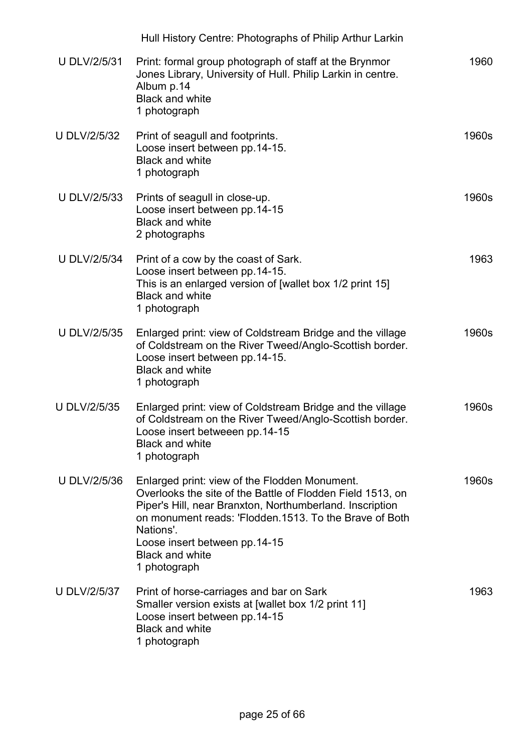|                     | Hull History Centre: Photographs of Philip Arthur Larkin                                                                                                                                                                                                                                                                  |       |
|---------------------|---------------------------------------------------------------------------------------------------------------------------------------------------------------------------------------------------------------------------------------------------------------------------------------------------------------------------|-------|
| <b>U DLV/2/5/31</b> | Print: formal group photograph of staff at the Brynmor<br>Jones Library, University of Hull. Philip Larkin in centre.<br>Album p.14<br><b>Black and white</b><br>1 photograph                                                                                                                                             | 1960  |
| <b>U DLV/2/5/32</b> | Print of seagull and footprints.<br>Loose insert between pp.14-15.<br><b>Black and white</b><br>1 photograph                                                                                                                                                                                                              | 1960s |
| U DLV/2/5/33        | Prints of seagull in close-up.<br>Loose insert between pp.14-15<br><b>Black and white</b><br>2 photographs                                                                                                                                                                                                                | 1960s |
| <b>U DLV/2/5/34</b> | Print of a cow by the coast of Sark.<br>Loose insert between pp.14-15.<br>This is an enlarged version of [wallet box 1/2 print 15]<br><b>Black and white</b><br>1 photograph                                                                                                                                              | 1963  |
| U DLV/2/5/35        | Enlarged print: view of Coldstream Bridge and the village<br>of Coldstream on the River Tweed/Anglo-Scottish border.<br>Loose insert between pp.14-15.<br><b>Black and white</b><br>1 photograph                                                                                                                          | 1960s |
| <b>U DLV/2/5/35</b> | Enlarged print: view of Coldstream Bridge and the village<br>of Coldstream on the River Tweed/Anglo-Scottish border.<br>Loose insert betweeen pp.14-15<br><b>Black and white</b><br>1 photograph                                                                                                                          | 1960s |
| U DLV/2/5/36        | Enlarged print: view of the Flodden Monument.<br>Overlooks the site of the Battle of Flodden Field 1513, on<br>Piper's Hill, near Branxton, Northumberland. Inscription<br>on monument reads: 'Flodden.1513. To the Brave of Both<br>Nations'.<br>Loose insert between pp.14-15<br><b>Black and white</b><br>1 photograph | 1960s |
| <b>U DLV/2/5/37</b> | Print of horse-carriages and bar on Sark<br>Smaller version exists at [wallet box 1/2 print 11]<br>Loose insert between pp.14-15<br><b>Black and white</b><br>1 photograph                                                                                                                                                | 1963  |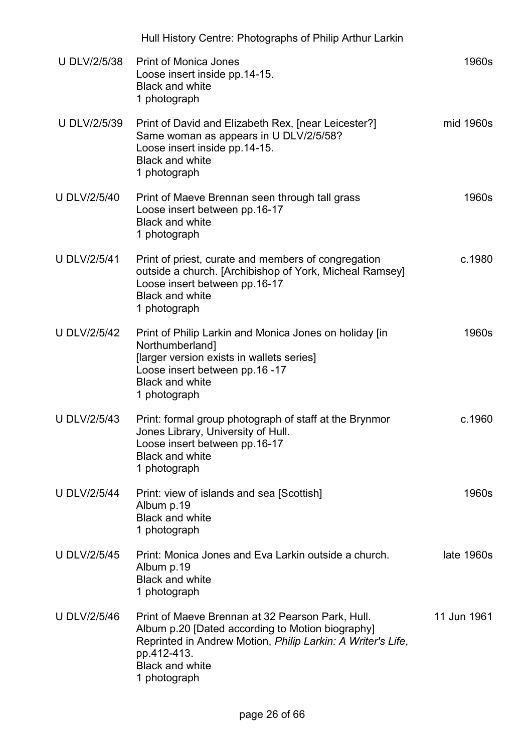|                     | Hull History Centre: Photographs of Philip Arthur Larkin                                                                                                                                                                     |             |
|---------------------|------------------------------------------------------------------------------------------------------------------------------------------------------------------------------------------------------------------------------|-------------|
| <b>U DLV/2/5/38</b> | <b>Print of Monica Jones</b><br>Loose insert inside pp.14-15.<br><b>Black and white</b><br>1 photograph                                                                                                                      | 1960s       |
| U DLV/2/5/39        | Print of David and Elizabeth Rex, [near Leicester?]<br>Same woman as appears in U DLV/2/5/58?<br>Loose insert inside pp.14-15.<br><b>Black and white</b><br>1 photograph                                                     | mid 1960s   |
| <b>U DLV/2/5/40</b> | Print of Maeve Brennan seen through tall grass<br>Loose insert between pp.16-17<br><b>Black and white</b><br>1 photograph                                                                                                    | 1960s       |
| <b>U DLV/2/5/41</b> | Print of priest, curate and members of congregation<br>outside a church. [Archibishop of York, Micheal Ramsey]<br>Loose insert between pp.16-17<br><b>Black and white</b><br>1 photograph                                    | c.1980      |
| <b>U DLV/2/5/42</b> | Print of Philip Larkin and Monica Jones on holiday [in<br>Northumberland]<br>[larger version exists in wallets series]<br>Loose insert between pp.16 -17<br><b>Black and white</b><br>1 photograph                           | 1960s       |
| <b>U DLV/2/5/43</b> | Print: formal group photograph of staff at the Brynmor<br>Jones Library, University of Hull.<br>Loose insert between pp.16-17<br><b>Black and white</b><br>1 photograph                                                      | c.1960      |
| <b>U DLV/2/5/44</b> | Print: view of islands and sea [Scottish]<br>Album p.19<br><b>Black and white</b><br>1 photograph                                                                                                                            | 1960s       |
| <b>U DLV/2/5/45</b> | Print: Monica Jones and Eva Larkin outside a church.<br>Album p.19<br><b>Black and white</b><br>1 photograph                                                                                                                 | late 1960s  |
| <b>U DLV/2/5/46</b> | Print of Maeve Brennan at 32 Pearson Park, Hull.<br>Album p.20 [Dated according to Motion biography]<br>Reprinted in Andrew Motion, Philip Larkin: A Writer's Life,<br>pp.412-413.<br><b>Black and white</b><br>1 photograph | 11 Jun 1961 |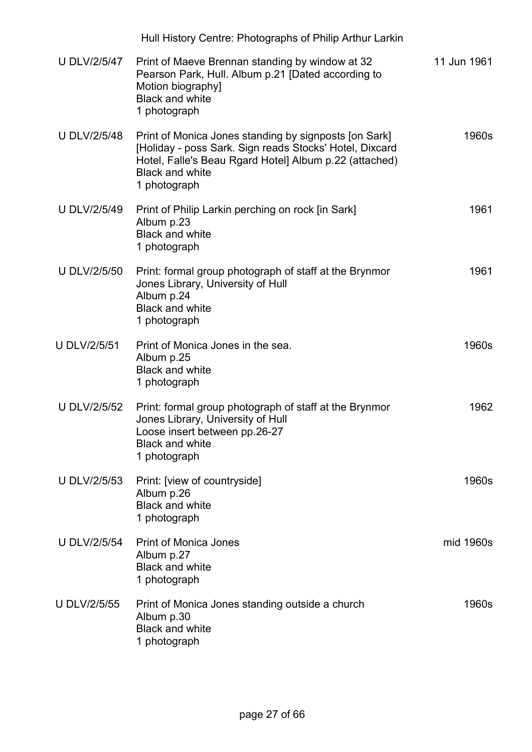|                     | Hull History Centre: Photographs of Philip Arthur Larkin                                                                                                                                                             |             |
|---------------------|----------------------------------------------------------------------------------------------------------------------------------------------------------------------------------------------------------------------|-------------|
| <b>U DLV/2/5/47</b> | Print of Maeve Brennan standing by window at 32<br>Pearson Park, Hull. Album p.21 [Dated according to<br>Motion biography]<br><b>Black and white</b><br>1 photograph                                                 | 11 Jun 1961 |
| <b>U DLV/2/5/48</b> | Print of Monica Jones standing by signposts [on Sark]<br>[Holiday - poss Sark. Sign reads Stocks' Hotel, Dixcard<br>Hotel, Falle's Beau Rgard Hotel] Album p.22 (attached)<br><b>Black and white</b><br>1 photograph | 1960s       |
| <b>U DLV/2/5/49</b> | Print of Philip Larkin perching on rock [in Sark]<br>Album p.23<br><b>Black and white</b><br>1 photograph                                                                                                            | 1961        |
| <b>U DLV/2/5/50</b> | Print: formal group photograph of staff at the Brynmor<br>Jones Library, University of Hull<br>Album p.24<br><b>Black and white</b><br>1 photograph                                                                  | 1961        |
| <b>U DLV/2/5/51</b> | Print of Monica Jones in the sea.<br>Album p.25<br><b>Black and white</b><br>1 photograph                                                                                                                            | 1960s       |
| <b>U DLV/2/5/52</b> | Print: formal group photograph of staff at the Brynmor<br>Jones Library, University of Hull<br>Loose insert between pp.26-27<br><b>Black and white</b><br>1 photograph                                               | 1962        |
| <b>U DLV/2/5/53</b> | Print: [view of countryside]<br>Album p.26<br><b>Black and white</b><br>1 photograph                                                                                                                                 | 1960s       |
| <b>U DLV/2/5/54</b> | <b>Print of Monica Jones</b><br>Album p.27<br><b>Black and white</b><br>1 photograph                                                                                                                                 | mid 1960s   |
| <b>U DLV/2/5/55</b> | Print of Monica Jones standing outside a church<br>Album p.30<br><b>Black and white</b><br>1 photograph                                                                                                              | 1960s       |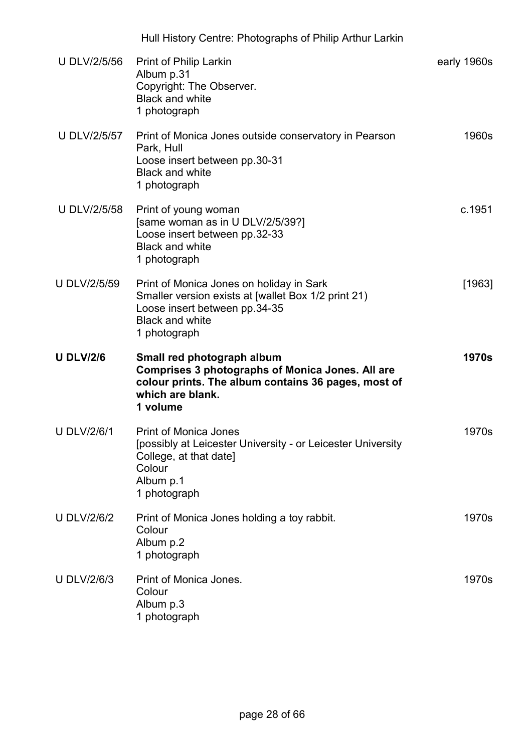| <b>U DLV/2/5/56</b> | <b>Print of Philip Larkin</b><br>Album p.31<br>Copyright: The Observer.<br><b>Black and white</b><br>1 photograph                                                            | early 1960s  |
|---------------------|------------------------------------------------------------------------------------------------------------------------------------------------------------------------------|--------------|
| <b>U DLV/2/5/57</b> | Print of Monica Jones outside conservatory in Pearson<br>Park, Hull<br>Loose insert between pp.30-31<br><b>Black and white</b><br>1 photograph                               | 1960s        |
| <b>U DLV/2/5/58</b> | Print of young woman<br>[same woman as in U DLV/2/5/39?]<br>Loose insert between pp.32-33<br><b>Black and white</b><br>1 photograph                                          | c.1951       |
| <b>U DLV/2/5/59</b> | Print of Monica Jones on holiday in Sark<br>Smaller version exists at [wallet Box 1/2 print 21)<br>Loose insert between pp.34-35<br><b>Black and white</b><br>1 photograph   | [1963]       |
| <b>U DLV/2/6</b>    | Small red photograph album<br><b>Comprises 3 photographs of Monica Jones. All are</b><br>colour prints. The album contains 36 pages, most of<br>which are blank.<br>1 volume | <b>1970s</b> |
| <b>U DLV/2/6/1</b>  | <b>Print of Monica Jones</b><br>[possibly at Leicester University - or Leicester University<br>College, at that date]<br>Colour<br>Album p.1<br>1 photograph                 | 1970s        |
| <b>U DLV/2/6/2</b>  | Print of Monica Jones holding a toy rabbit.<br>Colour<br>Album p.2<br>1 photograph                                                                                           | 1970s        |
| <b>U DLV/2/6/3</b>  | Print of Monica Jones.<br>Colour<br>Album p.3<br>1 photograph                                                                                                                | 1970s        |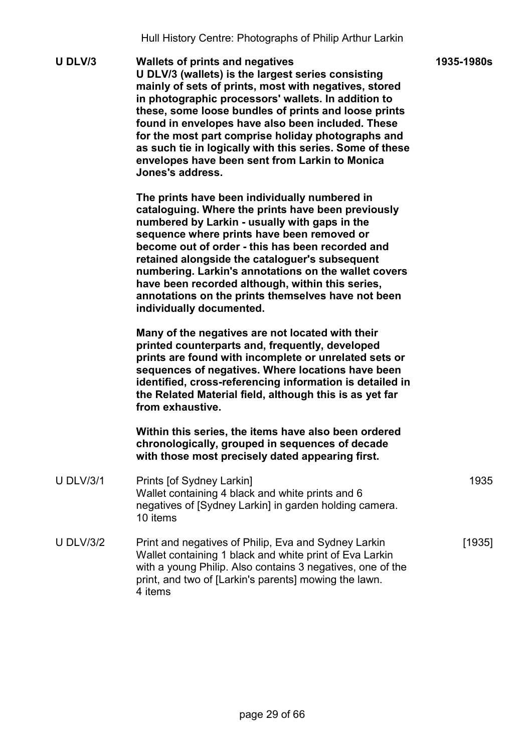1935-1980s

U DLV/3 Wallets of prints and negatives U DLV/3 (wallets) is the largest series consisting mainly of sets of prints, most with negatives, stored in photographic processors' wallets. In addition to these, some loose bundles of prints and loose prints found in envelopes have also been included. These for the most part comprise holiday photographs and as such tie in logically with this series. Some of these envelopes have been sent from Larkin to Monica Jones's address.

> The prints have been individually numbered in cataloguing. Where the prints have been previously numbered by Larkin - usually with gaps in the sequence where prints have been removed or become out of order - this has been recorded and retained alongside the cataloguer's subsequent numbering. Larkin's annotations on the wallet covers have been recorded although, within this series, annotations on the prints themselves have not been individually documented.

> Many of the negatives are not located with their printed counterparts and, frequently, developed prints are found with incomplete or unrelated sets or sequences of negatives. Where locations have been identified, cross-referencing information is detailed in the Related Material field, although this is as yet far from exhaustive.

Within this series, the items have also been ordered chronologically, grouped in sequences of decade with those most precisely dated appearing first.

- U DLV/3/1 Prints [of Sydney Larkin] Wallet containing 4 black and white prints and 6 negatives of [Sydney Larkin] in garden holding camera. 10 items 1935 U DLV/3/2 Print and negatives of Philip, Eva and Sydney Larkin [1935]
- Wallet containing 1 black and white print of Eva Larkin with a young Philip. Also contains 3 negatives, one of the print, and two of [Larkin's parents] mowing the lawn. 4 items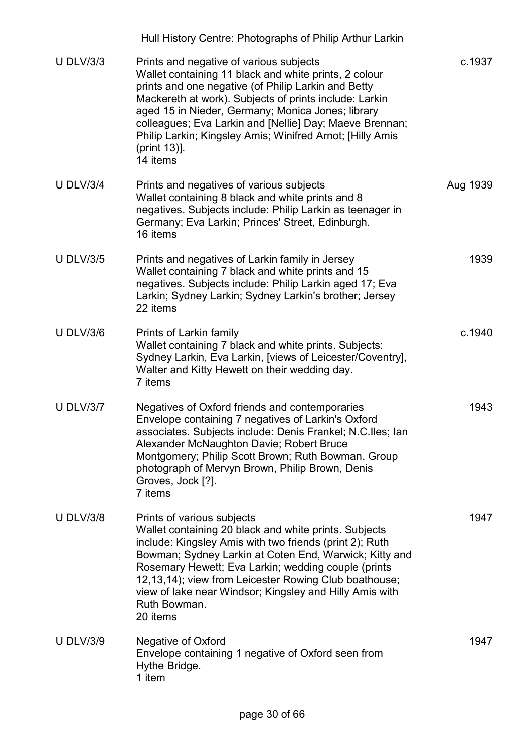|                  | Hull History Centre: Photographs of Philip Arthur Larkin                                                                                                                                                                                                                                                                                                                                                                   |          |
|------------------|----------------------------------------------------------------------------------------------------------------------------------------------------------------------------------------------------------------------------------------------------------------------------------------------------------------------------------------------------------------------------------------------------------------------------|----------|
| <b>U DLV/3/3</b> | Prints and negative of various subjects<br>Wallet containing 11 black and white prints, 2 colour<br>prints and one negative (of Philip Larkin and Betty<br>Mackereth at work). Subjects of prints include: Larkin<br>aged 15 in Nieder, Germany; Monica Jones; library<br>colleagues; Eva Larkin and [Nellie] Day; Maeve Brennan;<br>Philip Larkin; Kingsley Amis; Winifred Arnot; [Hilly Amis<br>(print 13)].<br>14 items | c.1937   |
| <b>U DLV/3/4</b> | Prints and negatives of various subjects<br>Wallet containing 8 black and white prints and 8<br>negatives. Subjects include: Philip Larkin as teenager in<br>Germany; Eva Larkin; Princes' Street, Edinburgh.<br>16 items                                                                                                                                                                                                  | Aug 1939 |
| <b>U DLV/3/5</b> | Prints and negatives of Larkin family in Jersey<br>Wallet containing 7 black and white prints and 15<br>negatives. Subjects include: Philip Larkin aged 17; Eva<br>Larkin; Sydney Larkin; Sydney Larkin's brother; Jersey<br>22 items                                                                                                                                                                                      | 1939     |
| <b>U DLV/3/6</b> | Prints of Larkin family<br>Wallet containing 7 black and white prints. Subjects:<br>Sydney Larkin, Eva Larkin, [views of Leicester/Coventry],<br>Walter and Kitty Hewett on their wedding day.<br>7 items                                                                                                                                                                                                                  | c.1940   |
| <b>U DLV/3/7</b> | Negatives of Oxford friends and contemporaries<br>Envelope containing 7 negatives of Larkin's Oxford<br>associates. Subjects include: Denis Frankel; N.C.lles; Ian<br>Alexander McNaughton Davie; Robert Bruce<br>Montgomery; Philip Scott Brown; Ruth Bowman. Group<br>photograph of Mervyn Brown, Philip Brown, Denis<br>Groves, Jock [?].<br>7 items                                                                    | 1943     |
| <b>U DLV/3/8</b> | Prints of various subjects<br>Wallet containing 20 black and white prints. Subjects<br>include: Kingsley Amis with two friends (print 2); Ruth<br>Bowman; Sydney Larkin at Coten End, Warwick; Kitty and<br>Rosemary Hewett; Eva Larkin; wedding couple (prints<br>12,13,14); view from Leicester Rowing Club boathouse;<br>view of lake near Windsor; Kingsley and Hilly Amis with<br>Ruth Bowman.<br>20 items            | 1947     |
| <b>U DLV/3/9</b> | Negative of Oxford<br>Envelope containing 1 negative of Oxford seen from<br>Hythe Bridge.<br>1 item                                                                                                                                                                                                                                                                                                                        | 1947     |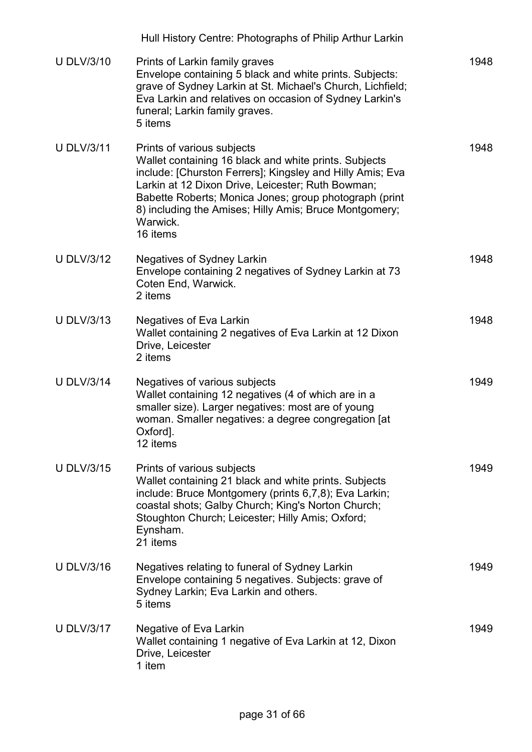|                   | Hull History Centre: Photographs of Philip Arthur Larkin                                                                                                                                                                                                                                                                                          |      |
|-------------------|---------------------------------------------------------------------------------------------------------------------------------------------------------------------------------------------------------------------------------------------------------------------------------------------------------------------------------------------------|------|
| <b>U DLV/3/10</b> | Prints of Larkin family graves<br>Envelope containing 5 black and white prints. Subjects:<br>grave of Sydney Larkin at St. Michael's Church, Lichfield;<br>Eva Larkin and relatives on occasion of Sydney Larkin's<br>funeral; Larkin family graves.<br>5 items                                                                                   | 1948 |
| <b>U DLV/3/11</b> | Prints of various subjects<br>Wallet containing 16 black and white prints. Subjects<br>include: [Churston Ferrers]; Kingsley and Hilly Amis; Eva<br>Larkin at 12 Dixon Drive, Leicester; Ruth Bowman;<br>Babette Roberts; Monica Jones; group photograph (print<br>8) including the Amises; Hilly Amis; Bruce Montgomery;<br>Warwick.<br>16 items | 1948 |
| <b>U DLV/3/12</b> | <b>Negatives of Sydney Larkin</b><br>Envelope containing 2 negatives of Sydney Larkin at 73<br>Coten End, Warwick.<br>2 items                                                                                                                                                                                                                     | 1948 |
| <b>U DLV/3/13</b> | Negatives of Eva Larkin<br>Wallet containing 2 negatives of Eva Larkin at 12 Dixon<br>Drive, Leicester<br>2 items                                                                                                                                                                                                                                 | 1948 |
| <b>U DLV/3/14</b> | Negatives of various subjects<br>Wallet containing 12 negatives (4 of which are in a<br>smaller size). Larger negatives: most are of young<br>woman. Smaller negatives: a degree congregation [at<br>Oxford].<br>12 items                                                                                                                         | 1949 |
| <b>U DLV/3/15</b> | Prints of various subjects<br>Wallet containing 21 black and white prints. Subjects<br>include: Bruce Montgomery (prints 6,7,8); Eva Larkin;<br>coastal shots; Galby Church; King's Norton Church;<br>Stoughton Church; Leicester; Hilly Amis; Oxford;<br>Eynsham.<br>21 items                                                                    | 1949 |
| <b>U DLV/3/16</b> | Negatives relating to funeral of Sydney Larkin<br>Envelope containing 5 negatives. Subjects: grave of<br>Sydney Larkin; Eva Larkin and others.<br>5 items                                                                                                                                                                                         | 1949 |
| <b>U DLV/3/17</b> | Negative of Eva Larkin<br>Wallet containing 1 negative of Eva Larkin at 12, Dixon<br>Drive, Leicester<br>1 item                                                                                                                                                                                                                                   | 1949 |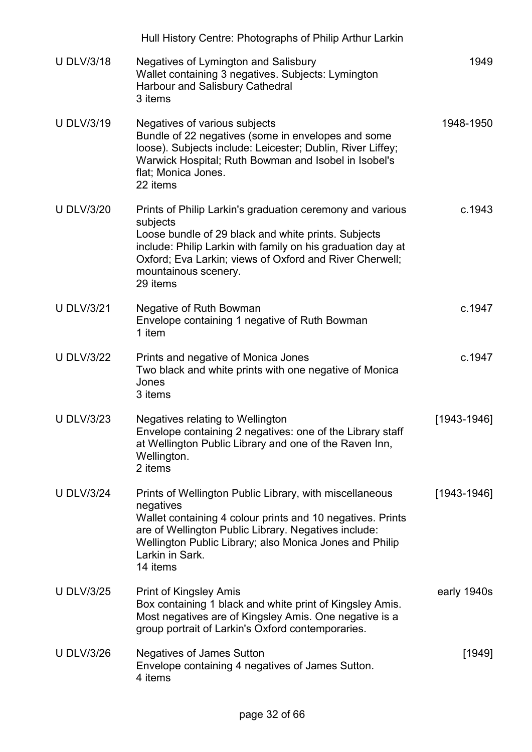|                   | Hull History Centre: Photographs of Philip Arthur Larkin                                                                                                                                                                                                                                   |                 |
|-------------------|--------------------------------------------------------------------------------------------------------------------------------------------------------------------------------------------------------------------------------------------------------------------------------------------|-----------------|
| <b>U DLV/3/18</b> | Negatives of Lymington and Salisbury<br>Wallet containing 3 negatives. Subjects: Lymington<br><b>Harbour and Salisbury Cathedral</b><br>3 items                                                                                                                                            | 1949            |
| <b>U DLV/3/19</b> | Negatives of various subjects<br>Bundle of 22 negatives (some in envelopes and some<br>loose). Subjects include: Leicester; Dublin, River Liffey;<br>Warwick Hospital; Ruth Bowman and Isobel in Isobel's<br>flat; Monica Jones.<br>22 items                                               | 1948-1950       |
| <b>U DLV/3/20</b> | Prints of Philip Larkin's graduation ceremony and various<br>subjects<br>Loose bundle of 29 black and white prints. Subjects<br>include: Philip Larkin with family on his graduation day at<br>Oxford; Eva Larkin; views of Oxford and River Cherwell;<br>mountainous scenery.<br>29 items | c.1943          |
| <b>U DLV/3/21</b> | Negative of Ruth Bowman<br>Envelope containing 1 negative of Ruth Bowman<br>1 item                                                                                                                                                                                                         | c.1947          |
| <b>U DLV/3/22</b> | Prints and negative of Monica Jones<br>Two black and white prints with one negative of Monica<br>Jones<br>3 items                                                                                                                                                                          | c.1947          |
| <b>U DLV/3/23</b> | Negatives relating to Wellington<br>Envelope containing 2 negatives: one of the Library staff<br>at Wellington Public Library and one of the Raven Inn,<br>Wellington.<br>2 items                                                                                                          | $[1943 - 1946]$ |
| <b>U DLV/3/24</b> | Prints of Wellington Public Library, with miscellaneous<br>negatives<br>Wallet containing 4 colour prints and 10 negatives. Prints<br>are of Wellington Public Library. Negatives include:<br>Wellington Public Library; also Monica Jones and Philip<br>Larkin in Sark.<br>14 items       | $[1943 - 1946]$ |
| <b>U DLV/3/25</b> | <b>Print of Kingsley Amis</b><br>Box containing 1 black and white print of Kingsley Amis.<br>Most negatives are of Kingsley Amis. One negative is a<br>group portrait of Larkin's Oxford contemporaries.                                                                                   | early 1940s     |
| <b>U DLV/3/26</b> | <b>Negatives of James Sutton</b><br>Envelope containing 4 negatives of James Sutton.<br>4 items                                                                                                                                                                                            | [1949]          |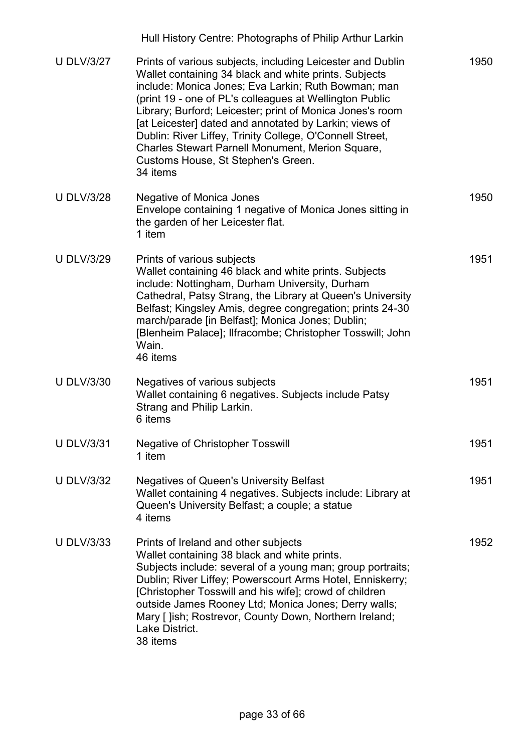|                   | Hull History Centre: Photographs of Philip Arthur Larkin                                                                                                                                                                                                                                                                                                                                                                                                                                                                       |      |
|-------------------|--------------------------------------------------------------------------------------------------------------------------------------------------------------------------------------------------------------------------------------------------------------------------------------------------------------------------------------------------------------------------------------------------------------------------------------------------------------------------------------------------------------------------------|------|
| <b>U DLV/3/27</b> | Prints of various subjects, including Leicester and Dublin<br>Wallet containing 34 black and white prints. Subjects<br>include: Monica Jones; Eva Larkin; Ruth Bowman; man<br>(print 19 - one of PL's colleagues at Wellington Public<br>Library; Burford; Leicester; print of Monica Jones's room<br>[at Leicester] dated and annotated by Larkin; views of<br>Dublin: River Liffey, Trinity College, O'Connell Street,<br>Charles Stewart Parnell Monument, Merion Square,<br>Customs House, St Stephen's Green.<br>34 items | 1950 |
| <b>U DLV/3/28</b> | <b>Negative of Monica Jones</b><br>Envelope containing 1 negative of Monica Jones sitting in<br>the garden of her Leicester flat.<br>1 item                                                                                                                                                                                                                                                                                                                                                                                    | 1950 |
| <b>U DLV/3/29</b> | Prints of various subjects<br>Wallet containing 46 black and white prints. Subjects<br>include: Nottingham, Durham University, Durham<br>Cathedral, Patsy Strang, the Library at Queen's University<br>Belfast; Kingsley Amis, degree congregation; prints 24-30<br>march/parade [in Belfast]; Monica Jones; Dublin;<br>[Blenheim Palace]; Ilfracombe; Christopher Tosswill; John<br>Wain.<br>46 items                                                                                                                         | 1951 |
| <b>U DLV/3/30</b> | Negatives of various subjects<br>Wallet containing 6 negatives. Subjects include Patsy<br>Strang and Philip Larkin.<br>6 items                                                                                                                                                                                                                                                                                                                                                                                                 | 1951 |
| <b>U DLV/3/31</b> | <b>Negative of Christopher Tosswill</b><br>1 item                                                                                                                                                                                                                                                                                                                                                                                                                                                                              | 1951 |
| <b>U DLV/3/32</b> | <b>Negatives of Queen's University Belfast</b><br>Wallet containing 4 negatives. Subjects include: Library at<br>Queen's University Belfast; a couple; a statue<br>4 items                                                                                                                                                                                                                                                                                                                                                     | 1951 |
| <b>U DLV/3/33</b> | Prints of Ireland and other subjects<br>Wallet containing 38 black and white prints.<br>Subjects include: several of a young man; group portraits;<br>Dublin; River Liffey; Powerscourt Arms Hotel, Enniskerry;<br>[Christopher Tosswill and his wife]; crowd of children<br>outside James Rooney Ltd; Monica Jones; Derry walls;<br>Mary [ ]ish; Rostrevor, County Down, Northern Ireland;<br>Lake District.<br>38 items                                                                                                      | 1952 |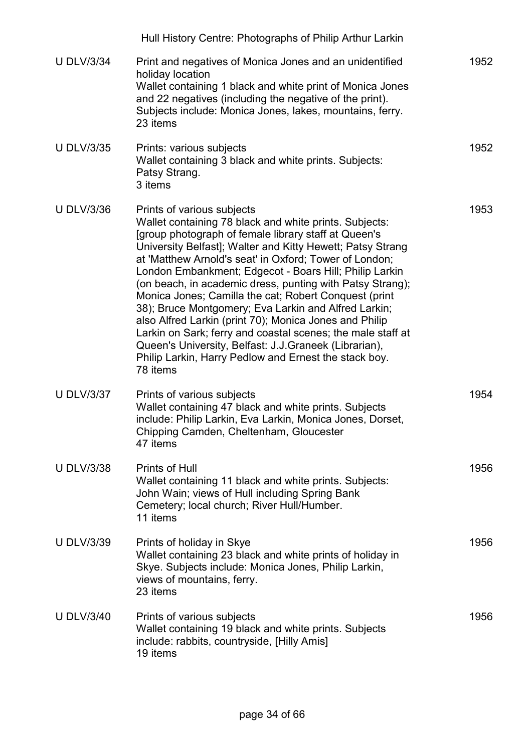|                   | Hull History Centre: Photographs of Philip Arthur Larkin                                                                                                                                                                                                                                                                                                                                                                                                                                                                                                                                                                                                                                                                                                            |      |
|-------------------|---------------------------------------------------------------------------------------------------------------------------------------------------------------------------------------------------------------------------------------------------------------------------------------------------------------------------------------------------------------------------------------------------------------------------------------------------------------------------------------------------------------------------------------------------------------------------------------------------------------------------------------------------------------------------------------------------------------------------------------------------------------------|------|
| <b>U DLV/3/34</b> | Print and negatives of Monica Jones and an unidentified<br>holiday location<br>Wallet containing 1 black and white print of Monica Jones<br>and 22 negatives (including the negative of the print).<br>Subjects include: Monica Jones, lakes, mountains, ferry.<br>23 items                                                                                                                                                                                                                                                                                                                                                                                                                                                                                         | 1952 |
| <b>U DLV/3/35</b> | Prints: various subjects<br>Wallet containing 3 black and white prints. Subjects:<br>Patsy Strang.<br>3 items                                                                                                                                                                                                                                                                                                                                                                                                                                                                                                                                                                                                                                                       | 1952 |
| <b>U DLV/3/36</b> | Prints of various subjects<br>Wallet containing 78 black and white prints. Subjects:<br>[group photograph of female library staff at Queen's<br>University Belfast]; Walter and Kitty Hewett; Patsy Strang<br>at 'Matthew Arnold's seat' in Oxford; Tower of London;<br>London Embankment; Edgecot - Boars Hill; Philip Larkin<br>(on beach, in academic dress, punting with Patsy Strang);<br>Monica Jones; Camilla the cat; Robert Conquest (print<br>38); Bruce Montgomery; Eva Larkin and Alfred Larkin;<br>also Alfred Larkin (print 70); Monica Jones and Philip<br>Larkin on Sark; ferry and coastal scenes; the male staff at<br>Queen's University, Belfast: J.J.Graneek (Librarian),<br>Philip Larkin, Harry Pedlow and Ernest the stack boy.<br>78 items | 1953 |
| <b>U DLV/3/37</b> | Prints of various subjects<br>Wallet containing 47 black and white prints. Subjects<br>include: Philip Larkin, Eva Larkin, Monica Jones, Dorset,<br>Chipping Camden, Cheltenham, Gloucester<br>47 items                                                                                                                                                                                                                                                                                                                                                                                                                                                                                                                                                             | 1954 |
| <b>U DLV/3/38</b> | Prints of Hull<br>Wallet containing 11 black and white prints. Subjects:<br>John Wain; views of Hull including Spring Bank<br>Cemetery; local church; River Hull/Humber.<br>11 items                                                                                                                                                                                                                                                                                                                                                                                                                                                                                                                                                                                | 1956 |
| <b>U DLV/3/39</b> | Prints of holiday in Skye<br>Wallet containing 23 black and white prints of holiday in<br>Skye. Subjects include: Monica Jones, Philip Larkin,<br>views of mountains, ferry.<br>23 items                                                                                                                                                                                                                                                                                                                                                                                                                                                                                                                                                                            | 1956 |
| <b>U DLV/3/40</b> | Prints of various subjects<br>Wallet containing 19 black and white prints. Subjects<br>include: rabbits, countryside, [Hilly Amis]<br>19 items                                                                                                                                                                                                                                                                                                                                                                                                                                                                                                                                                                                                                      | 1956 |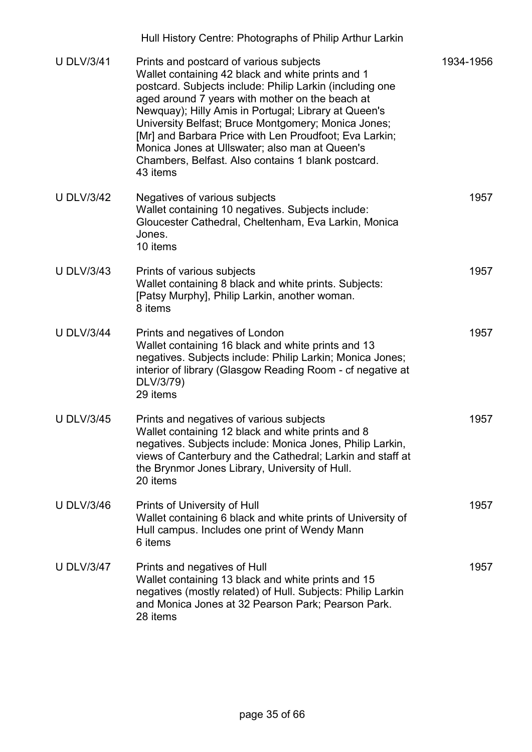|                   | Hull History Centre: Photographs of Philip Arthur Larkin                                                                                                                                                                                                                                                                                                                                                                                                                                                 |           |
|-------------------|----------------------------------------------------------------------------------------------------------------------------------------------------------------------------------------------------------------------------------------------------------------------------------------------------------------------------------------------------------------------------------------------------------------------------------------------------------------------------------------------------------|-----------|
| <b>U DLV/3/41</b> | Prints and postcard of various subjects<br>Wallet containing 42 black and white prints and 1<br>postcard. Subjects include: Philip Larkin (including one<br>aged around 7 years with mother on the beach at<br>Newquay); Hilly Amis in Portugal; Library at Queen's<br>University Belfast; Bruce Montgomery; Monica Jones;<br>[Mr] and Barbara Price with Len Proudfoot; Eva Larkin;<br>Monica Jones at Ullswater; also man at Queen's<br>Chambers, Belfast. Also contains 1 blank postcard.<br>43 items | 1934-1956 |
| <b>U DLV/3/42</b> | Negatives of various subjects<br>Wallet containing 10 negatives. Subjects include:<br>Gloucester Cathedral, Cheltenham, Eva Larkin, Monica<br>Jones.<br>10 items                                                                                                                                                                                                                                                                                                                                         | 1957      |
| <b>U DLV/3/43</b> | Prints of various subjects<br>Wallet containing 8 black and white prints. Subjects:<br>[Patsy Murphy], Philip Larkin, another woman.<br>8 items                                                                                                                                                                                                                                                                                                                                                          | 1957      |
| <b>U DLV/3/44</b> | Prints and negatives of London<br>Wallet containing 16 black and white prints and 13<br>negatives. Subjects include: Philip Larkin; Monica Jones;<br>interior of library (Glasgow Reading Room - cf negative at<br>DLV/3/79)<br>29 items                                                                                                                                                                                                                                                                 | 1957      |
| <b>U DLV/3/45</b> | Prints and negatives of various subjects<br>Wallet containing 12 black and white prints and 8<br>negatives. Subjects include: Monica Jones, Philip Larkin,<br>views of Canterbury and the Cathedral; Larkin and staff at<br>the Brynmor Jones Library, University of Hull.<br>20 items                                                                                                                                                                                                                   | 1957      |
| <b>U DLV/3/46</b> | Prints of University of Hull<br>Wallet containing 6 black and white prints of University of<br>Hull campus. Includes one print of Wendy Mann<br>6 items                                                                                                                                                                                                                                                                                                                                                  | 1957      |
| <b>U DLV/3/47</b> | Prints and negatives of Hull<br>Wallet containing 13 black and white prints and 15<br>negatives (mostly related) of Hull. Subjects: Philip Larkin<br>and Monica Jones at 32 Pearson Park; Pearson Park.<br>28 items                                                                                                                                                                                                                                                                                      | 1957      |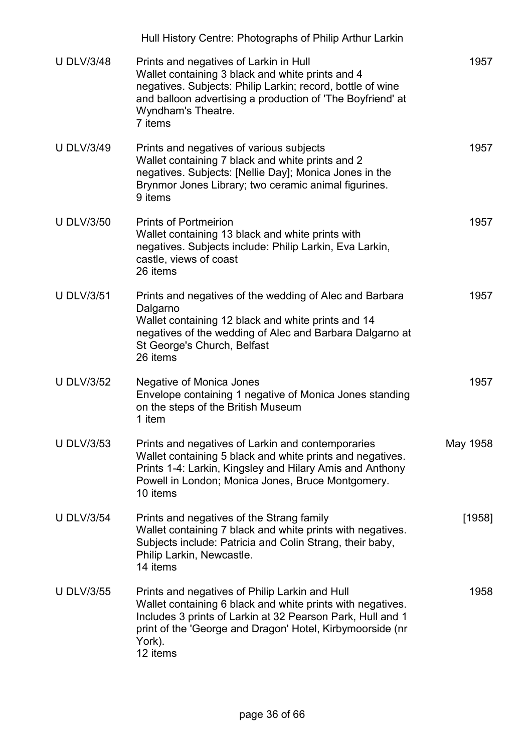|                   | Hull History Centre: Photographs of Philip Arthur Larkin                                                                                                                                                                                                      |          |
|-------------------|---------------------------------------------------------------------------------------------------------------------------------------------------------------------------------------------------------------------------------------------------------------|----------|
| <b>U DLV/3/48</b> | Prints and negatives of Larkin in Hull<br>Wallet containing 3 black and white prints and 4<br>negatives. Subjects: Philip Larkin; record, bottle of wine<br>and balloon advertising a production of 'The Boyfriend' at<br>Wyndham's Theatre.<br>7 items       | 1957     |
| <b>U DLV/3/49</b> | Prints and negatives of various subjects<br>Wallet containing 7 black and white prints and 2<br>negatives. Subjects: [Nellie Day]; Monica Jones in the<br>Brynmor Jones Library; two ceramic animal figurines.<br>9 items                                     | 1957     |
| <b>U DLV/3/50</b> | <b>Prints of Portmeirion</b><br>Wallet containing 13 black and white prints with<br>negatives. Subjects include: Philip Larkin, Eva Larkin,<br>castle, views of coast<br>26 items                                                                             | 1957     |
| <b>U DLV/3/51</b> | Prints and negatives of the wedding of Alec and Barbara<br>Dalgarno<br>Wallet containing 12 black and white prints and 14<br>negatives of the wedding of Alec and Barbara Dalgarno at<br>St George's Church, Belfast<br>26 items                              | 1957     |
| <b>U DLV/3/52</b> | <b>Negative of Monica Jones</b><br>Envelope containing 1 negative of Monica Jones standing<br>on the steps of the British Museum<br>1 item                                                                                                                    | 1957     |
| <b>U DLV/3/53</b> | Prints and negatives of Larkin and contemporaries<br>Wallet containing 5 black and white prints and negatives.<br>Prints 1-4: Larkin, Kingsley and Hilary Amis and Anthony<br>Powell in London; Monica Jones, Bruce Montgomery.<br>10 items                   | May 1958 |
| <b>U DLV/3/54</b> | Prints and negatives of the Strang family<br>Wallet containing 7 black and white prints with negatives.<br>Subjects include: Patricia and Colin Strang, their baby,<br>Philip Larkin, Newcastle.<br>14 items                                                  | $[1958]$ |
| <b>U DLV/3/55</b> | Prints and negatives of Philip Larkin and Hull<br>Wallet containing 6 black and white prints with negatives.<br>Includes 3 prints of Larkin at 32 Pearson Park, Hull and 1<br>print of the 'George and Dragon' Hotel, Kirbymoorside (nr<br>York).<br>12 items | 1958     |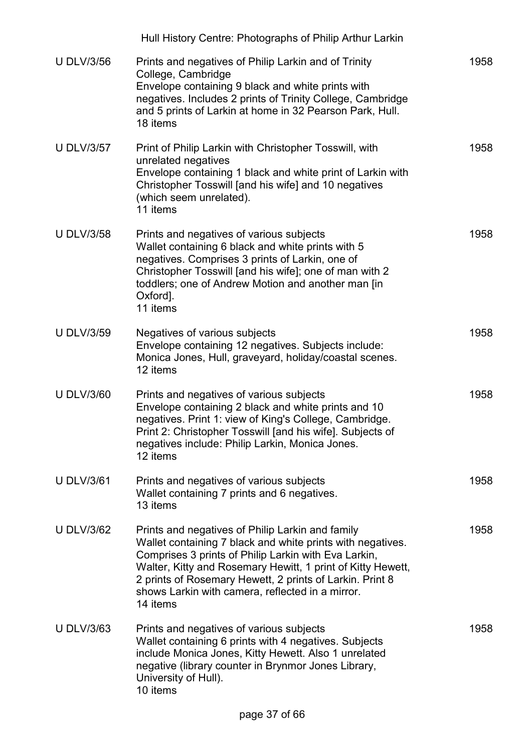|                   | Hull History Centre: Photographs of Philip Arthur Larkin                                                                                                                                                                                                                                                                                                          |      |
|-------------------|-------------------------------------------------------------------------------------------------------------------------------------------------------------------------------------------------------------------------------------------------------------------------------------------------------------------------------------------------------------------|------|
| <b>U DLV/3/56</b> | Prints and negatives of Philip Larkin and of Trinity<br>College, Cambridge<br>Envelope containing 9 black and white prints with<br>negatives. Includes 2 prints of Trinity College, Cambridge<br>and 5 prints of Larkin at home in 32 Pearson Park, Hull.<br>18 items                                                                                             | 1958 |
| <b>U DLV/3/57</b> | Print of Philip Larkin with Christopher Tosswill, with<br>unrelated negatives<br>Envelope containing 1 black and white print of Larkin with<br>Christopher Tosswill [and his wife] and 10 negatives<br>(which seem unrelated).<br>11 items                                                                                                                        | 1958 |
| <b>U DLV/3/58</b> | Prints and negatives of various subjects<br>Wallet containing 6 black and white prints with 5<br>negatives. Comprises 3 prints of Larkin, one of<br>Christopher Tosswill [and his wife]; one of man with 2<br>toddlers; one of Andrew Motion and another man [in<br>Oxford].<br>11 items                                                                          | 1958 |
| <b>U DLV/3/59</b> | Negatives of various subjects<br>Envelope containing 12 negatives. Subjects include:<br>Monica Jones, Hull, graveyard, holiday/coastal scenes.<br>12 items                                                                                                                                                                                                        | 1958 |
| <b>U DLV/3/60</b> | Prints and negatives of various subjects<br>Envelope containing 2 black and white prints and 10<br>negatives. Print 1: view of King's College, Cambridge.<br>Print 2: Christopher Tosswill [and his wife]. Subjects of<br>negatives include: Philip Larkin, Monica Jones.<br>12 items                                                                             | 1958 |
| <b>U DLV/3/61</b> | Prints and negatives of various subjects<br>Wallet containing 7 prints and 6 negatives.<br>13 items                                                                                                                                                                                                                                                               | 1958 |
| <b>U DLV/3/62</b> | Prints and negatives of Philip Larkin and family<br>Wallet containing 7 black and white prints with negatives.<br>Comprises 3 prints of Philip Larkin with Eva Larkin,<br>Walter, Kitty and Rosemary Hewitt, 1 print of Kitty Hewett,<br>2 prints of Rosemary Hewett, 2 prints of Larkin. Print 8<br>shows Larkin with camera, reflected in a mirror.<br>14 items | 1958 |
| <b>U DLV/3/63</b> | Prints and negatives of various subjects<br>Wallet containing 6 prints with 4 negatives. Subjects<br>include Monica Jones, Kitty Hewett. Also 1 unrelated<br>negative (library counter in Brynmor Jones Library,<br>University of Hull).<br>10 items                                                                                                              | 1958 |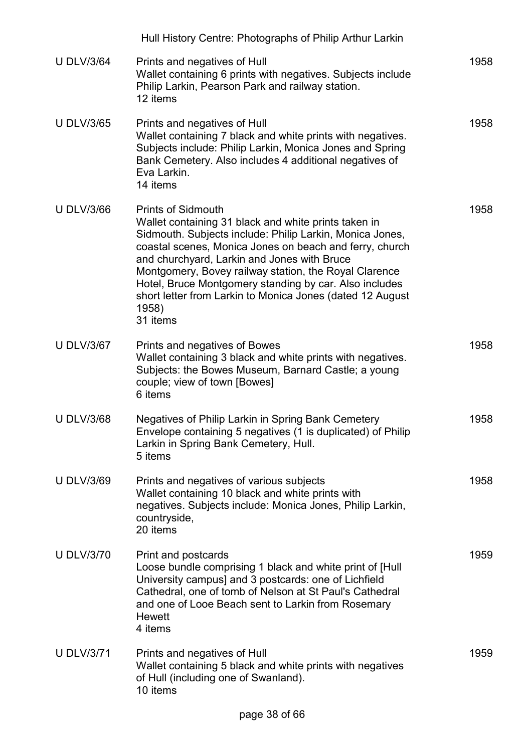|                   | Hull History Centre: Photographs of Philip Arthur Larkin                                                                                                                                                                                                                                                                                                                                                                                                     |      |
|-------------------|--------------------------------------------------------------------------------------------------------------------------------------------------------------------------------------------------------------------------------------------------------------------------------------------------------------------------------------------------------------------------------------------------------------------------------------------------------------|------|
| <b>U DLV/3/64</b> | Prints and negatives of Hull<br>Wallet containing 6 prints with negatives. Subjects include<br>Philip Larkin, Pearson Park and railway station.<br>12 items                                                                                                                                                                                                                                                                                                  | 1958 |
| <b>U DLV/3/65</b> | Prints and negatives of Hull<br>Wallet containing 7 black and white prints with negatives.<br>Subjects include: Philip Larkin, Monica Jones and Spring<br>Bank Cemetery. Also includes 4 additional negatives of<br>Eva Larkin.<br>14 items                                                                                                                                                                                                                  | 1958 |
| <b>U DLV/3/66</b> | <b>Prints of Sidmouth</b><br>Wallet containing 31 black and white prints taken in<br>Sidmouth. Subjects include: Philip Larkin, Monica Jones,<br>coastal scenes, Monica Jones on beach and ferry, church<br>and churchyard, Larkin and Jones with Bruce<br>Montgomery, Bovey railway station, the Royal Clarence<br>Hotel, Bruce Montgomery standing by car. Also includes<br>short letter from Larkin to Monica Jones (dated 12 August<br>1958)<br>31 items | 1958 |
| <b>U DLV/3/67</b> | Prints and negatives of Bowes<br>Wallet containing 3 black and white prints with negatives.<br>Subjects: the Bowes Museum, Barnard Castle; a young<br>couple; view of town [Bowes]<br>6 items                                                                                                                                                                                                                                                                | 1958 |
| <b>U DLV/3/68</b> | Negatives of Philip Larkin in Spring Bank Cemetery<br>Envelope containing 5 negatives (1 is duplicated) of Philip<br>Larkin in Spring Bank Cemetery, Hull.<br>5 items                                                                                                                                                                                                                                                                                        | 1958 |
| <b>U DLV/3/69</b> | Prints and negatives of various subjects<br>Wallet containing 10 black and white prints with<br>negatives. Subjects include: Monica Jones, Philip Larkin,<br>countryside,<br>20 items                                                                                                                                                                                                                                                                        | 1958 |
| <b>U DLV/3/70</b> | Print and postcards<br>Loose bundle comprising 1 black and white print of [Hull]<br>University campus] and 3 postcards: one of Lichfield<br>Cathedral, one of tomb of Nelson at St Paul's Cathedral<br>and one of Looe Beach sent to Larkin from Rosemary<br><b>Hewett</b><br>4 items                                                                                                                                                                        | 1959 |
| <b>U DLV/3/71</b> | Prints and negatives of Hull<br>Wallet containing 5 black and white prints with negatives<br>of Hull (including one of Swanland).<br>10 items                                                                                                                                                                                                                                                                                                                | 1959 |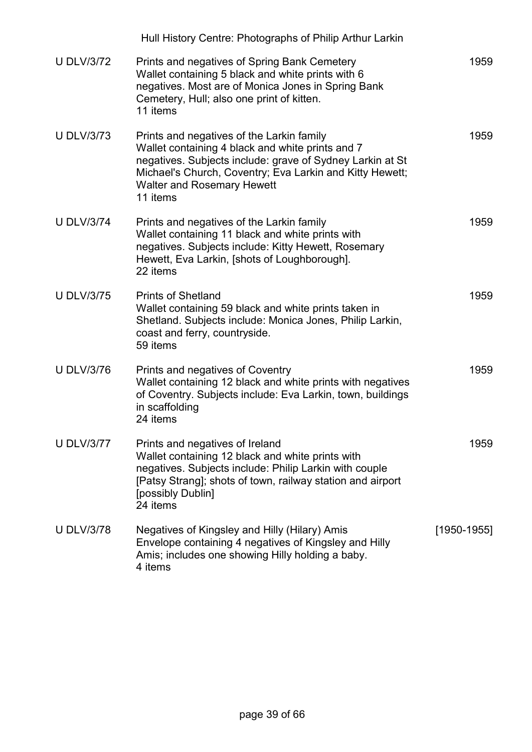|                   | Hull History Centre: Photographs of Philip Arthur Larkin                                                                                                                                                                                                                |                 |
|-------------------|-------------------------------------------------------------------------------------------------------------------------------------------------------------------------------------------------------------------------------------------------------------------------|-----------------|
| <b>U DLV/3/72</b> | Prints and negatives of Spring Bank Cemetery<br>Wallet containing 5 black and white prints with 6<br>negatives. Most are of Monica Jones in Spring Bank<br>Cemetery, Hull; also one print of kitten.<br>11 items                                                        | 1959            |
| <b>U DLV/3/73</b> | Prints and negatives of the Larkin family<br>Wallet containing 4 black and white prints and 7<br>negatives. Subjects include: grave of Sydney Larkin at St<br>Michael's Church, Coventry; Eva Larkin and Kitty Hewett;<br><b>Walter and Rosemary Hewett</b><br>11 items | 1959            |
| <b>U DLV/3/74</b> | Prints and negatives of the Larkin family<br>Wallet containing 11 black and white prints with<br>negatives. Subjects include: Kitty Hewett, Rosemary<br>Hewett, Eva Larkin, [shots of Loughborough].<br>22 items                                                        | 1959            |
| <b>U DLV/3/75</b> | <b>Prints of Shetland</b><br>Wallet containing 59 black and white prints taken in<br>Shetland. Subjects include: Monica Jones, Philip Larkin,<br>coast and ferry, countryside.<br>59 items                                                                              | 1959            |
| <b>U DLV/3/76</b> | Prints and negatives of Coventry<br>Wallet containing 12 black and white prints with negatives<br>of Coventry. Subjects include: Eva Larkin, town, buildings<br>in scaffolding<br>24 items                                                                              | 1959            |
| <b>U DLV/3/77</b> | Prints and negatives of Ireland<br>Wallet containing 12 black and white prints with<br>negatives. Subjects include: Philip Larkin with couple<br>[Patsy Strang]; shots of town, railway station and airport<br>[possibly Dublin]<br>24 items                            | 1959            |
| <b>U DLV/3/78</b> | Negatives of Kingsley and Hilly (Hilary) Amis<br>Envelope containing 4 negatives of Kingsley and Hilly<br>Amis; includes one showing Hilly holding a baby.<br>4 items                                                                                                   | $[1950 - 1955]$ |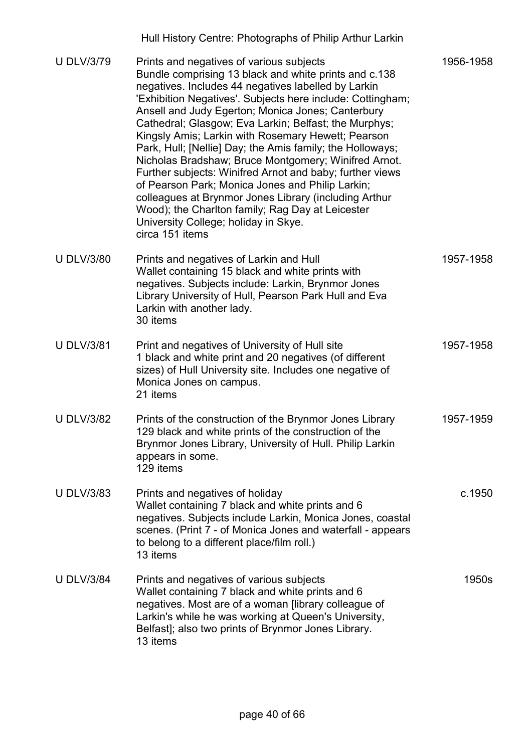| <b>U DLV/3/79</b> | Prints and negatives of various subjects<br>Bundle comprising 13 black and white prints and c.138<br>negatives. Includes 44 negatives labelled by Larkin<br>'Exhibition Negatives'. Subjects here include: Cottingham;<br>Ansell and Judy Egerton; Monica Jones; Canterbury<br>Cathedral; Glasgow; Eva Larkin; Belfast; the Murphys;<br>Kingsly Amis; Larkin with Rosemary Hewett; Pearson<br>Park, Hull; [Nellie] Day; the Amis family; the Holloways;<br>Nicholas Bradshaw; Bruce Montgomery; Winifred Arnot.<br>Further subjects: Winifred Arnot and baby; further views<br>of Pearson Park; Monica Jones and Philip Larkin;<br>colleagues at Brynmor Jones Library (including Arthur<br>Wood); the Charlton family; Rag Day at Leicester<br>University College; holiday in Skye.<br>circa 151 items | 1956-1958 |
|-------------------|---------------------------------------------------------------------------------------------------------------------------------------------------------------------------------------------------------------------------------------------------------------------------------------------------------------------------------------------------------------------------------------------------------------------------------------------------------------------------------------------------------------------------------------------------------------------------------------------------------------------------------------------------------------------------------------------------------------------------------------------------------------------------------------------------------|-----------|
| <b>U DLV/3/80</b> | Prints and negatives of Larkin and Hull<br>Wallet containing 15 black and white prints with<br>negatives. Subjects include: Larkin, Brynmor Jones<br>Library University of Hull, Pearson Park Hull and Eva<br>Larkin with another lady.<br>30 items                                                                                                                                                                                                                                                                                                                                                                                                                                                                                                                                                     | 1957-1958 |
| <b>U DLV/3/81</b> | Print and negatives of University of Hull site<br>1 black and white print and 20 negatives (of different<br>sizes) of Hull University site. Includes one negative of<br>Monica Jones on campus.<br>21 items                                                                                                                                                                                                                                                                                                                                                                                                                                                                                                                                                                                             | 1957-1958 |
| <b>U DLV/3/82</b> | Prints of the construction of the Brynmor Jones Library<br>129 black and white prints of the construction of the<br>Brynmor Jones Library, University of Hull. Philip Larkin<br>appears in some.<br>129 items                                                                                                                                                                                                                                                                                                                                                                                                                                                                                                                                                                                           | 1957-1959 |
| <b>U DLV/3/83</b> | Prints and negatives of holiday<br>Wallet containing 7 black and white prints and 6<br>negatives. Subjects include Larkin, Monica Jones, coastal<br>scenes. (Print 7 - of Monica Jones and waterfall - appears<br>to belong to a different place/film roll.)<br>13 items                                                                                                                                                                                                                                                                                                                                                                                                                                                                                                                                | c.1950    |
| <b>U DLV/3/84</b> | Prints and negatives of various subjects<br>Wallet containing 7 black and white prints and 6<br>negatives. Most are of a woman [library colleague of<br>Larkin's while he was working at Queen's University,<br>Belfast]; also two prints of Brynmor Jones Library.<br>13 items                                                                                                                                                                                                                                                                                                                                                                                                                                                                                                                         | 1950s     |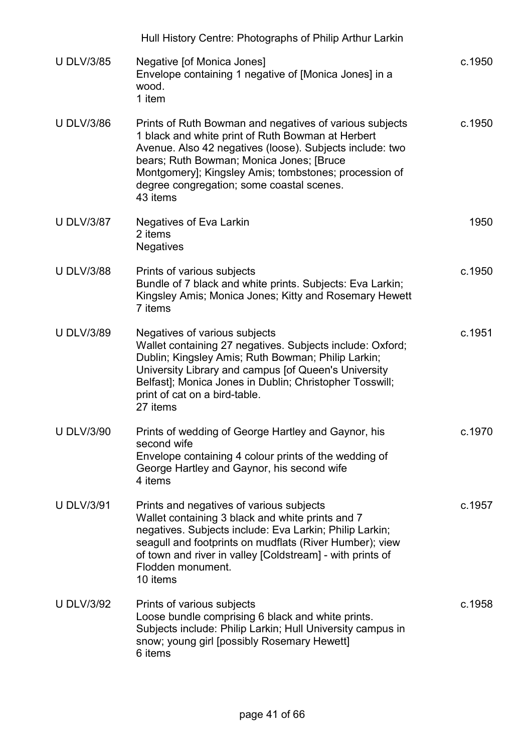|                   | Hull History Centre: Photographs of Philip Arthur Larkin                                                                                                                                                                                                                                                                               |        |
|-------------------|----------------------------------------------------------------------------------------------------------------------------------------------------------------------------------------------------------------------------------------------------------------------------------------------------------------------------------------|--------|
| <b>U DLV/3/85</b> | Negative [of Monica Jones]<br>Envelope containing 1 negative of [Monica Jones] in a<br>wood.<br>1 item                                                                                                                                                                                                                                 | c.1950 |
| <b>U DLV/3/86</b> | Prints of Ruth Bowman and negatives of various subjects<br>1 black and white print of Ruth Bowman at Herbert<br>Avenue. Also 42 negatives (loose). Subjects include: two<br>bears; Ruth Bowman; Monica Jones; [Bruce<br>Montgomery]; Kingsley Amis; tombstones; procession of<br>degree congregation; some coastal scenes.<br>43 items | c.1950 |
| <b>U DLV/3/87</b> | Negatives of Eva Larkin<br>2 items<br><b>Negatives</b>                                                                                                                                                                                                                                                                                 | 1950   |
| <b>U DLV/3/88</b> | Prints of various subjects<br>Bundle of 7 black and white prints. Subjects: Eva Larkin;<br>Kingsley Amis; Monica Jones; Kitty and Rosemary Hewett<br>7 items                                                                                                                                                                           | c.1950 |
| <b>U DLV/3/89</b> | Negatives of various subjects<br>Wallet containing 27 negatives. Subjects include: Oxford;<br>Dublin; Kingsley Amis; Ruth Bowman; Philip Larkin;<br>University Library and campus [of Queen's University<br>Belfast]; Monica Jones in Dublin; Christopher Tosswill;<br>print of cat on a bird-table.<br>27 items                       | c.1951 |
| <b>U DLV/3/90</b> | Prints of wedding of George Hartley and Gaynor, his<br>second wife<br>Envelope containing 4 colour prints of the wedding of<br>George Hartley and Gaynor, his second wife<br>4 items                                                                                                                                                   | c.1970 |
| <b>U DLV/3/91</b> | Prints and negatives of various subjects<br>Wallet containing 3 black and white prints and 7<br>negatives. Subjects include: Eva Larkin; Philip Larkin;<br>seagull and footprints on mudflats (River Humber); view<br>of town and river in valley [Coldstream] - with prints of<br>Flodden monument.<br>10 items                       | c.1957 |
| <b>U DLV/3/92</b> | Prints of various subjects<br>Loose bundle comprising 6 black and white prints.<br>Subjects include: Philip Larkin; Hull University campus in<br>snow; young girl [possibly Rosemary Hewett]<br>6 items                                                                                                                                | c.1958 |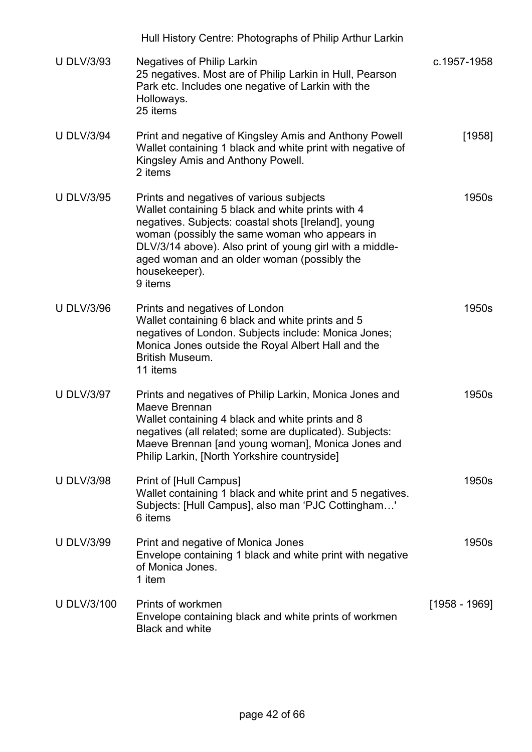|                    | Hull History Centre: Photographs of Philip Arthur Larkin                                                                                                                                                                                                                                                                                     |               |
|--------------------|----------------------------------------------------------------------------------------------------------------------------------------------------------------------------------------------------------------------------------------------------------------------------------------------------------------------------------------------|---------------|
| <b>U DLV/3/93</b>  | <b>Negatives of Philip Larkin</b><br>25 negatives. Most are of Philip Larkin in Hull, Pearson<br>Park etc. Includes one negative of Larkin with the<br>Holloways.<br>25 items                                                                                                                                                                | c.1957-1958   |
| <b>U DLV/3/94</b>  | Print and negative of Kingsley Amis and Anthony Powell<br>Wallet containing 1 black and white print with negative of<br>Kingsley Amis and Anthony Powell.<br>2 items                                                                                                                                                                         | [1958]        |
| <b>U DLV/3/95</b>  | Prints and negatives of various subjects<br>Wallet containing 5 black and white prints with 4<br>negatives. Subjects: coastal shots [Ireland], young<br>woman (possibly the same woman who appears in<br>DLV/3/14 above). Also print of young girl with a middle-<br>aged woman and an older woman (possibly the<br>housekeeper).<br>9 items | 1950s         |
| <b>U DLV/3/96</b>  | Prints and negatives of London<br>Wallet containing 6 black and white prints and 5<br>negatives of London. Subjects include: Monica Jones;<br>Monica Jones outside the Royal Albert Hall and the<br><b>British Museum.</b><br>11 items                                                                                                       | 1950s         |
| <b>U DLV/3/97</b>  | Prints and negatives of Philip Larkin, Monica Jones and<br>Maeve Brennan<br>Wallet containing 4 black and white prints and 8<br>negatives (all related; some are duplicated). Subjects:<br>Maeve Brennan [and young woman], Monica Jones and<br>Philip Larkin, [North Yorkshire countryside]                                                 | 1950s         |
| <b>U DLV/3/98</b>  | Print of [Hull Campus]<br>Wallet containing 1 black and white print and 5 negatives.<br>Subjects: [Hull Campus], also man 'PJC Cottingham'<br>6 items                                                                                                                                                                                        | 1950s         |
| <b>U DLV/3/99</b>  | Print and negative of Monica Jones<br>Envelope containing 1 black and white print with negative<br>of Monica Jones.<br>1 item                                                                                                                                                                                                                | 1950s         |
| <b>U DLV/3/100</b> | Prints of workmen<br>Envelope containing black and white prints of workmen<br><b>Black and white</b>                                                                                                                                                                                                                                         | [1958 - 1969] |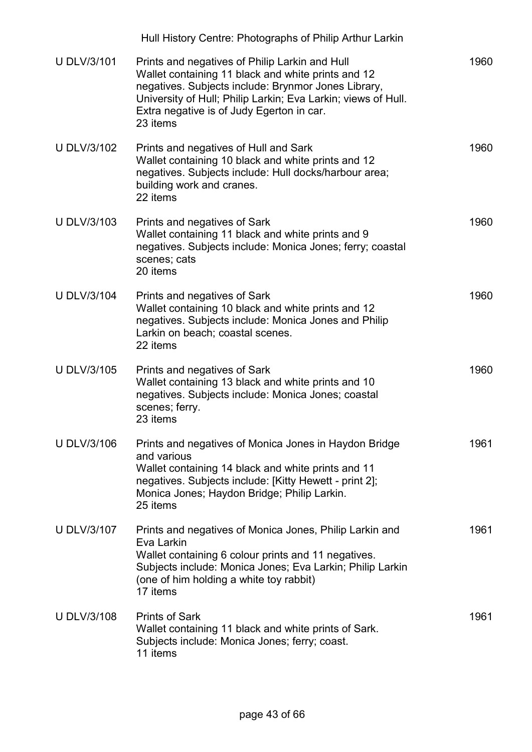|                    | Hull History Centre: Photographs of Philip Arthur Larkin                                                                                                                                                                                                                              |      |
|--------------------|---------------------------------------------------------------------------------------------------------------------------------------------------------------------------------------------------------------------------------------------------------------------------------------|------|
| <b>U DLV/3/101</b> | Prints and negatives of Philip Larkin and Hull<br>Wallet containing 11 black and white prints and 12<br>negatives. Subjects include: Brynmor Jones Library,<br>University of Hull; Philip Larkin; Eva Larkin; views of Hull.<br>Extra negative is of Judy Egerton in car.<br>23 items | 1960 |
| <b>U DLV/3/102</b> | Prints and negatives of Hull and Sark<br>Wallet containing 10 black and white prints and 12<br>negatives. Subjects include: Hull docks/harbour area;<br>building work and cranes.<br>22 items                                                                                         | 1960 |
| <b>U DLV/3/103</b> | Prints and negatives of Sark<br>Wallet containing 11 black and white prints and 9<br>negatives. Subjects include: Monica Jones; ferry; coastal<br>scenes; cats<br>20 items                                                                                                            | 1960 |
| <b>U DLV/3/104</b> | Prints and negatives of Sark<br>Wallet containing 10 black and white prints and 12<br>negatives. Subjects include: Monica Jones and Philip<br>Larkin on beach; coastal scenes.<br>22 items                                                                                            | 1960 |
| <b>U DLV/3/105</b> | Prints and negatives of Sark<br>Wallet containing 13 black and white prints and 10<br>negatives. Subjects include: Monica Jones; coastal<br>scenes; ferry.<br>23 items                                                                                                                | 1960 |
| <b>U DLV/3/106</b> | Prints and negatives of Monica Jones in Haydon Bridge<br>and various<br>Wallet containing 14 black and white prints and 11<br>negatives. Subjects include: [Kitty Hewett - print 2];<br>Monica Jones; Haydon Bridge; Philip Larkin.<br>25 items                                       | 1961 |
| <b>U DLV/3/107</b> | Prints and negatives of Monica Jones, Philip Larkin and<br>Eva Larkin<br>Wallet containing 6 colour prints and 11 negatives.<br>Subjects include: Monica Jones; Eva Larkin; Philip Larkin<br>(one of him holding a white toy rabbit)<br>17 items                                      | 1961 |
| <b>U DLV/3/108</b> | <b>Prints of Sark</b><br>Wallet containing 11 black and white prints of Sark.<br>Subjects include: Monica Jones; ferry; coast.<br>11 items                                                                                                                                            | 1961 |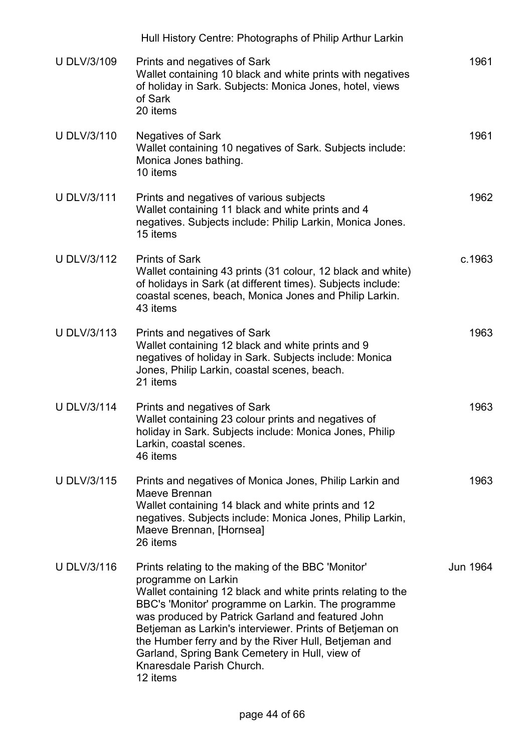|                    | Hull History Centre: Photographs of Philip Arthur Larkin                                                                                                                                                                                                                                                                                                                                                                                                          |          |
|--------------------|-------------------------------------------------------------------------------------------------------------------------------------------------------------------------------------------------------------------------------------------------------------------------------------------------------------------------------------------------------------------------------------------------------------------------------------------------------------------|----------|
| <b>U DLV/3/109</b> | Prints and negatives of Sark<br>Wallet containing 10 black and white prints with negatives<br>of holiday in Sark. Subjects: Monica Jones, hotel, views<br>of Sark<br>20 items                                                                                                                                                                                                                                                                                     | 1961     |
| <b>U DLV/3/110</b> | <b>Negatives of Sark</b><br>Wallet containing 10 negatives of Sark. Subjects include:<br>Monica Jones bathing.<br>10 items                                                                                                                                                                                                                                                                                                                                        | 1961     |
| <b>U DLV/3/111</b> | Prints and negatives of various subjects<br>Wallet containing 11 black and white prints and 4<br>negatives. Subjects include: Philip Larkin, Monica Jones.<br>15 items                                                                                                                                                                                                                                                                                            | 1962     |
| <b>U DLV/3/112</b> | <b>Prints of Sark</b><br>Wallet containing 43 prints (31 colour, 12 black and white)<br>of holidays in Sark (at different times). Subjects include:<br>coastal scenes, beach, Monica Jones and Philip Larkin.<br>43 items                                                                                                                                                                                                                                         | c.1963   |
| U DLV/3/113        | Prints and negatives of Sark<br>Wallet containing 12 black and white prints and 9<br>negatives of holiday in Sark. Subjects include: Monica<br>Jones, Philip Larkin, coastal scenes, beach.<br>21 items                                                                                                                                                                                                                                                           | 1963     |
| <b>U DLV/3/114</b> | Prints and negatives of Sark<br>Wallet containing 23 colour prints and negatives of<br>holiday in Sark. Subjects include: Monica Jones, Philip<br>Larkin, coastal scenes.<br>46 items                                                                                                                                                                                                                                                                             | 1963     |
| U DLV/3/115        | Prints and negatives of Monica Jones, Philip Larkin and<br>Maeve Brennan<br>Wallet containing 14 black and white prints and 12<br>negatives. Subjects include: Monica Jones, Philip Larkin,<br>Maeve Brennan, [Hornsea]<br>26 items                                                                                                                                                                                                                               | 1963     |
| U DLV/3/116        | Prints relating to the making of the BBC 'Monitor'<br>programme on Larkin<br>Wallet containing 12 black and white prints relating to the<br>BBC's 'Monitor' programme on Larkin. The programme<br>was produced by Patrick Garland and featured John<br>Betjeman as Larkin's interviewer. Prints of Betjeman on<br>the Humber ferry and by the River Hull, Betjeman and<br>Garland, Spring Bank Cemetery in Hull, view of<br>Knaresdale Parish Church.<br>12 items | Jun 1964 |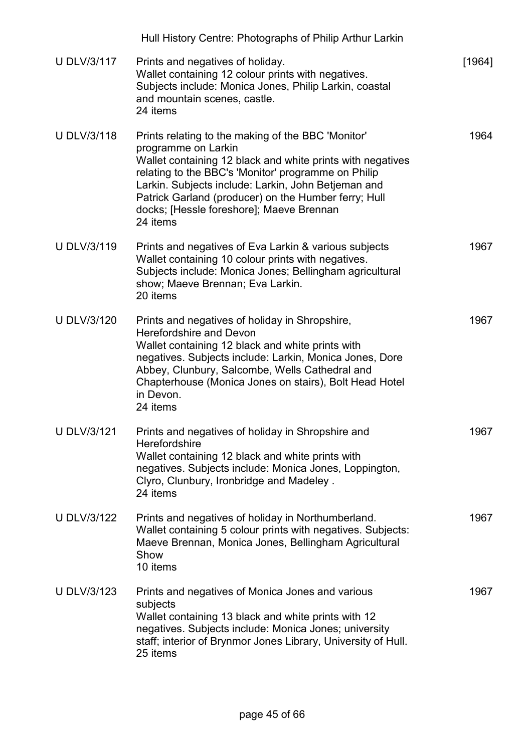|                    | Hull History Centre: Photographs of Philip Arthur Larkin                                                                                                                                                                                                                                                                                                              |        |
|--------------------|-----------------------------------------------------------------------------------------------------------------------------------------------------------------------------------------------------------------------------------------------------------------------------------------------------------------------------------------------------------------------|--------|
| <b>U DLV/3/117</b> | Prints and negatives of holiday.<br>Wallet containing 12 colour prints with negatives.<br>Subjects include: Monica Jones, Philip Larkin, coastal<br>and mountain scenes, castle.<br>24 items                                                                                                                                                                          | [1964] |
| <b>U DLV/3/118</b> | Prints relating to the making of the BBC 'Monitor'<br>programme on Larkin<br>Wallet containing 12 black and white prints with negatives<br>relating to the BBC's 'Monitor' programme on Philip<br>Larkin. Subjects include: Larkin, John Betjeman and<br>Patrick Garland (producer) on the Humber ferry; Hull<br>docks; [Hessle foreshore]; Maeve Brennan<br>24 items | 1964   |
| <b>U DLV/3/119</b> | Prints and negatives of Eva Larkin & various subjects<br>Wallet containing 10 colour prints with negatives.<br>Subjects include: Monica Jones; Bellingham agricultural<br>show; Maeve Brennan; Eva Larkin.<br>20 items                                                                                                                                                | 1967   |
| <b>U DLV/3/120</b> | Prints and negatives of holiday in Shropshire,<br><b>Herefordshire and Devon</b><br>Wallet containing 12 black and white prints with<br>negatives. Subjects include: Larkin, Monica Jones, Dore<br>Abbey, Clunbury, Salcombe, Wells Cathedral and<br>Chapterhouse (Monica Jones on stairs), Bolt Head Hotel<br>in Devon.<br>24 items                                  | 1967   |
| <b>U DLV/3/121</b> | Prints and negatives of holiday in Shropshire and<br>Herefordshire<br>Wallet containing 12 black and white prints with<br>negatives. Subjects include: Monica Jones, Loppington,<br>Clyro, Clunbury, Ironbridge and Madeley.<br>24 items                                                                                                                              | 1967   |
| <b>U DLV/3/122</b> | Prints and negatives of holiday in Northumberland.<br>Wallet containing 5 colour prints with negatives. Subjects:<br>Maeve Brennan, Monica Jones, Bellingham Agricultural<br>Show<br>10 items                                                                                                                                                                         | 1967   |
| <b>U DLV/3/123</b> | Prints and negatives of Monica Jones and various<br>subjects<br>Wallet containing 13 black and white prints with 12<br>negatives. Subjects include: Monica Jones; university<br>staff; interior of Brynmor Jones Library, University of Hull.<br>25 items                                                                                                             | 1967   |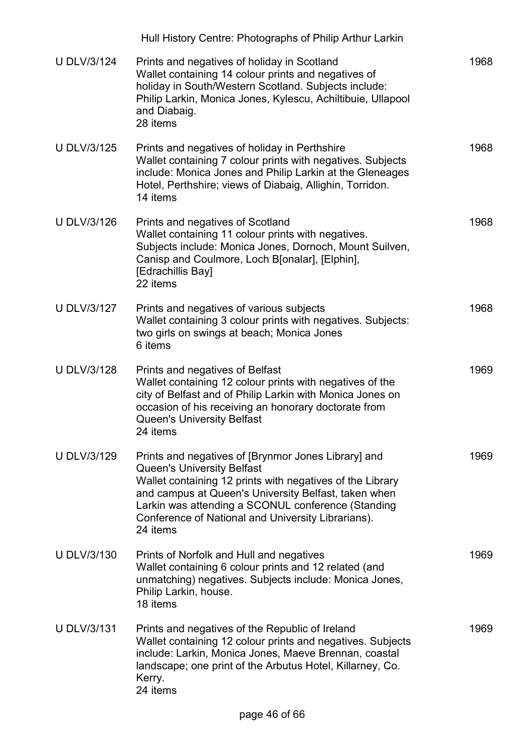|                    | Hull History Centre: Photographs of Philip Arthur Larkin                                                                                                                                                                                                                                                                              |      |
|--------------------|---------------------------------------------------------------------------------------------------------------------------------------------------------------------------------------------------------------------------------------------------------------------------------------------------------------------------------------|------|
| <b>U DLV/3/124</b> | Prints and negatives of holiday in Scotland<br>Wallet containing 14 colour prints and negatives of<br>holiday in South/Western Scotland. Subjects include:<br>Philip Larkin, Monica Jones, Kylescu, Achiltibuie, Ullapool<br>and Diabaig.<br>28 items                                                                                 | 1968 |
| <b>U DLV/3/125</b> | Prints and negatives of holiday in Perthshire<br>Wallet containing 7 colour prints with negatives. Subjects<br>include: Monica Jones and Philip Larkin at the Gleneages<br>Hotel, Perthshire; views of Diabaig, Allighin, Torridon.<br>14 items                                                                                       | 1968 |
| <b>U DLV/3/126</b> | Prints and negatives of Scotland<br>Wallet containing 11 colour prints with negatives.<br>Subjects include: Monica Jones, Dornoch, Mount Suilven,<br>Canisp and Coulmore, Loch B[onalar], [Elphin],<br>[Edrachillis Bay]<br>22 items                                                                                                  | 1968 |
| <b>U DLV/3/127</b> | Prints and negatives of various subjects<br>Wallet containing 3 colour prints with negatives. Subjects:<br>two girls on swings at beach; Monica Jones<br>6 items                                                                                                                                                                      | 1968 |
| <b>U DLV/3/128</b> | Prints and negatives of Belfast<br>Wallet containing 12 colour prints with negatives of the<br>city of Belfast and of Philip Larkin with Monica Jones on<br>occasion of his receiving an honorary doctorate from<br><b>Queen's University Belfast</b><br>24 items                                                                     | 1969 |
| <b>U DLV/3/129</b> | Prints and negatives of [Brynmor Jones Library] and<br><b>Queen's University Belfast</b><br>Wallet containing 12 prints with negatives of the Library<br>and campus at Queen's University Belfast, taken when<br>Larkin was attending a SCONUL conference (Standing<br>Conference of National and University Librarians).<br>24 items | 1969 |
| <b>U DLV/3/130</b> | Prints of Norfolk and Hull and negatives<br>Wallet containing 6 colour prints and 12 related (and<br>unmatching) negatives. Subjects include: Monica Jones,<br>Philip Larkin, house.<br>18 items                                                                                                                                      | 1969 |
| <b>U DLV/3/131</b> | Prints and negatives of the Republic of Ireland<br>Wallet containing 12 colour prints and negatives. Subjects<br>include: Larkin, Monica Jones, Maeve Brennan, coastal<br>landscape; one print of the Arbutus Hotel, Killarney, Co.<br>Kerry.<br>24 items                                                                             | 1969 |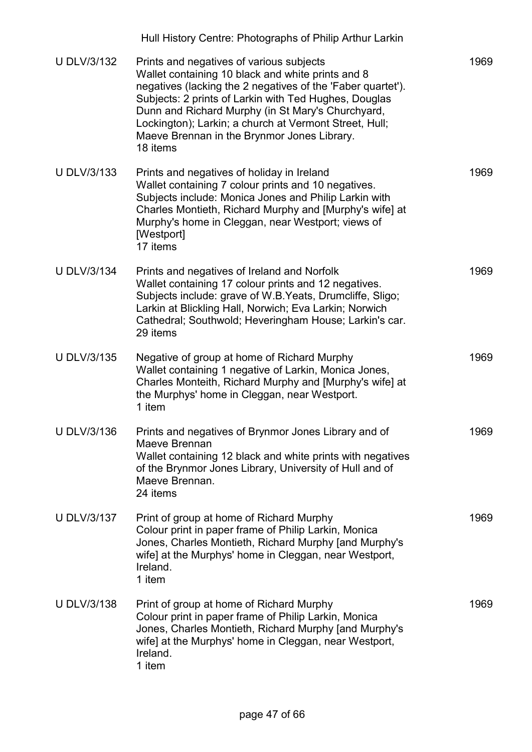|                    | Hull History Centre: Photographs of Philip Arthur Larkin                                                                                                                                                                                                                                                                                                                                        |      |
|--------------------|-------------------------------------------------------------------------------------------------------------------------------------------------------------------------------------------------------------------------------------------------------------------------------------------------------------------------------------------------------------------------------------------------|------|
| <b>U DLV/3/132</b> | Prints and negatives of various subjects<br>Wallet containing 10 black and white prints and 8<br>negatives (lacking the 2 negatives of the 'Faber quartet').<br>Subjects: 2 prints of Larkin with Ted Hughes, Douglas<br>Dunn and Richard Murphy (in St Mary's Churchyard,<br>Lockington); Larkin; a church at Vermont Street, Hull;<br>Maeve Brennan in the Brynmor Jones Library.<br>18 items | 1969 |
| <b>U DLV/3/133</b> | Prints and negatives of holiday in Ireland<br>Wallet containing 7 colour prints and 10 negatives.<br>Subjects include: Monica Jones and Philip Larkin with<br>Charles Montieth, Richard Murphy and [Murphy's wife] at<br>Murphy's home in Cleggan, near Westport; views of<br>[Westport]<br>17 items                                                                                            | 1969 |
| <b>U DLV/3/134</b> | Prints and negatives of Ireland and Norfolk<br>Wallet containing 17 colour prints and 12 negatives.<br>Subjects include: grave of W.B. Yeats, Drumcliffe, Sligo;<br>Larkin at Blickling Hall, Norwich; Eva Larkin; Norwich<br>Cathedral; Southwold; Heveringham House; Larkin's car.<br>29 items                                                                                                | 1969 |
| <b>U DLV/3/135</b> | Negative of group at home of Richard Murphy<br>Wallet containing 1 negative of Larkin, Monica Jones,<br>Charles Monteith, Richard Murphy and [Murphy's wife] at<br>the Murphys' home in Cleggan, near Westport.<br>1 item                                                                                                                                                                       | 1969 |
| <b>U DLV/3/136</b> | Prints and negatives of Brynmor Jones Library and of<br>Maeve Brennan<br>Wallet containing 12 black and white prints with negatives<br>of the Brynmor Jones Library, University of Hull and of<br>Maeve Brennan.<br>24 items                                                                                                                                                                    | 1969 |
| <b>U DLV/3/137</b> | Print of group at home of Richard Murphy<br>Colour print in paper frame of Philip Larkin, Monica<br>Jones, Charles Montieth, Richard Murphy [and Murphy's<br>wife] at the Murphys' home in Cleggan, near Westport,<br>Ireland.<br>1 item                                                                                                                                                        | 1969 |
| <b>U DLV/3/138</b> | Print of group at home of Richard Murphy<br>Colour print in paper frame of Philip Larkin, Monica<br>Jones, Charles Montieth, Richard Murphy [and Murphy's<br>wife] at the Murphys' home in Cleggan, near Westport,<br>Ireland.<br>1 item                                                                                                                                                        | 1969 |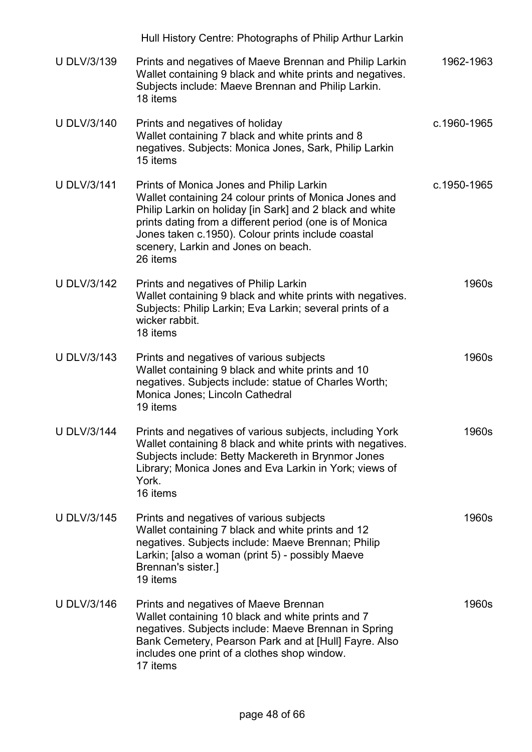|                    | Hull History Centre: Photographs of Philip Arthur Larkin                                                                                                                                                                                                                                                                           |             |
|--------------------|------------------------------------------------------------------------------------------------------------------------------------------------------------------------------------------------------------------------------------------------------------------------------------------------------------------------------------|-------------|
| U DLV/3/139        | Prints and negatives of Maeve Brennan and Philip Larkin<br>Wallet containing 9 black and white prints and negatives.<br>Subjects include: Maeve Brennan and Philip Larkin.<br>18 items                                                                                                                                             | 1962-1963   |
| <b>U DLV/3/140</b> | Prints and negatives of holiday<br>Wallet containing 7 black and white prints and 8<br>negatives. Subjects: Monica Jones, Sark, Philip Larkin<br>15 items                                                                                                                                                                          | c.1960-1965 |
| <b>U DLV/3/141</b> | Prints of Monica Jones and Philip Larkin<br>Wallet containing 24 colour prints of Monica Jones and<br>Philip Larkin on holiday [in Sark] and 2 black and white<br>prints dating from a different period (one is of Monica<br>Jones taken c.1950). Colour prints include coastal<br>scenery, Larkin and Jones on beach.<br>26 items | c.1950-1965 |
| <b>U DLV/3/142</b> | Prints and negatives of Philip Larkin<br>Wallet containing 9 black and white prints with negatives.<br>Subjects: Philip Larkin; Eva Larkin; several prints of a<br>wicker rabbit.<br>18 items                                                                                                                                      | 1960s       |
| <b>U DLV/3/143</b> | Prints and negatives of various subjects<br>Wallet containing 9 black and white prints and 10<br>negatives. Subjects include: statue of Charles Worth;<br>Monica Jones; Lincoln Cathedral<br>19 items                                                                                                                              | 1960s       |
| <b>U DLV/3/144</b> | Prints and negatives of various subjects, including York<br>Wallet containing 8 black and white prints with negatives.<br>Subjects include: Betty Mackereth in Brynmor Jones<br>Library; Monica Jones and Eva Larkin in York; views of<br>York.<br>16 items                                                                        | 1960s       |
| <b>U DLV/3/145</b> | Prints and negatives of various subjects<br>Wallet containing 7 black and white prints and 12<br>negatives. Subjects include: Maeve Brennan; Philip<br>Larkin; [also a woman (print 5) - possibly Maeve<br>Brennan's sister.]<br>19 items                                                                                          | 1960s       |
| U DLV/3/146        | Prints and negatives of Maeve Brennan<br>Wallet containing 10 black and white prints and 7<br>negatives. Subjects include: Maeve Brennan in Spring<br>Bank Cemetery, Pearson Park and at [Hull] Fayre. Also<br>includes one print of a clothes shop window.<br>17 items                                                            | 1960s       |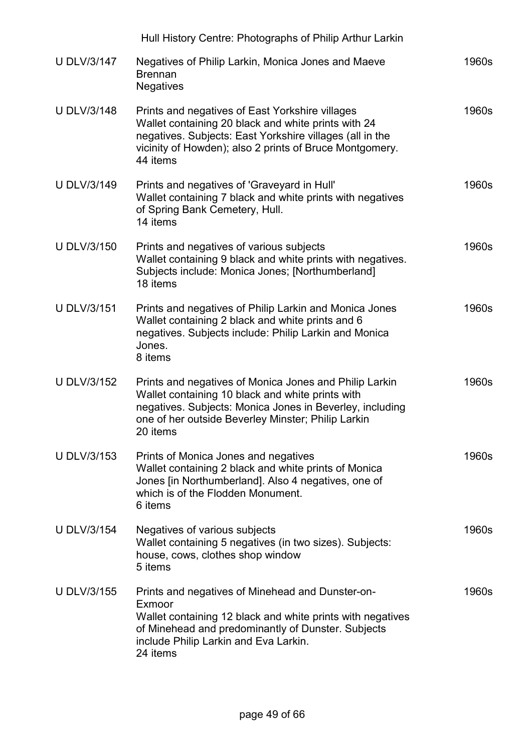|                    | Hull History Centre: Photographs of Philip Arthur Larkin                                                                                                                                                                                  |       |
|--------------------|-------------------------------------------------------------------------------------------------------------------------------------------------------------------------------------------------------------------------------------------|-------|
| <b>U DLV/3/147</b> | Negatives of Philip Larkin, Monica Jones and Maeve<br><b>Brennan</b><br><b>Negatives</b>                                                                                                                                                  | 1960s |
| <b>U DLV/3/148</b> | Prints and negatives of East Yorkshire villages<br>Wallet containing 20 black and white prints with 24<br>negatives. Subjects: East Yorkshire villages (all in the<br>vicinity of Howden); also 2 prints of Bruce Montgomery.<br>44 items | 1960s |
| <b>U DLV/3/149</b> | Prints and negatives of 'Graveyard in Hull'<br>Wallet containing 7 black and white prints with negatives<br>of Spring Bank Cemetery, Hull.<br>14 items                                                                                    | 1960s |
| <b>U DLV/3/150</b> | Prints and negatives of various subjects<br>Wallet containing 9 black and white prints with negatives.<br>Subjects include: Monica Jones; [Northumberland]<br>18 items                                                                    | 1960s |
| <b>U DLV/3/151</b> | Prints and negatives of Philip Larkin and Monica Jones<br>Wallet containing 2 black and white prints and 6<br>negatives. Subjects include: Philip Larkin and Monica<br>Jones.<br>8 items                                                  | 1960s |
| <b>U DLV/3/152</b> | Prints and negatives of Monica Jones and Philip Larkin<br>Wallet containing 10 black and white prints with<br>negatives. Subjects: Monica Jones in Beverley, including<br>one of her outside Beverley Minster; Philip Larkin<br>20 items  | 1960s |
| <b>U DLV/3/153</b> | Prints of Monica Jones and negatives<br>Wallet containing 2 black and white prints of Monica<br>Jones [in Northumberland]. Also 4 negatives, one of<br>which is of the Flodden Monument.<br>6 items                                       | 1960s |
| <b>U DLV/3/154</b> | Negatives of various subjects<br>Wallet containing 5 negatives (in two sizes). Subjects:<br>house, cows, clothes shop window<br>5 items                                                                                                   | 1960s |
| <b>U DLV/3/155</b> | Prints and negatives of Minehead and Dunster-on-<br>Exmoor<br>Wallet containing 12 black and white prints with negatives<br>of Minehead and predominantly of Dunster. Subjects<br>include Philip Larkin and Eva Larkin.<br>24 items       | 1960s |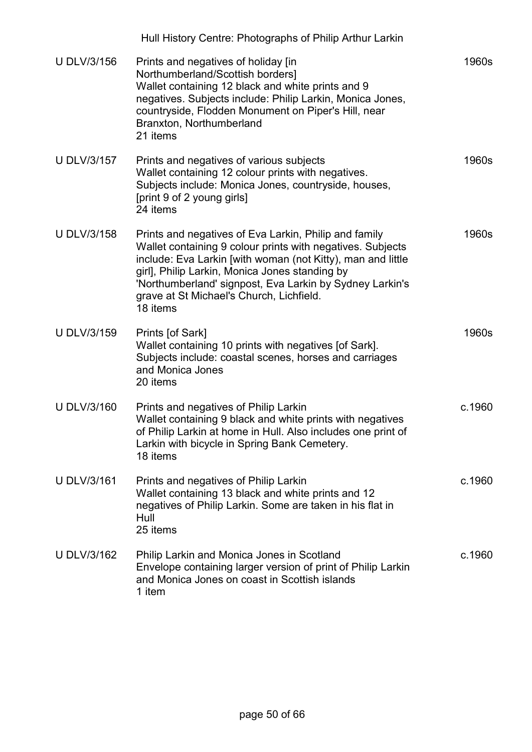|                    | Hull History Centre: Photographs of Philip Arthur Larkin                                                                                                                                                                                                                                                                                                 |        |
|--------------------|----------------------------------------------------------------------------------------------------------------------------------------------------------------------------------------------------------------------------------------------------------------------------------------------------------------------------------------------------------|--------|
| <b>U DLV/3/156</b> | Prints and negatives of holiday [in<br>Northumberland/Scottish borders]<br>Wallet containing 12 black and white prints and 9<br>negatives. Subjects include: Philip Larkin, Monica Jones,<br>countryside, Flodden Monument on Piper's Hill, near<br>Branxton, Northumberland<br>21 items                                                                 | 1960s  |
| <b>U DLV/3/157</b> | Prints and negatives of various subjects<br>Wallet containing 12 colour prints with negatives.<br>Subjects include: Monica Jones, countryside, houses,<br>[print 9 of 2 young girls]<br>24 items                                                                                                                                                         | 1960s  |
| <b>U DLV/3/158</b> | Prints and negatives of Eva Larkin, Philip and family<br>Wallet containing 9 colour prints with negatives. Subjects<br>include: Eva Larkin [with woman (not Kitty), man and little<br>girl], Philip Larkin, Monica Jones standing by<br>'Northumberland' signpost, Eva Larkin by Sydney Larkin's<br>grave at St Michael's Church, Lichfield.<br>18 items | 1960s  |
| <b>U DLV/3/159</b> | Prints [of Sark]<br>Wallet containing 10 prints with negatives [of Sark].<br>Subjects include: coastal scenes, horses and carriages<br>and Monica Jones<br>20 items                                                                                                                                                                                      | 1960s  |
| <b>U DLV/3/160</b> | Prints and negatives of Philip Larkin<br>Wallet containing 9 black and white prints with negatives<br>of Philip Larkin at home in Hull. Also includes one print of<br>Larkin with bicycle in Spring Bank Cemetery.<br>18 items                                                                                                                           | c.1960 |
| <b>U DLV/3/161</b> | Prints and negatives of Philip Larkin<br>Wallet containing 13 black and white prints and 12<br>negatives of Philip Larkin. Some are taken in his flat in<br>Hull<br>25 items                                                                                                                                                                             | c.1960 |
| <b>U DLV/3/162</b> | Philip Larkin and Monica Jones in Scotland<br>Envelope containing larger version of print of Philip Larkin<br>and Monica Jones on coast in Scottish islands<br>1 item                                                                                                                                                                                    | c.1960 |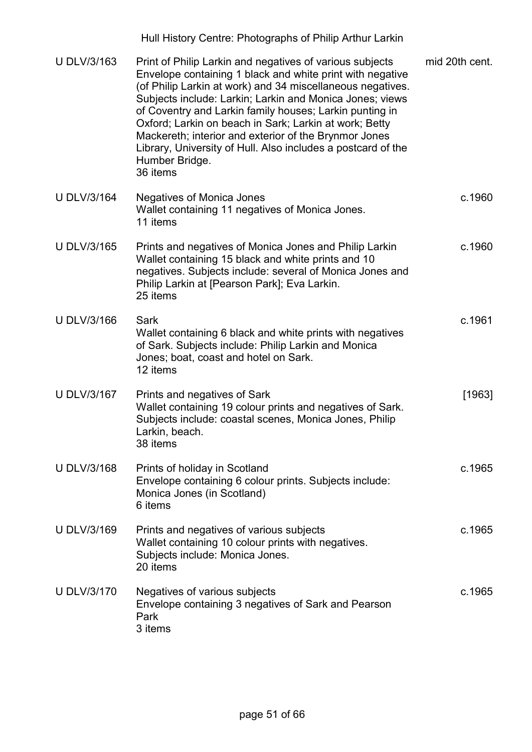| U DLV/3/163        | Print of Philip Larkin and negatives of various subjects<br>Envelope containing 1 black and white print with negative<br>(of Philip Larkin at work) and 34 miscellaneous negatives.<br>Subjects include: Larkin; Larkin and Monica Jones; views<br>of Coventry and Larkin family houses; Larkin punting in<br>Oxford; Larkin on beach in Sark; Larkin at work; Betty<br>Mackereth; interior and exterior of the Brynmor Jones<br>Library, University of Hull. Also includes a postcard of the<br>Humber Bridge.<br>36 items | mid 20th cent. |
|--------------------|-----------------------------------------------------------------------------------------------------------------------------------------------------------------------------------------------------------------------------------------------------------------------------------------------------------------------------------------------------------------------------------------------------------------------------------------------------------------------------------------------------------------------------|----------------|
| <b>U DLV/3/164</b> | <b>Negatives of Monica Jones</b><br>Wallet containing 11 negatives of Monica Jones.<br>11 items                                                                                                                                                                                                                                                                                                                                                                                                                             | c.1960         |
| U DLV/3/165        | Prints and negatives of Monica Jones and Philip Larkin<br>Wallet containing 15 black and white prints and 10<br>negatives. Subjects include: several of Monica Jones and<br>Philip Larkin at [Pearson Park]; Eva Larkin.<br>25 items                                                                                                                                                                                                                                                                                        | c.1960         |
| <b>U DLV/3/166</b> | Sark<br>Wallet containing 6 black and white prints with negatives<br>of Sark. Subjects include: Philip Larkin and Monica<br>Jones; boat, coast and hotel on Sark.<br>12 items                                                                                                                                                                                                                                                                                                                                               | c.1961         |
| <b>U DLV/3/167</b> | Prints and negatives of Sark<br>Wallet containing 19 colour prints and negatives of Sark.<br>Subjects include: coastal scenes, Monica Jones, Philip<br>Larkin, beach.<br>38 items                                                                                                                                                                                                                                                                                                                                           | [1963]         |
| U DLV/3/168        | Prints of holiday in Scotland<br>Envelope containing 6 colour prints. Subjects include:<br>Monica Jones (in Scotland)<br>6 items                                                                                                                                                                                                                                                                                                                                                                                            | c.1965         |
| U DLV/3/169        | Prints and negatives of various subjects<br>Wallet containing 10 colour prints with negatives.<br>Subjects include: Monica Jones.<br>20 items                                                                                                                                                                                                                                                                                                                                                                               | c.1965         |
| <b>U DLV/3/170</b> | Negatives of various subjects<br>Envelope containing 3 negatives of Sark and Pearson<br>Park<br>3 items                                                                                                                                                                                                                                                                                                                                                                                                                     | c.1965         |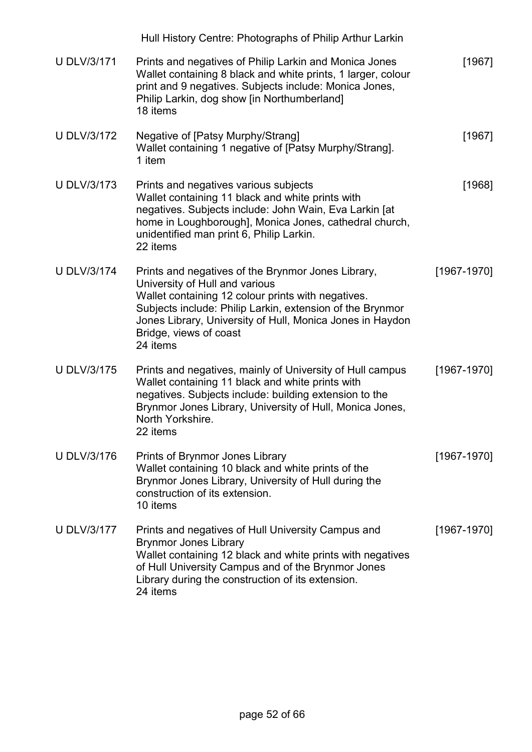|                    | Hull History Centre: Photographs of Philip Arthur Larkin                                                                                                                                                                                                                                                   |                 |
|--------------------|------------------------------------------------------------------------------------------------------------------------------------------------------------------------------------------------------------------------------------------------------------------------------------------------------------|-----------------|
| <b>U DLV/3/171</b> | Prints and negatives of Philip Larkin and Monica Jones<br>Wallet containing 8 black and white prints, 1 larger, colour<br>print and 9 negatives. Subjects include: Monica Jones,<br>Philip Larkin, dog show [in Northumberland]<br>18 items                                                                | [1967]          |
| <b>U DLV/3/172</b> | Negative of [Patsy Murphy/Strang]<br>Wallet containing 1 negative of [Patsy Murphy/Strang].<br>1 item                                                                                                                                                                                                      | [1967]          |
| <b>U DLV/3/173</b> | Prints and negatives various subjects<br>Wallet containing 11 black and white prints with<br>negatives. Subjects include: John Wain, Eva Larkin [at<br>home in Loughborough], Monica Jones, cathedral church,<br>unidentified man print 6, Philip Larkin.<br>22 items                                      | [1968]          |
| <b>U DLV/3/174</b> | Prints and negatives of the Brynmor Jones Library,<br>University of Hull and various<br>Wallet containing 12 colour prints with negatives.<br>Subjects include: Philip Larkin, extension of the Brynmor<br>Jones Library, University of Hull, Monica Jones in Haydon<br>Bridge, views of coast<br>24 items | [1967-1970]     |
| <b>U DLV/3/175</b> | Prints and negatives, mainly of University of Hull campus<br>Wallet containing 11 black and white prints with<br>negatives. Subjects include: building extension to the<br>Brynmor Jones Library, University of Hull, Monica Jones,<br>North Yorkshire.<br>22 items                                        | $[1967 - 1970]$ |
| <b>U DLV/3/176</b> | Prints of Brynmor Jones Library<br>Wallet containing 10 black and white prints of the<br>Brynmor Jones Library, University of Hull during the<br>construction of its extension.<br>10 items                                                                                                                | $[1967 - 1970]$ |
| <b>U DLV/3/177</b> | Prints and negatives of Hull University Campus and<br><b>Brynmor Jones Library</b><br>Wallet containing 12 black and white prints with negatives<br>of Hull University Campus and of the Brynmor Jones<br>Library during the construction of its extension.<br>24 items                                    | $[1967 - 1970]$ |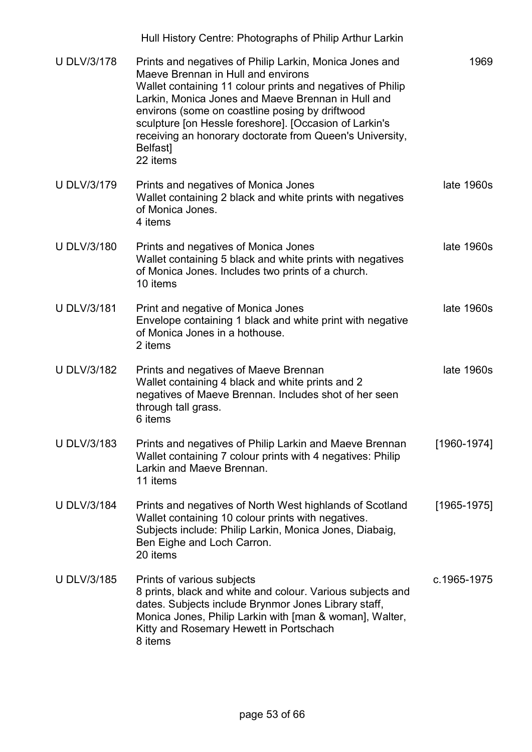|                    | Hull History Centre: Photographs of Philip Arthur Larkin                                                                                                                                                                                                                                                                                                                                                                 |                 |
|--------------------|--------------------------------------------------------------------------------------------------------------------------------------------------------------------------------------------------------------------------------------------------------------------------------------------------------------------------------------------------------------------------------------------------------------------------|-----------------|
| <b>U DLV/3/178</b> | Prints and negatives of Philip Larkin, Monica Jones and<br>Maeve Brennan in Hull and environs<br>Wallet containing 11 colour prints and negatives of Philip<br>Larkin, Monica Jones and Maeve Brennan in Hull and<br>environs (some on coastline posing by driftwood<br>sculpture [on Hessle foreshore]. [Occasion of Larkin's<br>receiving an honorary doctorate from Queen's University,<br><b>Belfast</b><br>22 items | 1969            |
| <b>U DLV/3/179</b> | Prints and negatives of Monica Jones<br>Wallet containing 2 black and white prints with negatives<br>of Monica Jones.<br>4 items                                                                                                                                                                                                                                                                                         | late 1960s      |
| <b>U DLV/3/180</b> | Prints and negatives of Monica Jones<br>Wallet containing 5 black and white prints with negatives<br>of Monica Jones. Includes two prints of a church.<br>10 items                                                                                                                                                                                                                                                       | late 1960s      |
| <b>U DLV/3/181</b> | Print and negative of Monica Jones<br>Envelope containing 1 black and white print with negative<br>of Monica Jones in a hothouse.<br>2 items                                                                                                                                                                                                                                                                             | late 1960s      |
| <b>U DLV/3/182</b> | Prints and negatives of Maeve Brennan<br>Wallet containing 4 black and white prints and 2<br>negatives of Maeve Brennan. Includes shot of her seen<br>through tall grass.<br>6 items                                                                                                                                                                                                                                     | late 1960s      |
| <b>U DLV/3/183</b> | Prints and negatives of Philip Larkin and Maeve Brennan<br>Wallet containing 7 colour prints with 4 negatives: Philip<br>Larkin and Maeve Brennan.<br>11 items                                                                                                                                                                                                                                                           | $[1960 - 1974]$ |
| <b>U DLV/3/184</b> | Prints and negatives of North West highlands of Scotland<br>Wallet containing 10 colour prints with negatives.<br>Subjects include: Philip Larkin, Monica Jones, Diabaig,<br>Ben Eighe and Loch Carron.<br>20 items                                                                                                                                                                                                      | $[1965 - 1975]$ |
| <b>U DLV/3/185</b> | Prints of various subjects<br>8 prints, black and white and colour. Various subjects and<br>dates. Subjects include Brynmor Jones Library staff,<br>Monica Jones, Philip Larkin with [man & woman], Walter,<br>Kitty and Rosemary Hewett in Portschach<br>8 items                                                                                                                                                        | c.1965-1975     |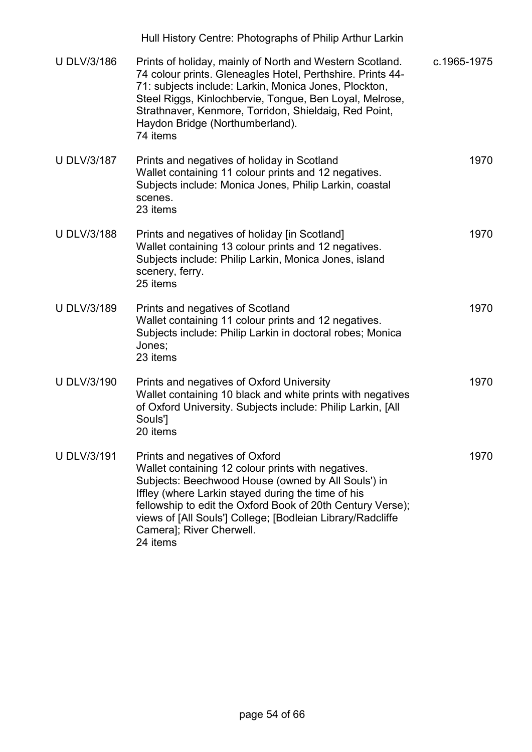|                    | Hull History Centre: Photographs of Philip Arthur Larkin                                                                                                                                                                                                                                                                                                             |             |
|--------------------|----------------------------------------------------------------------------------------------------------------------------------------------------------------------------------------------------------------------------------------------------------------------------------------------------------------------------------------------------------------------|-------------|
| <b>U DLV/3/186</b> | Prints of holiday, mainly of North and Western Scotland.<br>74 colour prints. Gleneagles Hotel, Perthshire. Prints 44-<br>71: subjects include: Larkin, Monica Jones, Plockton,<br>Steel Riggs, Kinlochbervie, Tongue, Ben Loyal, Melrose,<br>Strathnaver, Kenmore, Torridon, Shieldaig, Red Point,<br>Haydon Bridge (Northumberland).<br>74 items                   | c.1965-1975 |
| <b>U DLV/3/187</b> | Prints and negatives of holiday in Scotland<br>Wallet containing 11 colour prints and 12 negatives.<br>Subjects include: Monica Jones, Philip Larkin, coastal<br>scenes.<br>23 items                                                                                                                                                                                 | 1970        |
| <b>U DLV/3/188</b> | Prints and negatives of holiday [in Scotland]<br>Wallet containing 13 colour prints and 12 negatives.<br>Subjects include: Philip Larkin, Monica Jones, island<br>scenery, ferry.<br>25 items                                                                                                                                                                        | 1970        |
| <b>U DLV/3/189</b> | Prints and negatives of Scotland<br>Wallet containing 11 colour prints and 12 negatives.<br>Subjects include: Philip Larkin in doctoral robes; Monica<br>Jones;<br>23 items                                                                                                                                                                                          | 1970        |
| <b>U DLV/3/190</b> | Prints and negatives of Oxford University<br>Wallet containing 10 black and white prints with negatives<br>of Oxford University. Subjects include: Philip Larkin, [All<br>Souls']<br>20 items                                                                                                                                                                        | 1970        |
| <b>U DLV/3/191</b> | Prints and negatives of Oxford<br>Wallet containing 12 colour prints with negatives.<br>Subjects: Beechwood House (owned by All Souls') in<br>Iffley (where Larkin stayed during the time of his<br>fellowship to edit the Oxford Book of 20th Century Verse);<br>views of [All Souls'] College; [Bodleian Library/Radcliffe<br>Camera]; River Cherwell.<br>24 items | 1970        |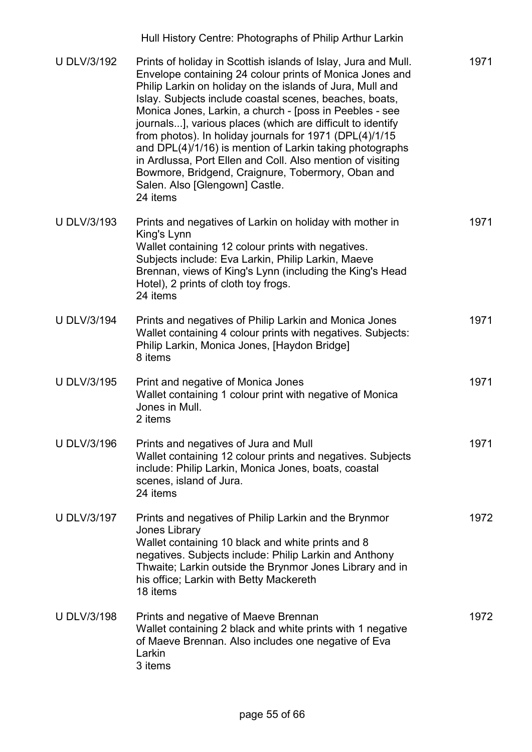|                    | Hull History Centre: Photographs of Philip Arthur Larkin                                                                                                                                                                                                                                                                                                                                                                                                                                                                                                                                                                                                            |      |
|--------------------|---------------------------------------------------------------------------------------------------------------------------------------------------------------------------------------------------------------------------------------------------------------------------------------------------------------------------------------------------------------------------------------------------------------------------------------------------------------------------------------------------------------------------------------------------------------------------------------------------------------------------------------------------------------------|------|
| <b>U DLV/3/192</b> | Prints of holiday in Scottish islands of Islay, Jura and Mull.<br>Envelope containing 24 colour prints of Monica Jones and<br>Philip Larkin on holiday on the islands of Jura, Mull and<br>Islay. Subjects include coastal scenes, beaches, boats,<br>Monica Jones, Larkin, a church - [poss in Peebles - see<br>journals], various places (which are difficult to identify<br>from photos). In holiday journals for 1971 (DPL(4)/1/15<br>and DPL(4)/1/16) is mention of Larkin taking photographs<br>in Ardlussa, Port Ellen and Coll. Also mention of visiting<br>Bowmore, Bridgend, Craignure, Tobermory, Oban and<br>Salen. Also [Glengown] Castle.<br>24 items | 1971 |
| <b>U DLV/3/193</b> | Prints and negatives of Larkin on holiday with mother in<br>King's Lynn<br>Wallet containing 12 colour prints with negatives.<br>Subjects include: Eva Larkin, Philip Larkin, Maeve<br>Brennan, views of King's Lynn (including the King's Head<br>Hotel), 2 prints of cloth toy frogs.<br>24 items                                                                                                                                                                                                                                                                                                                                                                 | 1971 |
| <b>U DLV/3/194</b> | Prints and negatives of Philip Larkin and Monica Jones<br>Wallet containing 4 colour prints with negatives. Subjects:<br>Philip Larkin, Monica Jones, [Haydon Bridge]<br>8 items                                                                                                                                                                                                                                                                                                                                                                                                                                                                                    | 1971 |
| U DLV/3/195        | Print and negative of Monica Jones<br>Wallet containing 1 colour print with negative of Monica<br>Jones in Mull.<br>2 items                                                                                                                                                                                                                                                                                                                                                                                                                                                                                                                                         | 1971 |
| <b>U DLV/3/196</b> | Prints and negatives of Jura and Mull<br>Wallet containing 12 colour prints and negatives. Subjects<br>include: Philip Larkin, Monica Jones, boats, coastal<br>scenes, island of Jura.<br>24 items                                                                                                                                                                                                                                                                                                                                                                                                                                                                  | 1971 |
| <b>U DLV/3/197</b> | Prints and negatives of Philip Larkin and the Brynmor<br>Jones Library<br>Wallet containing 10 black and white prints and 8<br>negatives. Subjects include: Philip Larkin and Anthony<br>Thwaite; Larkin outside the Brynmor Jones Library and in<br>his office; Larkin with Betty Mackereth<br>18 items                                                                                                                                                                                                                                                                                                                                                            | 1972 |
| <b>U DLV/3/198</b> | Prints and negative of Maeve Brennan<br>Wallet containing 2 black and white prints with 1 negative<br>of Maeve Brennan. Also includes one negative of Eva<br>Larkin<br>3 items                                                                                                                                                                                                                                                                                                                                                                                                                                                                                      | 1972 |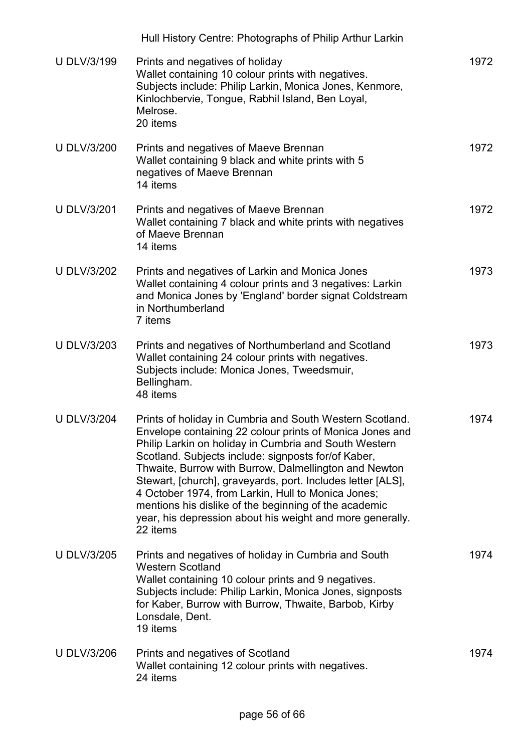|                    | Hull History Centre: Photographs of Philip Arthur Larkin                                                                                                                                                                                                                                                                                                                                                                                                                                                                                             |      |
|--------------------|------------------------------------------------------------------------------------------------------------------------------------------------------------------------------------------------------------------------------------------------------------------------------------------------------------------------------------------------------------------------------------------------------------------------------------------------------------------------------------------------------------------------------------------------------|------|
| <b>U DLV/3/199</b> | Prints and negatives of holiday<br>Wallet containing 10 colour prints with negatives.<br>Subjects include: Philip Larkin, Monica Jones, Kenmore,<br>Kinlochbervie, Tongue, Rabhil Island, Ben Loyal,<br>Melrose.<br>20 items                                                                                                                                                                                                                                                                                                                         | 1972 |
| <b>U DLV/3/200</b> | Prints and negatives of Maeve Brennan<br>Wallet containing 9 black and white prints with 5<br>negatives of Maeve Brennan<br>14 items                                                                                                                                                                                                                                                                                                                                                                                                                 | 1972 |
| <b>U DLV/3/201</b> | Prints and negatives of Maeve Brennan<br>Wallet containing 7 black and white prints with negatives<br>of Maeve Brennan<br>14 items                                                                                                                                                                                                                                                                                                                                                                                                                   | 1972 |
| <b>U DLV/3/202</b> | Prints and negatives of Larkin and Monica Jones<br>Wallet containing 4 colour prints and 3 negatives: Larkin<br>and Monica Jones by 'England' border signat Coldstream<br>in Northumberland<br>7 items                                                                                                                                                                                                                                                                                                                                               | 1973 |
| <b>U DLV/3/203</b> | Prints and negatives of Northumberland and Scotland<br>Wallet containing 24 colour prints with negatives.<br>Subjects include: Monica Jones, Tweedsmuir,<br>Bellingham.<br>48 items                                                                                                                                                                                                                                                                                                                                                                  | 1973 |
| <b>U DLV/3/204</b> | Prints of holiday in Cumbria and South Western Scotland.<br>Envelope containing 22 colour prints of Monica Jones and<br>Philip Larkin on holiday in Cumbria and South Western<br>Scotland. Subjects include: signposts for/of Kaber,<br>Thwaite, Burrow with Burrow, Dalmellington and Newton<br>Stewart, [church], graveyards, port. Includes letter [ALS],<br>4 October 1974, from Larkin, Hull to Monica Jones;<br>mentions his dislike of the beginning of the academic<br>year, his depression about his weight and more generally.<br>22 items | 1974 |
| <b>U DLV/3/205</b> | Prints and negatives of holiday in Cumbria and South<br><b>Western Scotland</b><br>Wallet containing 10 colour prints and 9 negatives.<br>Subjects include: Philip Larkin, Monica Jones, signposts<br>for Kaber, Burrow with Burrow, Thwaite, Barbob, Kirby<br>Lonsdale, Dent.<br>19 items                                                                                                                                                                                                                                                           | 1974 |
| <b>U DLV/3/206</b> | Prints and negatives of Scotland<br>Wallet containing 12 colour prints with negatives.<br>24 items                                                                                                                                                                                                                                                                                                                                                                                                                                                   | 1974 |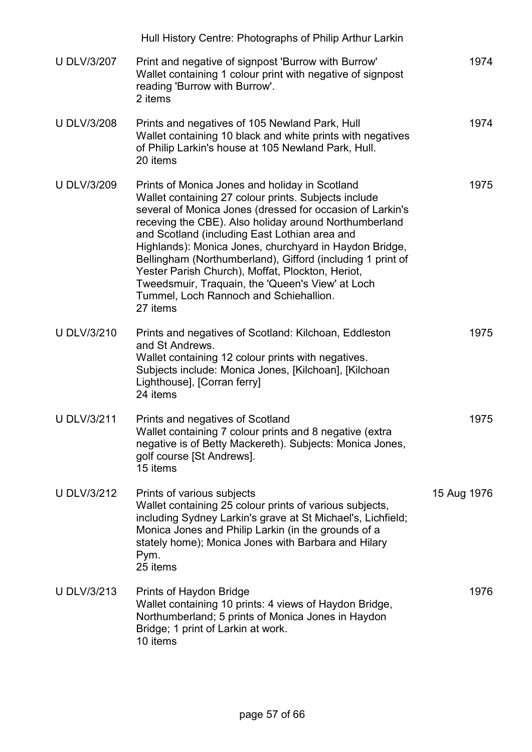|                    | Hull History Centre: Photographs of Philip Arthur Larkin                                                                                                                                                                                                                                                                                                                                                                                                                                                                                                            |             |
|--------------------|---------------------------------------------------------------------------------------------------------------------------------------------------------------------------------------------------------------------------------------------------------------------------------------------------------------------------------------------------------------------------------------------------------------------------------------------------------------------------------------------------------------------------------------------------------------------|-------------|
| <b>U DLV/3/207</b> | Print and negative of signpost 'Burrow with Burrow'<br>Wallet containing 1 colour print with negative of signpost<br>reading 'Burrow with Burrow'.<br>2 items                                                                                                                                                                                                                                                                                                                                                                                                       | 1974        |
| <b>U DLV/3/208</b> | Prints and negatives of 105 Newland Park, Hull<br>Wallet containing 10 black and white prints with negatives<br>of Philip Larkin's house at 105 Newland Park, Hull.<br>20 items                                                                                                                                                                                                                                                                                                                                                                                     | 1974        |
| <b>U DLV/3/209</b> | Prints of Monica Jones and holiday in Scotland<br>Wallet containing 27 colour prints. Subjects include<br>several of Monica Jones (dressed for occasion of Larkin's<br>receving the CBE). Also holiday around Northumberland<br>and Scotland (including East Lothian area and<br>Highlands): Monica Jones, churchyard in Haydon Bridge,<br>Bellingham (Northumberland), Gifford (including 1 print of<br>Yester Parish Church), Moffat, Plockton, Heriot,<br>Tweedsmuir, Traquain, the 'Queen's View' at Loch<br>Tummel, Loch Rannoch and Schiehallion.<br>27 items | 1975        |
| <b>U DLV/3/210</b> | Prints and negatives of Scotland: Kilchoan, Eddleston<br>and St Andrews.<br>Wallet containing 12 colour prints with negatives.<br>Subjects include: Monica Jones, [Kilchoan], [Kilchoan<br>Lighthouse], [Corran ferry]<br>24 items                                                                                                                                                                                                                                                                                                                                  | 1975        |
| <b>U DLV/3/211</b> | Prints and negatives of Scotland<br>Wallet containing 7 colour prints and 8 negative (extra<br>negative is of Betty Mackereth). Subjects: Monica Jones,<br>golf course [St Andrews].<br>15 items                                                                                                                                                                                                                                                                                                                                                                    | 1975        |
| <b>U DLV/3/212</b> | Prints of various subjects<br>Wallet containing 25 colour prints of various subjects,<br>including Sydney Larkin's grave at St Michael's, Lichfield;<br>Monica Jones and Philip Larkin (in the grounds of a<br>stately home); Monica Jones with Barbara and Hilary<br>Pym.<br>25 items                                                                                                                                                                                                                                                                              | 15 Aug 1976 |
| <b>U DLV/3/213</b> | Prints of Haydon Bridge<br>Wallet containing 10 prints: 4 views of Haydon Bridge,<br>Northumberland; 5 prints of Monica Jones in Haydon<br>Bridge; 1 print of Larkin at work.<br>10 items                                                                                                                                                                                                                                                                                                                                                                           | 1976        |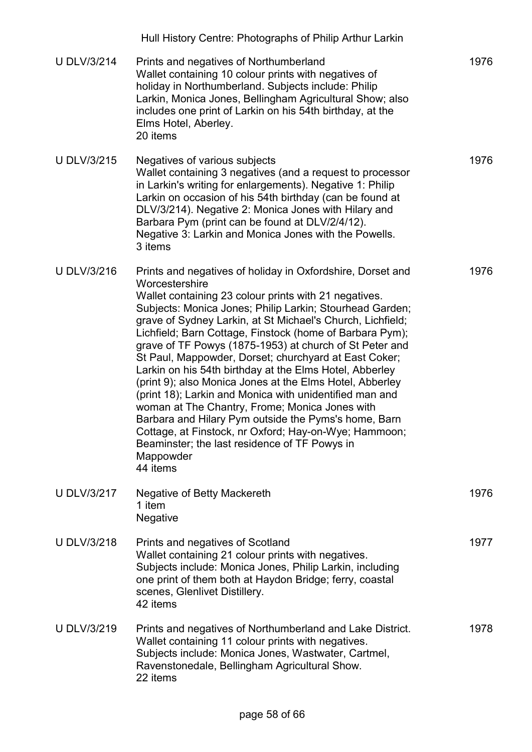|                    | Hull History Centre: Photographs of Philip Arthur Larkin                                                                                                                                                                                                                                                                                                                                                                                                                                                                                                                                                                                                                                                                                                                                                                                                                       |      |
|--------------------|--------------------------------------------------------------------------------------------------------------------------------------------------------------------------------------------------------------------------------------------------------------------------------------------------------------------------------------------------------------------------------------------------------------------------------------------------------------------------------------------------------------------------------------------------------------------------------------------------------------------------------------------------------------------------------------------------------------------------------------------------------------------------------------------------------------------------------------------------------------------------------|------|
| <b>U DLV/3/214</b> | Prints and negatives of Northumberland<br>Wallet containing 10 colour prints with negatives of<br>holiday in Northumberland. Subjects include: Philip<br>Larkin, Monica Jones, Bellingham Agricultural Show; also<br>includes one print of Larkin on his 54th birthday, at the<br>Elms Hotel, Aberley.<br>20 items                                                                                                                                                                                                                                                                                                                                                                                                                                                                                                                                                             | 1976 |
| <b>U DLV/3/215</b> | Negatives of various subjects<br>Wallet containing 3 negatives (and a request to processor<br>in Larkin's writing for enlargements). Negative 1: Philip<br>Larkin on occasion of his 54th birthday (can be found at<br>DLV/3/214). Negative 2: Monica Jones with Hilary and<br>Barbara Pym (print can be found at DLV/2/4/12).<br>Negative 3: Larkin and Monica Jones with the Powells.<br>3 items                                                                                                                                                                                                                                                                                                                                                                                                                                                                             | 1976 |
| <b>U DLV/3/216</b> | Prints and negatives of holiday in Oxfordshire, Dorset and<br>Worcestershire<br>Wallet containing 23 colour prints with 21 negatives.<br>Subjects: Monica Jones; Philip Larkin; Stourhead Garden;<br>grave of Sydney Larkin, at St Michael's Church, Lichfield;<br>Lichfield; Barn Cottage, Finstock (home of Barbara Pym);<br>grave of TF Powys (1875-1953) at church of St Peter and<br>St Paul, Mappowder, Dorset; churchyard at East Coker;<br>Larkin on his 54th birthday at the Elms Hotel, Abberley<br>(print 9); also Monica Jones at the Elms Hotel, Abberley<br>(print 18); Larkin and Monica with unidentified man and<br>woman at The Chantry, Frome; Monica Jones with<br>Barbara and Hilary Pym outside the Pyms's home, Barn<br>Cottage, at Finstock, nr Oxford; Hay-on-Wye; Hammoon;<br>Beaminster; the last residence of TF Powys in<br>Mappowder<br>44 items | 1976 |
| <b>U DLV/3/217</b> | Negative of Betty Mackereth<br>1 item<br>Negative                                                                                                                                                                                                                                                                                                                                                                                                                                                                                                                                                                                                                                                                                                                                                                                                                              | 1976 |
| <b>U DLV/3/218</b> | Prints and negatives of Scotland<br>Wallet containing 21 colour prints with negatives.<br>Subjects include: Monica Jones, Philip Larkin, including<br>one print of them both at Haydon Bridge; ferry, coastal<br>scenes, Glenlivet Distillery.<br>42 items                                                                                                                                                                                                                                                                                                                                                                                                                                                                                                                                                                                                                     | 1977 |
| <b>U DLV/3/219</b> | Prints and negatives of Northumberland and Lake District.<br>Wallet containing 11 colour prints with negatives.<br>Subjects include: Monica Jones, Wastwater, Cartmel,<br>Ravenstonedale, Bellingham Agricultural Show.<br>22 items                                                                                                                                                                                                                                                                                                                                                                                                                                                                                                                                                                                                                                            | 1978 |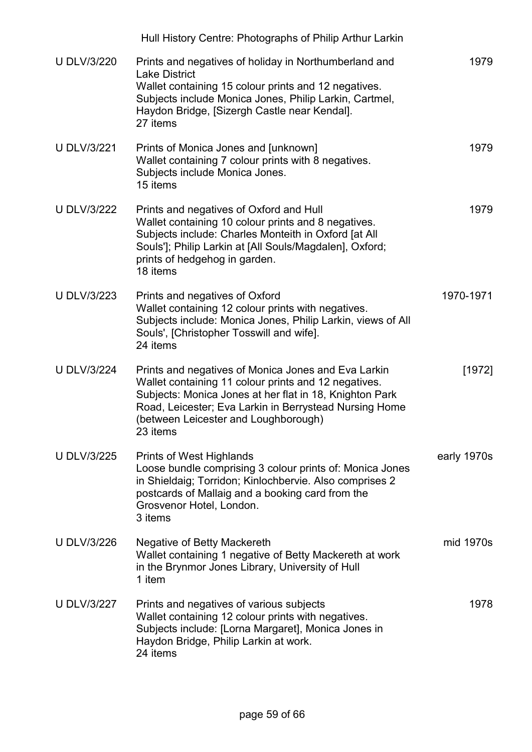|                    | Hull History Centre: Photographs of Philip Arthur Larkin                                                                                                                                                                                                                             |             |
|--------------------|--------------------------------------------------------------------------------------------------------------------------------------------------------------------------------------------------------------------------------------------------------------------------------------|-------------|
| <b>U DLV/3/220</b> | Prints and negatives of holiday in Northumberland and<br><b>Lake District</b><br>Wallet containing 15 colour prints and 12 negatives.<br>Subjects include Monica Jones, Philip Larkin, Cartmel,<br>Haydon Bridge, [Sizergh Castle near Kendal].<br>27 items                          | 1979        |
| <b>U DLV/3/221</b> | Prints of Monica Jones and [unknown]<br>Wallet containing 7 colour prints with 8 negatives.<br>Subjects include Monica Jones.<br>15 items                                                                                                                                            | 1979        |
| <b>U DLV/3/222</b> | Prints and negatives of Oxford and Hull<br>Wallet containing 10 colour prints and 8 negatives.<br>Subjects include: Charles Monteith in Oxford [at All<br>Souls']; Philip Larkin at [All Souls/Magdalen], Oxford;<br>prints of hedgehog in garden.<br>18 items                       | 1979        |
| <b>U DLV/3/223</b> | Prints and negatives of Oxford<br>Wallet containing 12 colour prints with negatives.<br>Subjects include: Monica Jones, Philip Larkin, views of All<br>Souls', [Christopher Tosswill and wife].<br>24 items                                                                          | 1970-1971   |
| <b>U DLV/3/224</b> | Prints and negatives of Monica Jones and Eva Larkin<br>Wallet containing 11 colour prints and 12 negatives.<br>Subjects: Monica Jones at her flat in 18, Knighton Park<br>Road, Leicester; Eva Larkin in Berrystead Nursing Home<br>(between Leicester and Loughborough)<br>23 items | [1972]      |
| <b>U DLV/3/225</b> | Prints of West Highlands<br>Loose bundle comprising 3 colour prints of: Monica Jones<br>in Shieldaig; Torridon; Kinlochbervie. Also comprises 2<br>postcards of Mallaig and a booking card from the<br>Grosvenor Hotel, London.<br>3 items                                           | early 1970s |
| <b>U DLV/3/226</b> | Negative of Betty Mackereth<br>Wallet containing 1 negative of Betty Mackereth at work<br>in the Brynmor Jones Library, University of Hull<br>1 item                                                                                                                                 | mid 1970s   |
| <b>U DLV/3/227</b> | Prints and negatives of various subjects<br>Wallet containing 12 colour prints with negatives.<br>Subjects include: [Lorna Margaret], Monica Jones in<br>Haydon Bridge, Philip Larkin at work.<br>24 items                                                                           | 1978        |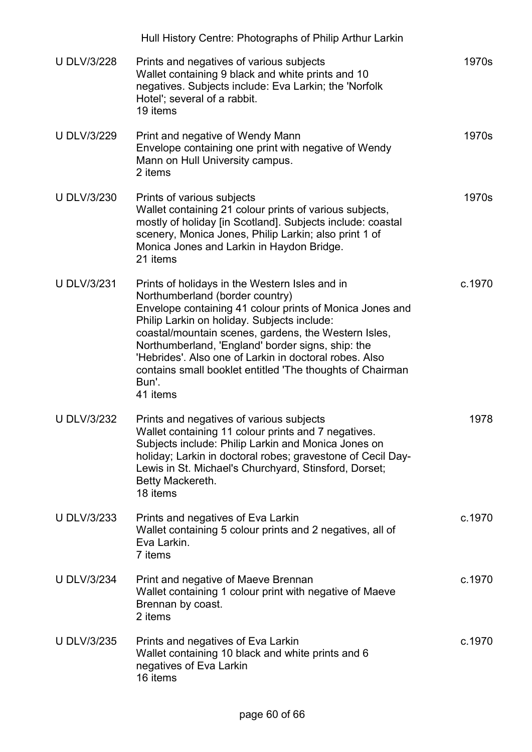|                    | Hull History Centre: Photographs of Philip Arthur Larkin                                                                                                                                                                                                                                                                                                                                                                                              |        |
|--------------------|-------------------------------------------------------------------------------------------------------------------------------------------------------------------------------------------------------------------------------------------------------------------------------------------------------------------------------------------------------------------------------------------------------------------------------------------------------|--------|
| <b>U DLV/3/228</b> | Prints and negatives of various subjects<br>Wallet containing 9 black and white prints and 10<br>negatives. Subjects include: Eva Larkin; the 'Norfolk<br>Hotel'; several of a rabbit.<br>19 items                                                                                                                                                                                                                                                    | 1970s  |
| <b>U DLV/3/229</b> | Print and negative of Wendy Mann<br>Envelope containing one print with negative of Wendy<br>Mann on Hull University campus.<br>2 items                                                                                                                                                                                                                                                                                                                | 1970s  |
| <b>U DLV/3/230</b> | Prints of various subjects<br>Wallet containing 21 colour prints of various subjects,<br>mostly of holiday [in Scotland]. Subjects include: coastal<br>scenery, Monica Jones, Philip Larkin; also print 1 of<br>Monica Jones and Larkin in Haydon Bridge.<br>21 items                                                                                                                                                                                 | 1970s  |
| <b>U DLV/3/231</b> | Prints of holidays in the Western Isles and in<br>Northumberland (border country)<br>Envelope containing 41 colour prints of Monica Jones and<br>Philip Larkin on holiday. Subjects include:<br>coastal/mountain scenes, gardens, the Western Isles,<br>Northumberland, 'England' border signs, ship: the<br>'Hebrides'. Also one of Larkin in doctoral robes. Also<br>contains small booklet entitled 'The thoughts of Chairman<br>Bun'.<br>41 items | c.1970 |
| <b>U DLV/3/232</b> | Prints and negatives of various subjects<br>Wallet containing 11 colour prints and 7 negatives.<br>Subjects include: Philip Larkin and Monica Jones on<br>holiday; Larkin in doctoral robes; gravestone of Cecil Day-<br>Lewis in St. Michael's Churchyard, Stinsford, Dorset;<br>Betty Mackereth.<br>18 items                                                                                                                                        | 1978   |
| <b>U DLV/3/233</b> | Prints and negatives of Eva Larkin<br>Wallet containing 5 colour prints and 2 negatives, all of<br>Eva Larkin.<br>7 items                                                                                                                                                                                                                                                                                                                             | c.1970 |
| <b>U DLV/3/234</b> | Print and negative of Maeve Brennan<br>Wallet containing 1 colour print with negative of Maeve<br>Brennan by coast.<br>2 items                                                                                                                                                                                                                                                                                                                        | c.1970 |
| <b>U DLV/3/235</b> | Prints and negatives of Eva Larkin<br>Wallet containing 10 black and white prints and 6<br>negatives of Eva Larkin<br>16 items                                                                                                                                                                                                                                                                                                                        | c.1970 |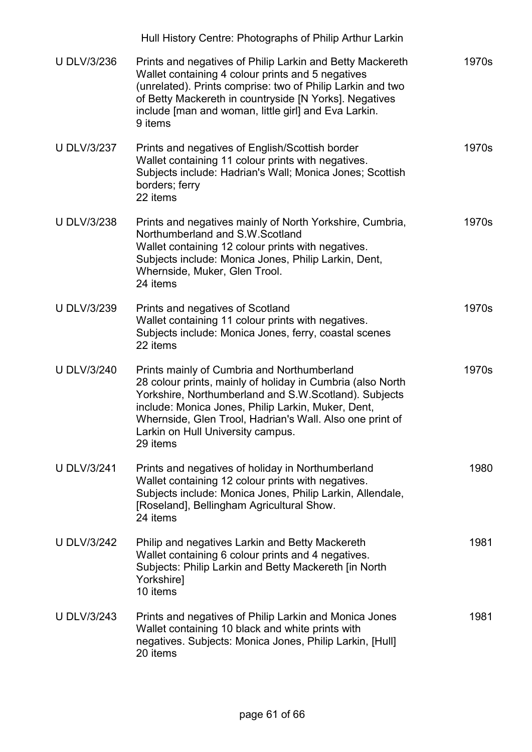|                    | Hull History Centre: Photographs of Philip Arthur Larkin                                                                                                                                                                                                                                                                              |       |
|--------------------|---------------------------------------------------------------------------------------------------------------------------------------------------------------------------------------------------------------------------------------------------------------------------------------------------------------------------------------|-------|
| <b>U DLV/3/236</b> | Prints and negatives of Philip Larkin and Betty Mackereth<br>Wallet containing 4 colour prints and 5 negatives<br>(unrelated). Prints comprise: two of Philip Larkin and two<br>of Betty Mackereth in countryside [N Yorks]. Negatives<br>include [man and woman, little girl] and Eva Larkin.<br>9 items                             | 1970s |
| <b>U DLV/3/237</b> | Prints and negatives of English/Scottish border<br>Wallet containing 11 colour prints with negatives.<br>Subjects include: Hadrian's Wall; Monica Jones; Scottish<br>borders; ferry<br>22 items                                                                                                                                       | 1970s |
| <b>U DLV/3/238</b> | Prints and negatives mainly of North Yorkshire, Cumbria,<br>Northumberland and S.W.Scotland<br>Wallet containing 12 colour prints with negatives.<br>Subjects include: Monica Jones, Philip Larkin, Dent,<br>Whernside, Muker, Glen Trool.<br>24 items                                                                                | 1970s |
| <b>U DLV/3/239</b> | Prints and negatives of Scotland<br>Wallet containing 11 colour prints with negatives.<br>Subjects include: Monica Jones, ferry, coastal scenes<br>22 items                                                                                                                                                                           | 1970s |
| <b>U DLV/3/240</b> | Prints mainly of Cumbria and Northumberland<br>28 colour prints, mainly of holiday in Cumbria (also North<br>Yorkshire, Northumberland and S.W.Scotland). Subjects<br>include: Monica Jones, Philip Larkin, Muker, Dent,<br>Whernside, Glen Trool, Hadrian's Wall. Also one print of<br>Larkin on Hull University campus.<br>29 items | 1970s |
| <b>U DLV/3/241</b> | Prints and negatives of holiday in Northumberland<br>Wallet containing 12 colour prints with negatives.<br>Subjects include: Monica Jones, Philip Larkin, Allendale,<br>[Roseland], Bellingham Agricultural Show.<br>24 items                                                                                                         | 1980  |
| <b>U DLV/3/242</b> | Philip and negatives Larkin and Betty Mackereth<br>Wallet containing 6 colour prints and 4 negatives.<br>Subjects: Philip Larkin and Betty Mackereth [in North<br>Yorkshire]<br>10 items                                                                                                                                              | 1981  |
| <b>U DLV/3/243</b> | Prints and negatives of Philip Larkin and Monica Jones<br>Wallet containing 10 black and white prints with<br>negatives. Subjects: Monica Jones, Philip Larkin, [Hull]<br>20 items                                                                                                                                                    | 1981  |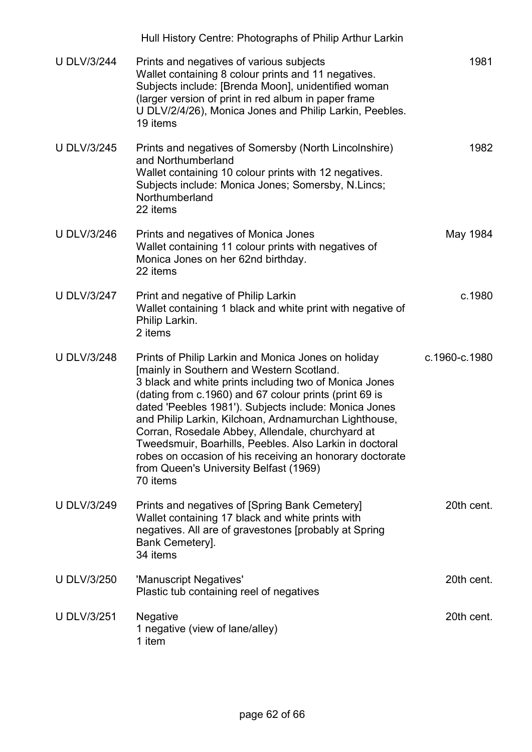|                    | Hull History Centre: Photographs of Philip Arthur Larkin                                                                                                                                                                                                                                                                                                                                                                                                                                                                                                                |               |
|--------------------|-------------------------------------------------------------------------------------------------------------------------------------------------------------------------------------------------------------------------------------------------------------------------------------------------------------------------------------------------------------------------------------------------------------------------------------------------------------------------------------------------------------------------------------------------------------------------|---------------|
| <b>U DLV/3/244</b> | Prints and negatives of various subjects<br>Wallet containing 8 colour prints and 11 negatives.<br>Subjects include: [Brenda Moon], unidentified woman<br>(larger version of print in red album in paper frame<br>U DLV/2/4/26), Monica Jones and Philip Larkin, Peebles.<br>19 items                                                                                                                                                                                                                                                                                   | 1981          |
| <b>U DLV/3/245</b> | Prints and negatives of Somersby (North Lincolnshire)<br>and Northumberland<br>Wallet containing 10 colour prints with 12 negatives.<br>Subjects include: Monica Jones; Somersby, N.Lincs;<br>Northumberland<br>22 items                                                                                                                                                                                                                                                                                                                                                | 1982          |
| <b>U DLV/3/246</b> | Prints and negatives of Monica Jones<br>Wallet containing 11 colour prints with negatives of<br>Monica Jones on her 62nd birthday.<br>22 items                                                                                                                                                                                                                                                                                                                                                                                                                          | May 1984      |
| <b>U DLV/3/247</b> | Print and negative of Philip Larkin<br>Wallet containing 1 black and white print with negative of<br>Philip Larkin.<br>2 items                                                                                                                                                                                                                                                                                                                                                                                                                                          | c.1980        |
| <b>U DLV/3/248</b> | Prints of Philip Larkin and Monica Jones on holiday<br>[mainly in Southern and Western Scotland.<br>3 black and white prints including two of Monica Jones<br>(dating from c.1960) and 67 colour prints (print 69 is<br>dated 'Peebles 1981'). Subjects include: Monica Jones<br>and Philip Larkin, Kilchoan, Ardnamurchan Lighthouse,<br>Corran, Rosedale Abbey, Allendale, churchyard at<br>Tweedsmuir, Boarhills, Peebles. Also Larkin in doctoral<br>robes on occasion of his receiving an honorary doctorate<br>from Queen's University Belfast (1969)<br>70 items | c.1960-c.1980 |
| <b>U DLV/3/249</b> | Prints and negatives of [Spring Bank Cemetery]<br>Wallet containing 17 black and white prints with<br>negatives. All are of gravestones [probably at Spring<br>Bank Cemetery].<br>34 items                                                                                                                                                                                                                                                                                                                                                                              | 20th cent.    |
| <b>U DLV/3/250</b> | 'Manuscript Negatives'<br>Plastic tub containing reel of negatives                                                                                                                                                                                                                                                                                                                                                                                                                                                                                                      | 20th cent.    |
| <b>U DLV/3/251</b> | <b>Negative</b><br>1 negative (view of lane/alley)<br>1 item                                                                                                                                                                                                                                                                                                                                                                                                                                                                                                            | 20th cent.    |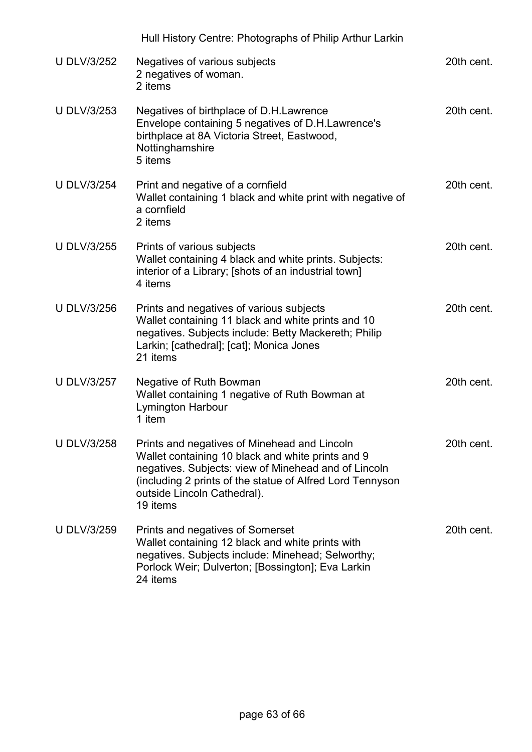|                    | Hull History Centre: Photographs of Philip Arthur Larkin                                                                                                                                                                                                          |            |
|--------------------|-------------------------------------------------------------------------------------------------------------------------------------------------------------------------------------------------------------------------------------------------------------------|------------|
| <b>U DLV/3/252</b> | Negatives of various subjects<br>2 negatives of woman.<br>2 items                                                                                                                                                                                                 | 20th cent. |
| <b>U DLV/3/253</b> | Negatives of birthplace of D.H.Lawrence<br>Envelope containing 5 negatives of D.H.Lawrence's<br>birthplace at 8A Victoria Street, Eastwood,<br>Nottinghamshire<br>5 items                                                                                         | 20th cent. |
| <b>U DLV/3/254</b> | Print and negative of a cornfield<br>Wallet containing 1 black and white print with negative of<br>a cornfield<br>2 items                                                                                                                                         | 20th cent. |
| <b>U DLV/3/255</b> | Prints of various subjects<br>Wallet containing 4 black and white prints. Subjects:<br>interior of a Library; [shots of an industrial town]<br>4 items                                                                                                            | 20th cent. |
| <b>U DLV/3/256</b> | Prints and negatives of various subjects<br>Wallet containing 11 black and white prints and 10<br>negatives. Subjects include: Betty Mackereth; Philip<br>Larkin; [cathedral]; [cat]; Monica Jones<br>21 items                                                    | 20th cent. |
| <b>U DLV/3/257</b> | Negative of Ruth Bowman<br>Wallet containing 1 negative of Ruth Bowman at<br><b>Lymington Harbour</b><br>1 item                                                                                                                                                   | 20th cent. |
| <b>U DLV/3/258</b> | Prints and negatives of Minehead and Lincoln<br>Wallet containing 10 black and white prints and 9<br>negatives. Subjects: view of Minehead and of Lincoln<br>(including 2 prints of the statue of Alfred Lord Tennyson<br>outside Lincoln Cathedral).<br>19 items | 20th cent. |
| <b>U DLV/3/259</b> | Prints and negatives of Somerset<br>Wallet containing 12 black and white prints with<br>negatives. Subjects include: Minehead; Selworthy;<br>Porlock Weir; Dulverton; [Bossington]; Eva Larkin<br>24 items                                                        | 20th cent. |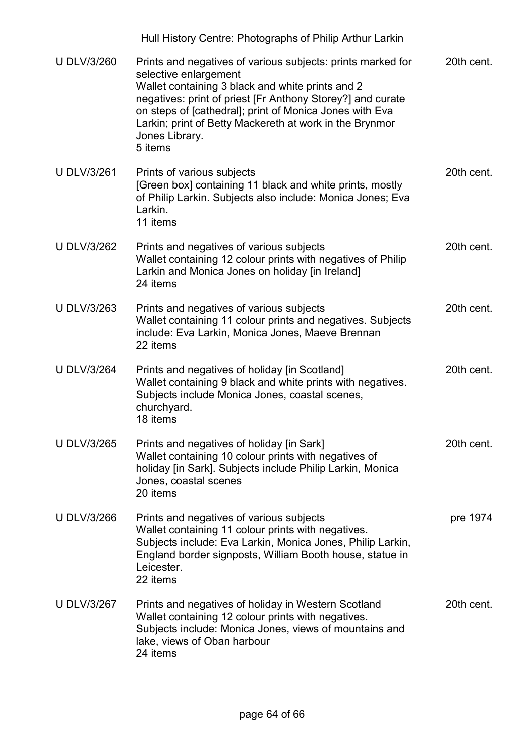|                    | Hull History Centre: Photographs of Philip Arthur Larkin                                                                                                                                                                                                                                                                                                  |            |
|--------------------|-----------------------------------------------------------------------------------------------------------------------------------------------------------------------------------------------------------------------------------------------------------------------------------------------------------------------------------------------------------|------------|
| <b>U DLV/3/260</b> | Prints and negatives of various subjects: prints marked for<br>selective enlargement<br>Wallet containing 3 black and white prints and 2<br>negatives: print of priest [Fr Anthony Storey?] and curate<br>on steps of [cathedral]; print of Monica Jones with Eva<br>Larkin; print of Betty Mackereth at work in the Brynmor<br>Jones Library.<br>5 items | 20th cent. |
| <b>U DLV/3/261</b> | Prints of various subjects<br>[Green box] containing 11 black and white prints, mostly<br>of Philip Larkin. Subjects also include: Monica Jones; Eva<br>Larkin.<br>11 items                                                                                                                                                                               | 20th cent. |
| <b>U DLV/3/262</b> | Prints and negatives of various subjects<br>Wallet containing 12 colour prints with negatives of Philip<br>Larkin and Monica Jones on holiday [in Ireland]<br>24 items                                                                                                                                                                                    | 20th cent. |
| <b>U DLV/3/263</b> | Prints and negatives of various subjects<br>Wallet containing 11 colour prints and negatives. Subjects<br>include: Eva Larkin, Monica Jones, Maeve Brennan<br>22 items                                                                                                                                                                                    | 20th cent. |
| <b>U DLV/3/264</b> | Prints and negatives of holiday [in Scotland]<br>Wallet containing 9 black and white prints with negatives.<br>Subjects include Monica Jones, coastal scenes,<br>churchyard.<br>18 items                                                                                                                                                                  | 20th cent. |
| <b>U DLV/3/265</b> | Prints and negatives of holiday [in Sark]<br>Wallet containing 10 colour prints with negatives of<br>holiday [in Sark]. Subjects include Philip Larkin, Monica<br>Jones, coastal scenes<br>20 items                                                                                                                                                       | 20th cent. |
| <b>U DLV/3/266</b> | Prints and negatives of various subjects<br>Wallet containing 11 colour prints with negatives.<br>Subjects include: Eva Larkin, Monica Jones, Philip Larkin,<br>England border signposts, William Booth house, statue in<br>Leicester.<br>22 items                                                                                                        | pre 1974   |
| <b>U DLV/3/267</b> | Prints and negatives of holiday in Western Scotland<br>Wallet containing 12 colour prints with negatives.<br>Subjects include: Monica Jones, views of mountains and<br>lake, views of Oban harbour<br>24 items                                                                                                                                            | 20th cent. |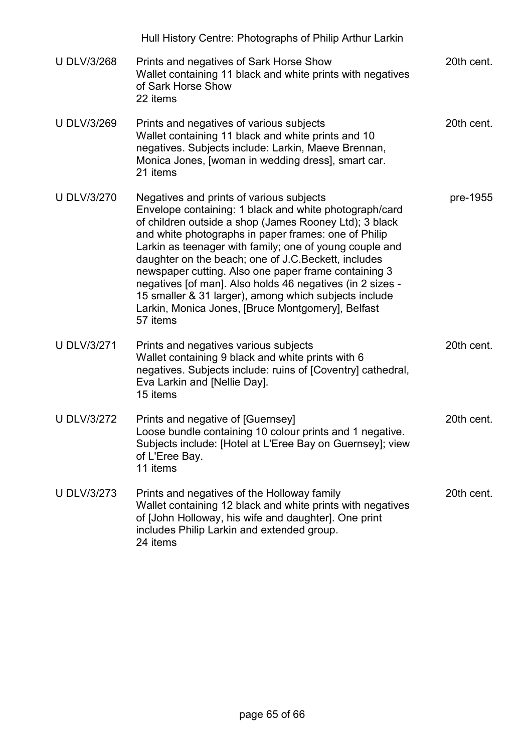|                    | Hull History Centre: Photographs of Philip Arthur Larkin                                                                                                                                                                                                                                                                                                                                                                                                                                                                                                                               |            |
|--------------------|----------------------------------------------------------------------------------------------------------------------------------------------------------------------------------------------------------------------------------------------------------------------------------------------------------------------------------------------------------------------------------------------------------------------------------------------------------------------------------------------------------------------------------------------------------------------------------------|------------|
| <b>U DLV/3/268</b> | Prints and negatives of Sark Horse Show<br>Wallet containing 11 black and white prints with negatives<br>of Sark Horse Show<br>22 items                                                                                                                                                                                                                                                                                                                                                                                                                                                | 20th cent. |
| <b>U DLV/3/269</b> | Prints and negatives of various subjects<br>Wallet containing 11 black and white prints and 10<br>negatives. Subjects include: Larkin, Maeve Brennan,<br>Monica Jones, [woman in wedding dress], smart car.<br>21 items                                                                                                                                                                                                                                                                                                                                                                | 20th cent. |
| <b>U DLV/3/270</b> | Negatives and prints of various subjects<br>Envelope containing: 1 black and white photograph/card<br>of children outside a shop (James Rooney Ltd); 3 black<br>and white photographs in paper frames: one of Philip<br>Larkin as teenager with family; one of young couple and<br>daughter on the beach; one of J.C. Beckett, includes<br>newspaper cutting. Also one paper frame containing 3<br>negatives [of man]. Also holds 46 negatives (in 2 sizes -<br>15 smaller & 31 larger), among which subjects include<br>Larkin, Monica Jones, [Bruce Montgomery], Belfast<br>57 items | pre-1955   |
| <b>U DLV/3/271</b> | Prints and negatives various subjects<br>Wallet containing 9 black and white prints with 6<br>negatives. Subjects include: ruins of [Coventry] cathedral,<br>Eva Larkin and [Nellie Day].<br>15 items                                                                                                                                                                                                                                                                                                                                                                                  | 20th cent. |
| <b>U DLV/3/272</b> | Prints and negative of [Guernsey]<br>Loose bundle containing 10 colour prints and 1 negative.<br>Subjects include: [Hotel at L'Eree Bay on Guernsey]; view<br>of L'Eree Bay.<br>11 items                                                                                                                                                                                                                                                                                                                                                                                               | 20th cent. |
| <b>U DLV/3/273</b> | Prints and negatives of the Holloway family<br>Wallet containing 12 black and white prints with negatives<br>of [John Holloway, his wife and daughter]. One print<br>includes Philip Larkin and extended group.<br>24 items                                                                                                                                                                                                                                                                                                                                                            | 20th cent. |